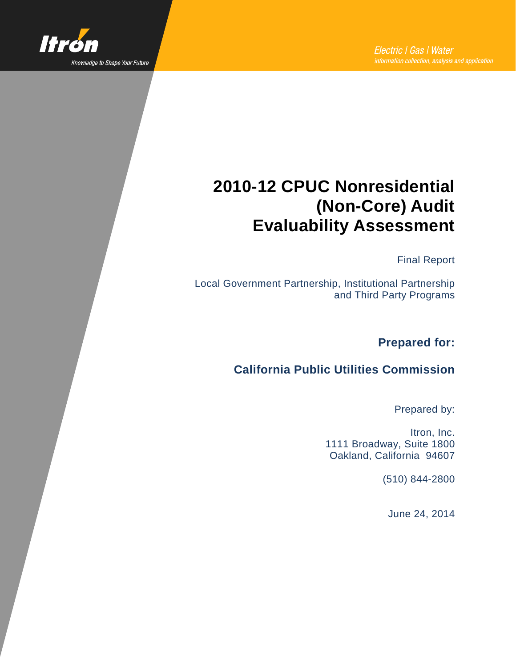

# **2010-12 CPUC Nonresidential (Non-Core) Audit Evaluability Assessment**

Final Report

Local Government Partnership, Institutional Partnership and Third Party Programs

**Prepared for:**

#### **California Public Utilities Commission**

Prepared by:

Itron, Inc. 1111 Broadway, Suite 1800 Oakland, California 94607

(510) 844-2800

June 24, 2014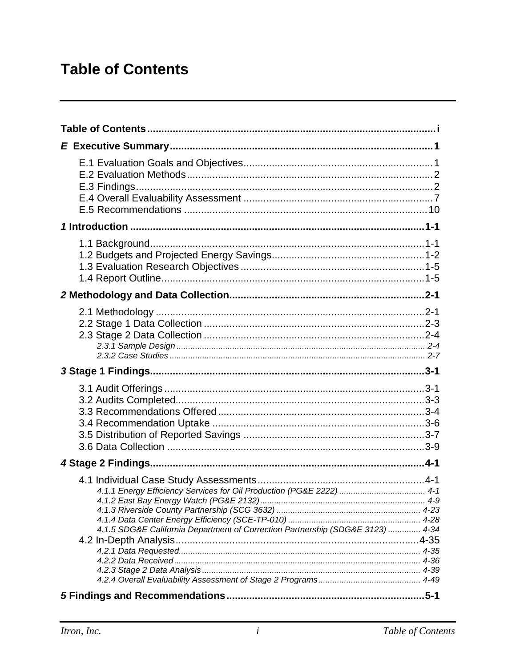# <span id="page-1-0"></span>**Table of Contents**

| 1 Introduction …………………………………………………………………………………………1-1<br>4.1.5 SDG&E California Department of Correction Partnership (SDG&E 3123)  4-34 |  |
|----------------------------------------------------------------------------------------------------------------------------------------|--|
|                                                                                                                                        |  |
|                                                                                                                                        |  |
|                                                                                                                                        |  |
|                                                                                                                                        |  |
|                                                                                                                                        |  |
|                                                                                                                                        |  |
|                                                                                                                                        |  |
|                                                                                                                                        |  |
|                                                                                                                                        |  |
|                                                                                                                                        |  |
|                                                                                                                                        |  |
|                                                                                                                                        |  |
|                                                                                                                                        |  |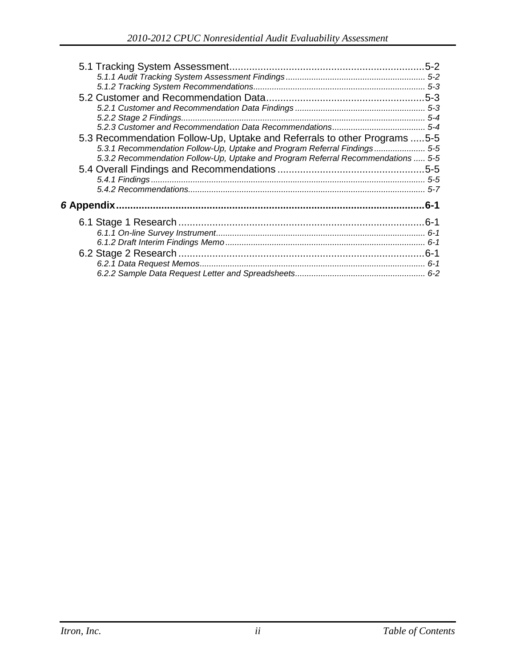| 5.3 Recommendation Follow-Up, Uptake and Referrals to other Programs 5-5         |      |
|----------------------------------------------------------------------------------|------|
| 5-5. 1 Recommendation Follow-Up, Uptake and Program Referral Findings 5-5        |      |
| 5.3.2 Recommendation Follow-Up, Uptake and Program Referral Recommendations  5-5 |      |
|                                                                                  |      |
|                                                                                  |      |
|                                                                                  |      |
|                                                                                  | .6-1 |
|                                                                                  |      |
|                                                                                  |      |
|                                                                                  |      |
|                                                                                  |      |
|                                                                                  |      |
|                                                                                  |      |
|                                                                                  |      |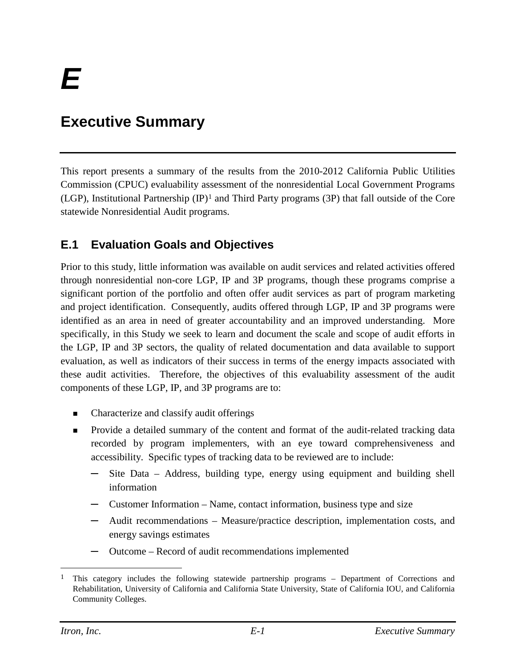## <span id="page-3-0"></span>**Executive Summary**

This report presents a summary of the results from the 2010-2012 California Public Utilities Commission (CPUC) evaluability assessment of the nonresidential Local Government Programs (LGP), Institutional Partnership (IP)[1](#page-3-2) and Third Party programs (3P) that fall outside of the Core statewide Nonresidential Audit programs.

## <span id="page-3-1"></span>**E.1 Evaluation Goals and Objectives**

Prior to this study, little information was available on audit services and related activities offered through nonresidential non-core LGP, IP and 3P programs, though these programs comprise a significant portion of the portfolio and often offer audit services as part of program marketing and project identification. Consequently, audits offered through LGP, IP and 3P programs were identified as an area in need of greater accountability and an improved understanding. More specifically, in this Study we seek to learn and document the scale and scope of audit efforts in the LGP, IP and 3P sectors, the quality of related documentation and data available to support evaluation, as well as indicators of their success in terms of the energy impacts associated with these audit activities. Therefore, the objectives of this evaluability assessment of the audit components of these LGP, IP, and 3P programs are to:

- Characterize and classify audit offerings
- **Provide a detailed summary of the content and format of the audit-related tracking data** recorded by program implementers, with an eye toward comprehensiveness and accessibility. Specific types of tracking data to be reviewed are to include:
	- Site Data Address, building type, energy using equipment and building shell information
	- **─** Customer Information Name, contact information, business type and size
	- **─** Audit recommendations Measure/practice description, implementation costs, and energy savings estimates
	- **─** Outcome Record of audit recommendations implemented

<span id="page-3-2"></span><sup>&</sup>lt;sup>1</sup> This category includes the following statewide partnership programs – Department of Corrections and Rehabilitation, University of California and California State University, State of California IOU, and California Community Colleges.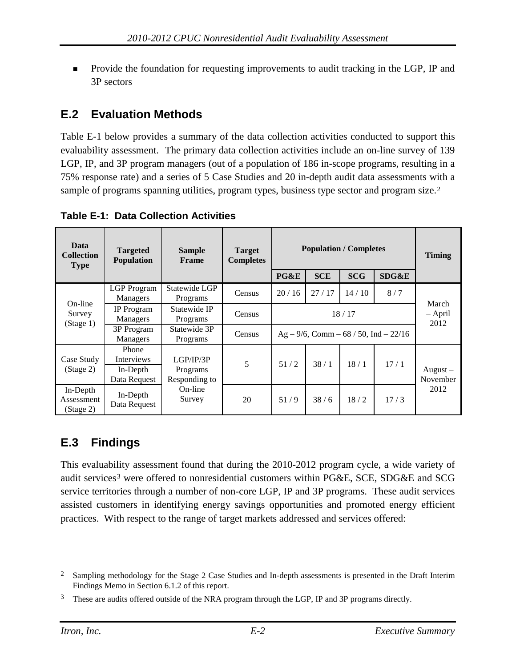Provide the foundation for requesting improvements to audit tracking in the LGP, IP and 3P sectors

## <span id="page-4-0"></span>**E.2 Evaluation Methods**

[Table E-1](#page-4-2) below provides a summary of the data collection activities conducted to support this evaluability assessment. The primary data collection activities include an on-line survey of 139 LGP, IP, and 3P program managers (out of a population of 186 in-scope programs, resulting in a 75% response rate) and a series of 5 Case Studies and 20 in-depth audit data assessments with a sample of programs spanning utilities, program types, business type sector and program size.<sup>[2](#page-4-3)</sup>

| Data<br><b>Collection</b><br><b>Type</b> | <b>Targeted</b><br><b>Population</b>            | <b>Sample</b><br><b>Frame</b>          | <b>Target</b><br><b>Completes</b> |                                               |            | <b>Population / Completes</b> |       | <b>Timing</b>              |
|------------------------------------------|-------------------------------------------------|----------------------------------------|-----------------------------------|-----------------------------------------------|------------|-------------------------------|-------|----------------------------|
|                                          |                                                 |                                        |                                   | PG&E                                          | <b>SCE</b> | <b>SCG</b>                    | SDG&E |                            |
|                                          | <b>LGP</b> Program<br>Managers                  | Statewide LGP<br>Programs              | Census                            | 20/16                                         | 27/17      | 14/10                         | 8/7   |                            |
| On-line<br>Survey<br>(Stage 1)           | IP Program<br>Managers                          | Statewide IP<br>Programs               | Census                            | 18/17                                         |            |                               |       | March<br>$-$ April<br>2012 |
|                                          | 3P Program<br>Managers                          | Statewide 3P<br>Programs               | Census                            | $Ag - 9/6$ , Comm $- 68 / 50$ , Ind $- 22/16$ |            |                               |       |                            |
| Case Study<br>(Stage 2)                  | Phone<br>Interviews<br>In-Depth<br>Data Request | LGP/IP/3P<br>Programs<br>Responding to | 5                                 | 51/2                                          | 38/1       | 18/1                          | 17/1  | $August -$<br>November     |
| In-Depth<br>Assessment<br>(Stage 2)      | In-Depth<br>Data Request                        | On-line<br>Survey                      | 20                                | 51/9                                          | 38/6       | 18/2                          | 17/3  | 2012                       |

<span id="page-4-2"></span>**Table E-1: Data Collection Activities**

## <span id="page-4-1"></span>**E.3 Findings**

This evaluability assessment found that during the 2010-2012 program cycle, a wide variety of audit services[3](#page-4-4) were offered to nonresidential customers within PG&E, SCE, SDG&E and SCG service territories through a number of non-core LGP, IP and 3P programs. These audit services assisted customers in identifying energy savings opportunities and promoted energy efficient practices. With respect to the range of target markets addressed and services offered:

<span id="page-4-3"></span><sup>&</sup>lt;sup>2</sup> Sampling methodology for the Stage 2 Case Studies and In-depth assessments is presented in the Draft Interim Findings Memo in Section 6.1.2 of this report.

<span id="page-4-4"></span>These are audits offered outside of the NRA program through the LGP, IP and 3P programs directly.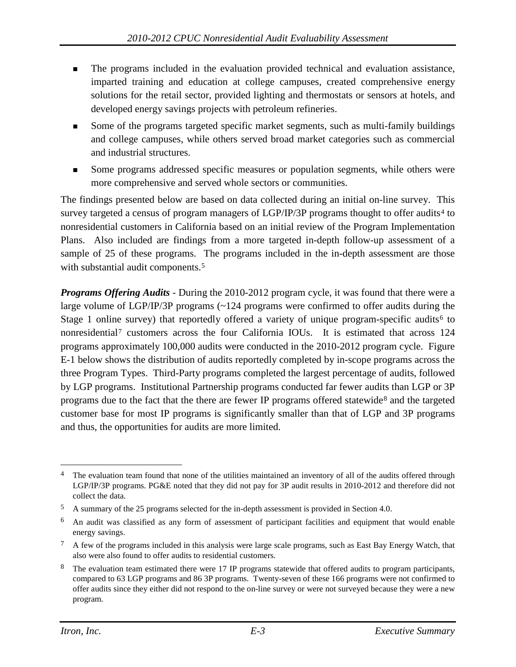- The programs included in the evaluation provided technical and evaluation assistance, imparted training and education at college campuses, created comprehensive energy solutions for the retail sector, provided lighting and thermostats or sensors at hotels, and developed energy savings projects with petroleum refineries.
- Some of the programs targeted specific market segments, such as multi-family buildings and college campuses, while others served broad market categories such as commercial and industrial structures.
- Some programs addressed specific measures or population segments, while others were more comprehensive and served whole sectors or communities.

The findings presented below are based on data collected during an initial on-line survey. This survey targeted a census of program managers of  $LGP/IP/3P$  programs thought to offer audits<sup>[4](#page-5-0)</sup> to nonresidential customers in California based on an initial review of the Program Implementation Plans. Also included are findings from a more targeted in-depth follow-up assessment of a sample of 25 of these programs. The programs included in the in-depth assessment are those with substantial audit components.<sup>[5](#page-5-1)</sup>

*Programs Offering Audits* - During the 2010-2012 program cycle, it was found that there were a large volume of LGP/IP/3P programs (~124 programs were confirmed to offer audits during the Stage 1 online survey) that reportedly offered a variety of unique program-specific audits<sup>[6](#page-5-2)</sup> to nonresidential[7](#page-5-3) customers across the four California IOUs. It is estimated that across 124 programs approximately 100,000 audits were conducted in the 2010-2012 program cycle. Figure E-1 below shows the distribution of audits reportedly completed by in-scope programs across the three Program Types. Third-Party programs completed the largest percentage of audits, followed by LGP programs. Institutional Partnership programs conducted far fewer audits than LGP or 3P programs due to the fact that the there are fewer IP programs offered statewide[8](#page-5-4) and the targeted customer base for most IP programs is significantly smaller than that of LGP and 3P programs and thus, the opportunities for audits are more limited.

<span id="page-5-0"></span><sup>&</sup>lt;sup>4</sup> The evaluation team found that none of the utilities maintained an inventory of all of the audits offered through LGP/IP/3P programs. PG&E noted that they did not pay for 3P audit results in 2010-2012 and therefore did not collect the data.

<span id="page-5-1"></span><sup>5</sup> A summary of the 25 programs selected for the in-depth assessment is provided in Section 4.0.

<span id="page-5-2"></span><sup>6</sup> An audit was classified as any form of assessment of participant facilities and equipment that would enable energy savings.

<span id="page-5-3"></span> $7\,$  A few of the programs included in this analysis were large scale programs, such as East Bay Energy Watch, that also were also found to offer audits to residential customers.

<span id="page-5-4"></span><sup>&</sup>lt;sup>8</sup> The evaluation team estimated there were 17 IP programs statewide that offered audits to program participants, compared to 63 LGP programs and 86 3P programs. Twenty-seven of these 166 programs were not confirmed to offer audits since they either did not respond to the on-line survey or were not surveyed because they were a new program.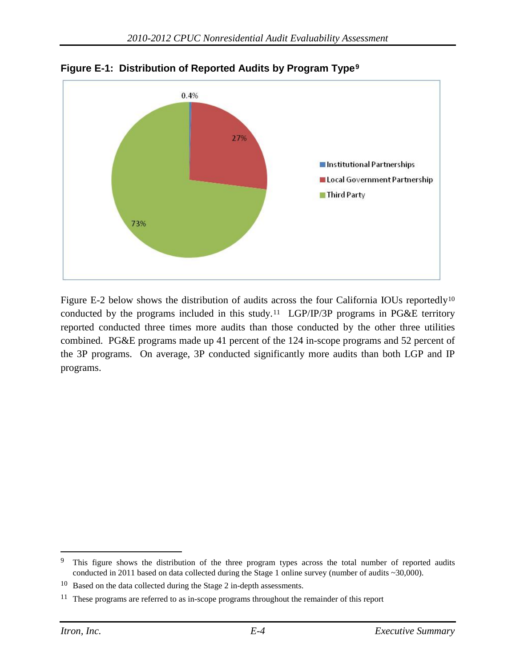

**Figure E-1: Distribution of Reported Audits by Program Type[9](#page-6-0)**

Figure E-2 below shows the distribution of audits across the four California IOUs reportedly<sup>[10](#page-6-1)</sup> conducted by the programs included in this study.<sup>11</sup> LGP/IP/3P programs in PG&E territory reported conducted three times more audits than those conducted by the other three utilities combined. PG&E programs made up 41 percent of the 124 in-scope programs and 52 percent of the 3P programs. On average, 3P conducted significantly more audits than both LGP and IP programs.

<span id="page-6-0"></span><sup>&</sup>lt;sup>9</sup> This figure shows the distribution of the three program types across the total number of reported audits conducted in 2011 based on data collected during the Stage 1 online survey (number of audits ~30,000).

<span id="page-6-1"></span><sup>10</sup> Based on the data collected during the Stage 2 in-depth assessments.

<span id="page-6-2"></span><sup>&</sup>lt;sup>11</sup> These programs are referred to as in-scope programs throughout the remainder of this report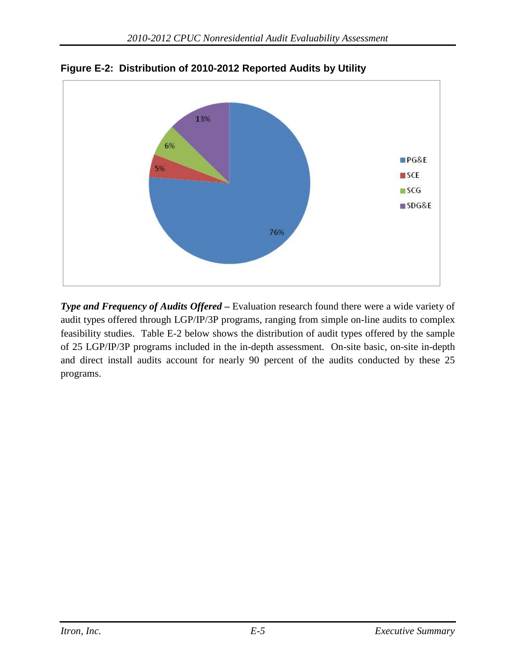

**Figure E-2: Distribution of 2010-2012 Reported Audits by Utility**

*Type and Frequency of Audits Offered –* Evaluation research found there were a wide variety of audit types offered through LGP/IP/3P programs, ranging from simple on-line audits to complex feasibility studies. Table E-2 below shows the distribution of audit types offered by the sample of 25 LGP/IP/3P programs included in the in-depth assessment. On-site basic, on-site in-depth and direct install audits account for nearly 90 percent of the audits conducted by these 25 programs.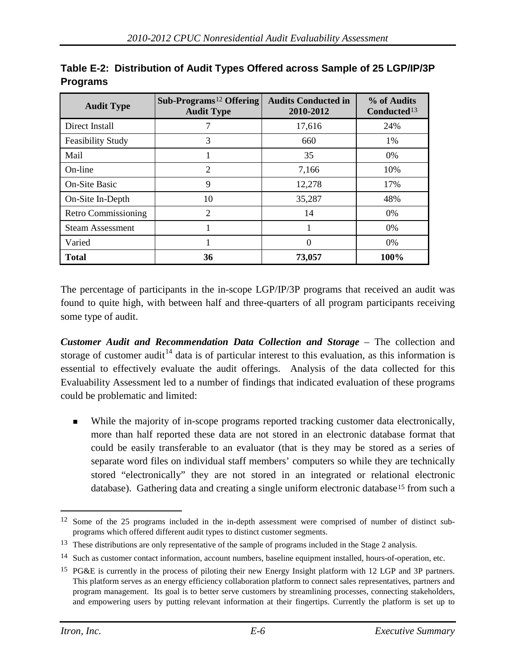| <b>Audit Type</b>          | Sub-Programs <sup>12</sup> Offering<br><b>Audit Type</b> | <b>Audits Conducted in</b><br>2010-2012 | % of Audits<br>Conducted <sup>13</sup> |
|----------------------------|----------------------------------------------------------|-----------------------------------------|----------------------------------------|
| Direct Install             |                                                          | 17,616                                  | 24%                                    |
| <b>Feasibility Study</b>   | 3                                                        | 660                                     | 1%                                     |
| Mail                       |                                                          | 35                                      | 0%                                     |
| On-line                    | 2                                                        | 7,166                                   | 10%                                    |
| On-Site Basic              | 9                                                        | 12,278                                  | 17%                                    |
| On-Site In-Depth           | 10                                                       | 35,287                                  | 48%                                    |
| <b>Retro Commissioning</b> | 2                                                        | 14                                      | 0%                                     |
| <b>Steam Assessment</b>    |                                                          |                                         | $0\%$                                  |
| Varied                     |                                                          | $\theta$                                | $0\%$                                  |
| <b>Total</b>               | 36                                                       | 73,057                                  | 100%                                   |

**Table E-2: Distribution of Audit Types Offered across Sample of 25 LGP/IP/3P Programs**

The percentage of participants in the in-scope LGP/IP/3P programs that received an audit was found to quite high, with between half and three-quarters of all program participants receiving some type of audit.

*Customer Audit and Recommendation Data Collection and Storage* – The collection and storage of customer audit<sup>[14](#page-8-2)</sup> data is of particular interest to this evaluation, as this information is essential to effectively evaluate the audit offerings. Analysis of the data collected for this Evaluability Assessment led to a number of findings that indicated evaluation of these programs could be problematic and limited:

 While the majority of in-scope programs reported tracking customer data electronically, more than half reported these data are not stored in an electronic database format that could be easily transferable to an evaluator (that is they may be stored as a series of separate word files on individual staff members' computers so while they are technically stored "electronically" they are not stored in an integrated or relational electronic database). Gathering data and creating a single uniform electronic database<sup>[15](#page-8-3)</sup> from such a

<span id="page-8-0"></span><sup>&</sup>lt;sup>12</sup> Some of the 25 programs included in the in-depth assessment were comprised of number of distinct subprograms which offered different audit types to distinct customer segments.

<span id="page-8-1"></span><sup>&</sup>lt;sup>13</sup> These distributions are only representative of the sample of programs included in the Stage 2 analysis.

<span id="page-8-2"></span><sup>&</sup>lt;sup>14</sup> Such as customer contact information, account numbers, baseline equipment installed, hours-of-operation, etc.

<span id="page-8-3"></span><sup>15</sup> PG&E is currently in the process of piloting their new Energy Insight platform with 12 LGP and 3P partners. This platform serves as an energy efficiency collaboration platform to connect sales representatives, partners and program management. Its goal is to better serve customers by streamlining processes, connecting stakeholders, and empowering users by putting relevant information at their fingertips. Currently the platform is set up to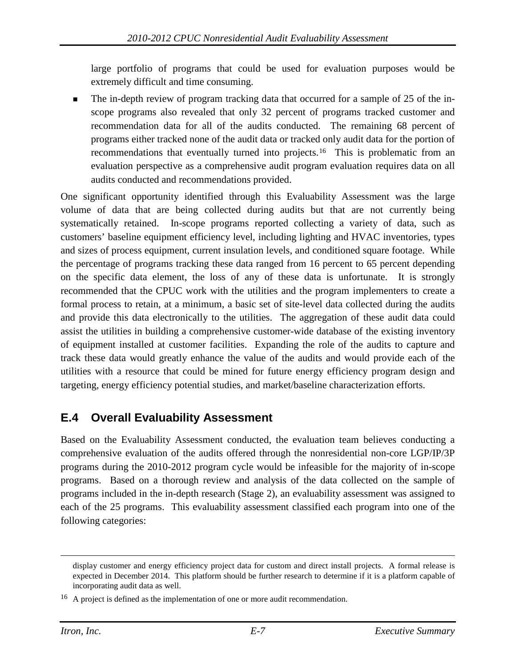large portfolio of programs that could be used for evaluation purposes would be extremely difficult and time consuming.

 The in-depth review of program tracking data that occurred for a sample of 25 of the inscope programs also revealed that only 32 percent of programs tracked customer and recommendation data for all of the audits conducted. The remaining 68 percent of programs either tracked none of the audit data or tracked only audit data for the portion of recommendations that eventually turned into projects.<sup>[16](#page-9-1)</sup> This is problematic from an evaluation perspective as a comprehensive audit program evaluation requires data on all audits conducted and recommendations provided.

One significant opportunity identified through this Evaluability Assessment was the large volume of data that are being collected during audits but that are not currently being systematically retained. In-scope programs reported collecting a variety of data, such as customers' baseline equipment efficiency level, including lighting and HVAC inventories, types and sizes of process equipment, current insulation levels, and conditioned square footage. While the percentage of programs tracking these data ranged from 16 percent to 65 percent depending on the specific data element, the loss of any of these data is unfortunate. It is strongly recommended that the CPUC work with the utilities and the program implementers to create a formal process to retain, at a minimum, a basic set of site-level data collected during the audits and provide this data electronically to the utilities. The aggregation of these audit data could assist the utilities in building a comprehensive customer-wide database of the existing inventory of equipment installed at customer facilities. Expanding the role of the audits to capture and track these data would greatly enhance the value of the audits and would provide each of the utilities with a resource that could be mined for future energy efficiency program design and targeting, energy efficiency potential studies, and market/baseline characterization efforts.

## <span id="page-9-0"></span>**E.4 Overall Evaluability Assessment**

Based on the Evaluability Assessment conducted, the evaluation team believes conducting a comprehensive evaluation of the audits offered through the nonresidential non-core LGP/IP/3P programs during the 2010-2012 program cycle would be infeasible for the majority of in-scope programs. Based on a thorough review and analysis of the data collected on the sample of programs included in the in-depth research (Stage 2), an evaluability assessment was assigned to each of the 25 programs. This evaluability assessment classified each program into one of the following categories:

 $\overline{a}$ 

display customer and energy efficiency project data for custom and direct install projects. A formal release is expected in December 2014. This platform should be further research to determine if it is a platform capable of incorporating audit data as well.

<span id="page-9-1"></span><sup>16</sup> A project is defined as the implementation of one or more audit recommendation.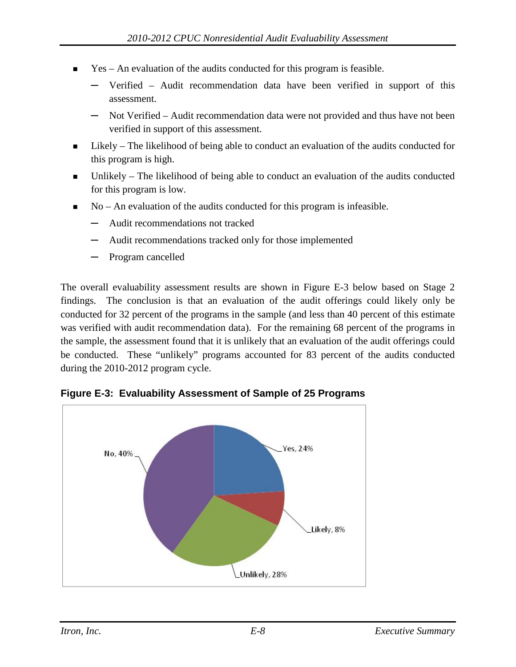- $\blacksquare$  Yes An evaluation of the audits conducted for this program is feasible.
	- **─** Verified Audit recommendation data have been verified in support of this assessment.
	- **─** Not Verified Audit recommendation data were not provided and thus have not been verified in support of this assessment.
- **Likely** The likelihood of being able to conduct an evaluation of the audits conducted for this program is high.
- Unlikely The likelihood of being able to conduct an evaluation of the audits conducted for this program is low.
- No An evaluation of the audits conducted for this program is infeasible.
	- **─** Audit recommendations not tracked
	- **─** Audit recommendations tracked only for those implemented
	- **─** Program cancelled

The overall evaluability assessment results are shown in Figure E-3 below based on Stage 2 findings. The conclusion is that an evaluation of the audit offerings could likely only be conducted for 32 percent of the programs in the sample (and less than 40 percent of this estimate was verified with audit recommendation data). For the remaining 68 percent of the programs in the sample, the assessment found that it is unlikely that an evaluation of the audit offerings could be conducted. These "unlikely" programs accounted for 83 percent of the audits conducted during the 2010-2012 program cycle.



**Figure E-3: Evaluability Assessment of Sample of 25 Programs**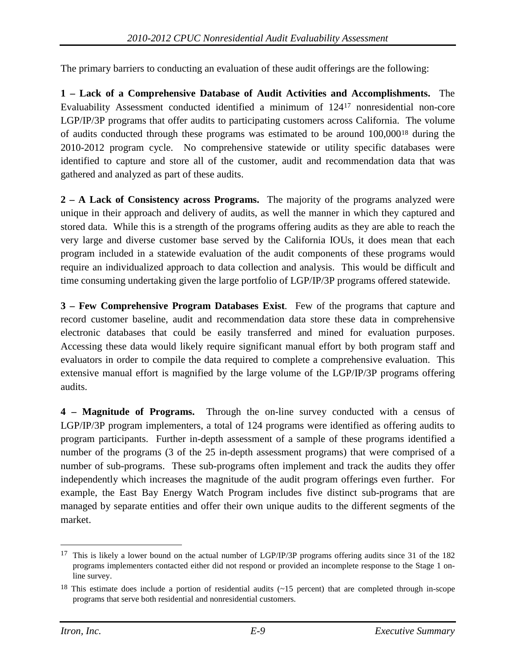The primary barriers to conducting an evaluation of these audit offerings are the following:

**1 – Lack of a Comprehensive Database of Audit Activities and Accomplishments.** The Evaluability Assessment conducted identified a minimum of 12[417](#page-11-0) nonresidential non-core LGP/IP/3P programs that offer audits to participating customers across California. The volume of audits conducted through these programs was estimated to be around 100,000[18](#page-11-1) during the 2010-2012 program cycle. No comprehensive statewide or utility specific databases were identified to capture and store all of the customer, audit and recommendation data that was gathered and analyzed as part of these audits.

**2 – A Lack of Consistency across Programs.** The majority of the programs analyzed were unique in their approach and delivery of audits, as well the manner in which they captured and stored data. While this is a strength of the programs offering audits as they are able to reach the very large and diverse customer base served by the California IOUs, it does mean that each program included in a statewide evaluation of the audit components of these programs would require an individualized approach to data collection and analysis. This would be difficult and time consuming undertaking given the large portfolio of LGP/IP/3P programs offered statewide.

**3 – Few Comprehensive Program Databases Exist**. Few of the programs that capture and record customer baseline, audit and recommendation data store these data in comprehensive electronic databases that could be easily transferred and mined for evaluation purposes. Accessing these data would likely require significant manual effort by both program staff and evaluators in order to compile the data required to complete a comprehensive evaluation. This extensive manual effort is magnified by the large volume of the LGP/IP/3P programs offering audits.

**4 – Magnitude of Programs.** Through the on-line survey conducted with a census of LGP/IP/3P program implementers, a total of 124 programs were identified as offering audits to program participants. Further in-depth assessment of a sample of these programs identified a number of the programs (3 of the 25 in-depth assessment programs) that were comprised of a number of sub-programs. These sub-programs often implement and track the audits they offer independently which increases the magnitude of the audit program offerings even further. For example, the East Bay Energy Watch Program includes five distinct sub-programs that are managed by separate entities and offer their own unique audits to the different segments of the market.

<span id="page-11-0"></span><sup>&</sup>lt;sup>17</sup> This is likely a lower bound on the actual number of LGP/IP/3P programs offering audits since 31 of the 182 programs implementers contacted either did not respond or provided an incomplete response to the Stage 1 online survey.

<span id="page-11-1"></span><sup>&</sup>lt;sup>18</sup> This estimate does include a portion of residential audits  $\left($  ~15 percent) that are completed through in-scope programs that serve both residential and nonresidential customers.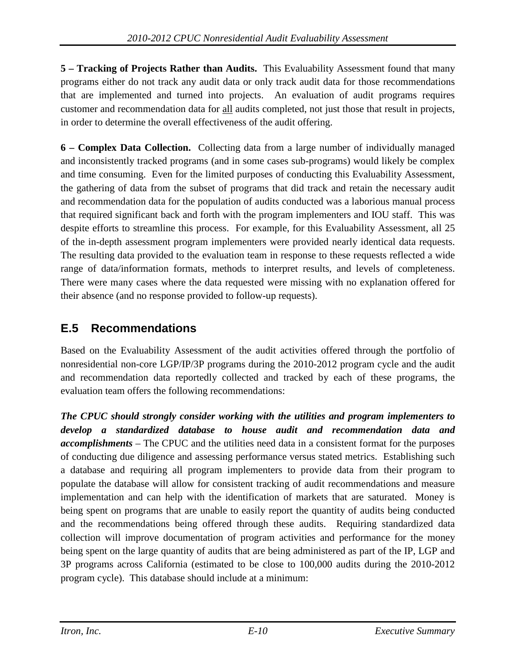**5 – Tracking of Projects Rather than Audits.** This Evaluability Assessment found that many programs either do not track any audit data or only track audit data for those recommendations that are implemented and turned into projects. An evaluation of audit programs requires customer and recommendation data for all audits completed, not just those that result in projects, in order to determine the overall effectiveness of the audit offering.

**6 – Complex Data Collection.** Collecting data from a large number of individually managed and inconsistently tracked programs (and in some cases sub-programs) would likely be complex and time consuming. Even for the limited purposes of conducting this Evaluability Assessment, the gathering of data from the subset of programs that did track and retain the necessary audit and recommendation data for the population of audits conducted was a laborious manual process that required significant back and forth with the program implementers and IOU staff. This was despite efforts to streamline this process. For example, for this Evaluability Assessment, all 25 of the in-depth assessment program implementers were provided nearly identical data requests. The resulting data provided to the evaluation team in response to these requests reflected a wide range of data/information formats, methods to interpret results, and levels of completeness. There were many cases where the data requested were missing with no explanation offered for their absence (and no response provided to follow-up requests).

## <span id="page-12-0"></span>**E.5 Recommendations**

Based on the Evaluability Assessment of the audit activities offered through the portfolio of nonresidential non-core LGP/IP/3P programs during the 2010-2012 program cycle and the audit and recommendation data reportedly collected and tracked by each of these programs, the evaluation team offers the following recommendations:

*The CPUC should strongly consider working with the utilities and program implementers to develop a standardized database to house audit and recommendation data and accomplishments* – The CPUC and the utilities need data in a consistent format for the purposes of conducting due diligence and assessing performance versus stated metrics. Establishing such a database and requiring all program implementers to provide data from their program to populate the database will allow for consistent tracking of audit recommendations and measure implementation and can help with the identification of markets that are saturated. Money is being spent on programs that are unable to easily report the quantity of audits being conducted and the recommendations being offered through these audits. Requiring standardized data collection will improve documentation of program activities and performance for the money being spent on the large quantity of audits that are being administered as part of the IP, LGP and 3P programs across California (estimated to be close to 100,000 audits during the 2010-2012 program cycle). This database should include at a minimum: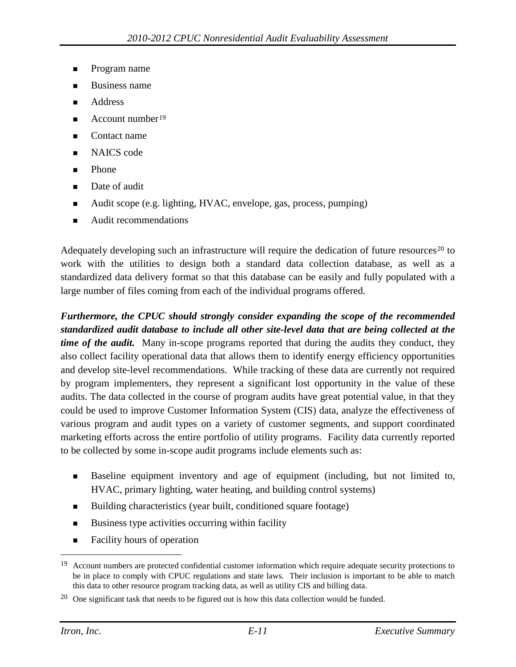- Program name
- Business name
- Address
- Account number[19](#page-13-0)
- Contact name
- NAICS code
- Phone
- Date of audit
- Audit scope (e.g. lighting, HVAC, envelope, gas, process, pumping)
- Audit recommendations

Adequately developing such an infrastructure will require the dedication of future resources<sup>[20](#page-13-1)</sup> to work with the utilities to design both a standard data collection database, as well as a standardized data delivery format so that this database can be easily and fully populated with a large number of files coming from each of the individual programs offered.

*Furthermore, the CPUC should strongly consider expanding the scope of the recommended standardized audit database to include all other site-level data that are being collected at the time of the audit.* Many in-scope programs reported that during the audits they conduct, they also collect facility operational data that allows them to identify energy efficiency opportunities and develop site-level recommendations. While tracking of these data are currently not required by program implementers, they represent a significant lost opportunity in the value of these audits. The data collected in the course of program audits have great potential value, in that they could be used to improve Customer Information System (CIS) data, analyze the effectiveness of various program and audit types on a variety of customer segments, and support coordinated marketing efforts across the entire portfolio of utility programs. Facility data currently reported to be collected by some in-scope audit programs include elements such as:

- Baseline equipment inventory and age of equipment (including, but not limited to, HVAC, primary lighting, water heating, and building control systems)
- Building characteristics (year built, conditioned square footage)
- $\blacksquare$  Business type activities occurring within facility
- Facility hours of operation

<span id="page-13-0"></span><sup>&</sup>lt;sup>19</sup> Account numbers are protected confidential customer information which require adequate security protections to be in place to comply with CPUC regulations and state laws. Their inclusion is important to be able to match this data to other resource program tracking data, as well as utility CIS and billing data.

<span id="page-13-1"></span> $20$  One significant task that needs to be figured out is how this data collection would be funded.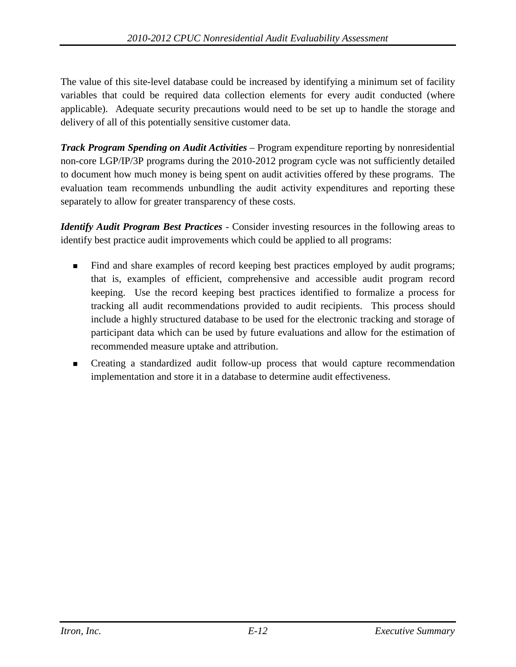The value of this site-level database could be increased by identifying a minimum set of facility variables that could be required data collection elements for every audit conducted (where applicable). Adequate security precautions would need to be set up to handle the storage and delivery of all of this potentially sensitive customer data.

*Track Program Spending on Audit Activities* – Program expenditure reporting by nonresidential non-core LGP/IP/3P programs during the 2010-2012 program cycle was not sufficiently detailed to document how much money is being spent on audit activities offered by these programs. The evaluation team recommends unbundling the audit activity expenditures and reporting these separately to allow for greater transparency of these costs.

*Identify Audit Program Best Practices* - Consider investing resources in the following areas to identify best practice audit improvements which could be applied to all programs:

- Find and share examples of record keeping best practices employed by audit programs; that is, examples of efficient, comprehensive and accessible audit program record keeping. Use the record keeping best practices identified to formalize a process for tracking all audit recommendations provided to audit recipients. This process should include a highly structured database to be used for the electronic tracking and storage of participant data which can be used by future evaluations and allow for the estimation of recommended measure uptake and attribution.
- Creating a standardized audit follow-up process that would capture recommendation implementation and store it in a database to determine audit effectiveness.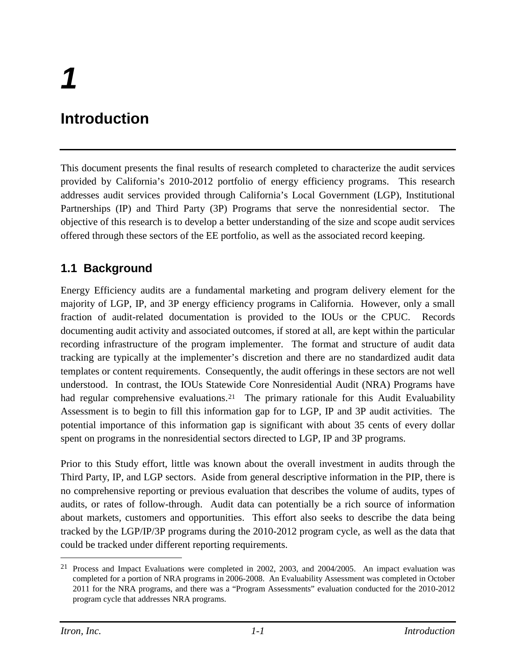# *1*

# <span id="page-15-0"></span>**Introduction**

This document presents the final results of research completed to characterize the audit services provided by California's 2010-2012 portfolio of energy efficiency programs. This research addresses audit services provided through California's Local Government (LGP), Institutional Partnerships (IP) and Third Party (3P) Programs that serve the nonresidential sector. The objective of this research is to develop a better understanding of the size and scope audit services offered through these sectors of the EE portfolio, as well as the associated record keeping.

## <span id="page-15-1"></span>**1.1 Background**

Energy Efficiency audits are a fundamental marketing and program delivery element for the majority of LGP, IP, and 3P energy efficiency programs in California. However, only a small fraction of audit-related documentation is provided to the IOUs or the CPUC. Records documenting audit activity and associated outcomes, if stored at all, are kept within the particular recording infrastructure of the program implementer. The format and structure of audit data tracking are typically at the implementer's discretion and there are no standardized audit data templates or content requirements. Consequently, the audit offerings in these sectors are not well understood. In contrast, the IOUs Statewide Core Nonresidential Audit (NRA) Programs have had regular comprehensive evaluations.<sup>[21](#page-15-2)</sup> The primary rationale for this Audit Evaluability Assessment is to begin to fill this information gap for to LGP, IP and 3P audit activities. The potential importance of this information gap is significant with about 35 cents of every dollar spent on programs in the nonresidential sectors directed to LGP, IP and 3P programs.

Prior to this Study effort, little was known about the overall investment in audits through the Third Party, IP, and LGP sectors. Aside from general descriptive information in the PIP, there is no comprehensive reporting or previous evaluation that describes the volume of audits, types of audits, or rates of follow-through. Audit data can potentially be a rich source of information about markets, customers and opportunities. This effort also seeks to describe the data being tracked by the LGP/IP/3P programs during the 2010-2012 program cycle, as well as the data that could be tracked under different reporting requirements.

<span id="page-15-2"></span> <sup>21</sup> Process and Impact Evaluations were completed in 2002, 2003, and 2004/2005. An impact evaluation was completed for a portion of NRA programs in 2006-2008. An Evaluability Assessment was completed in October 2011 for the NRA programs, and there was a "Program Assessments" evaluation conducted for the 2010-2012 program cycle that addresses NRA programs.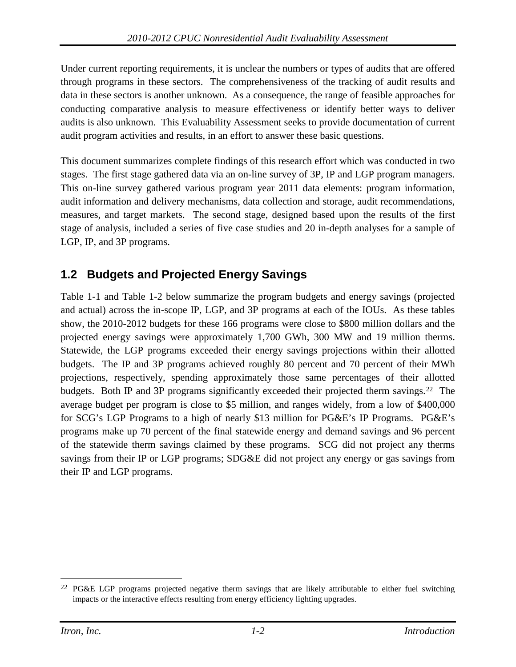Under current reporting requirements, it is unclear the numbers or types of audits that are offered through programs in these sectors. The comprehensiveness of the tracking of audit results and data in these sectors is another unknown. As a consequence, the range of feasible approaches for conducting comparative analysis to measure effectiveness or identify better ways to deliver audits is also unknown. This Evaluability Assessment seeks to provide documentation of current audit program activities and results, in an effort to answer these basic questions.

This document summarizes complete findings of this research effort which was conducted in two stages. The first stage gathered data via an on-line survey of 3P, IP and LGP program managers. This on-line survey gathered various program year 2011 data elements: program information, audit information and delivery mechanisms, data collection and storage, audit recommendations, measures, and target markets. The second stage, designed based upon the results of the first stage of analysis, included a series of five case studies and 20 in-depth analyses for a sample of LGP, IP, and 3P programs.

## <span id="page-16-0"></span>**1.2 Budgets and Projected Energy Savings**

[Table 1-1](#page-17-0) and [Table 1-2](#page-18-0) below summarize the program budgets and energy savings (projected and actual) across the in-scope IP, LGP, and 3P programs at each of the IOUs. As these tables show, the 2010-2012 budgets for these 166 programs were close to \$800 million dollars and the projected energy savings were approximately 1,700 GWh, 300 MW and 19 million therms. Statewide, the LGP programs exceeded their energy savings projections within their allotted budgets. The IP and 3P programs achieved roughly 80 percent and 70 percent of their MWh projections, respectively, spending approximately those same percentages of their allotted budgets. Both IP and 3P programs significantly exceeded their projected therm savings.<sup>22</sup> The average budget per program is close to \$5 million, and ranges widely, from a low of \$400,000 for SCG's LGP Programs to a high of nearly \$13 million for PG&E's IP Programs. PG&E's programs make up 70 percent of the final statewide energy and demand savings and 96 percent of the statewide therm savings claimed by these programs. SCG did not project any therms savings from their IP or LGP programs; SDG&E did not project any energy or gas savings from their IP and LGP programs.

<span id="page-16-1"></span><sup>&</sup>lt;sup>22</sup> PG&E LGP programs projected negative therm savings that are likely attributable to either fuel switching impacts or the interactive effects resulting from energy efficiency lighting upgrades.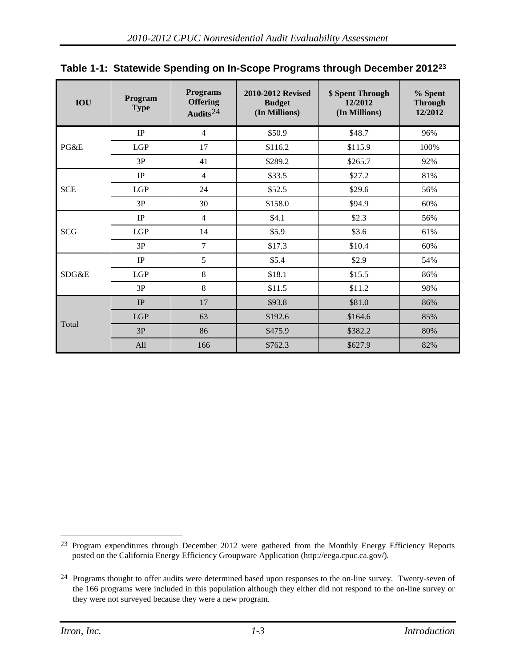| <b>IOU</b> | Program<br><b>Type</b> | <b>Programs</b><br><b>Offering</b><br>Audits <sup>24</sup> | 2010-2012 Revised<br><b>Budget</b><br>(In Millions) | \$ Spent Through<br>12/2012<br>(In Millions) | % Spent<br><b>Through</b><br>12/2012 |
|------------|------------------------|------------------------------------------------------------|-----------------------------------------------------|----------------------------------------------|--------------------------------------|
|            | $\rm IP$               | 4                                                          | \$50.9                                              | \$48.7                                       | 96%                                  |
| PG&E       | LGP                    | 17                                                         | \$116.2                                             | \$115.9                                      | 100%                                 |
|            | 3P                     | 41                                                         | \$289.2                                             | \$265.7                                      | 92%                                  |
|            | $\rm IP$               | 4                                                          | \$33.5                                              | \$27.2                                       | 81%                                  |
| <b>SCE</b> | LGP                    | 24                                                         | \$52.5                                              | \$29.6                                       | 56%                                  |
|            | 3P                     | 30                                                         | \$158.0                                             | \$94.9                                       | 60%                                  |
|            | $\rm IP$               | 4                                                          | \$4.1                                               | \$2.3                                        | 56%                                  |
| <b>SCG</b> | LGP                    | 14                                                         | \$5.9                                               | \$3.6                                        | 61%                                  |
|            | 3P                     | 7                                                          | \$17.3                                              | \$10.4                                       | 60%                                  |
|            | $\rm IP$               | 5                                                          | \$5.4                                               | \$2.9                                        | 54%                                  |
| SDG&E      | LGP                    | 8                                                          | \$18.1                                              | \$15.5                                       | 86%                                  |
|            | 3P                     | 8                                                          | \$11.5                                              | \$11.2                                       | 98%                                  |
|            | IP                     | 17                                                         | \$93.8                                              | \$81.0                                       | 86%                                  |
|            | <b>LGP</b>             | 63                                                         | \$192.6                                             | \$164.6                                      | 85%                                  |
| Total      | 3P                     | 86                                                         | \$475.9                                             | \$382.2                                      | 80%                                  |
|            | All                    | 166                                                        | \$762.3                                             | \$627.9                                      | 82%                                  |

<span id="page-17-0"></span>

| Table 1-1: Statewide Spending on In-Scope Programs through December 2012 <sup>23</sup> |  |  |  |
|----------------------------------------------------------------------------------------|--|--|--|
|                                                                                        |  |  |  |

<span id="page-17-1"></span> <sup>23</sup> Program expenditures through December 2012 were gathered from the Monthly Energy Efficiency Reports posted on the California Energy Efficiency Groupware Application [\(http://eega.cpuc.ca.gov/\)](http://eega.cpuc.ca.gov/).

<span id="page-17-2"></span><sup>24</sup> Programs thought to offer audits were determined based upon responses to the on-line survey. Twenty-seven of the 166 programs were included in this population although they either did not respond to the on-line survey or they were not surveyed because they were a new program.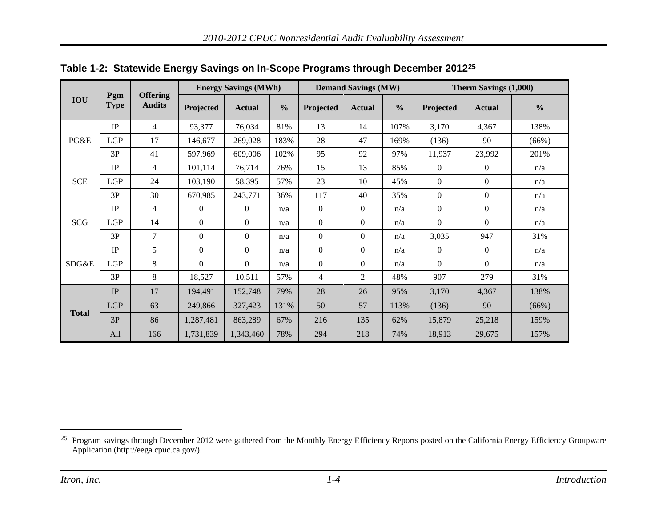<span id="page-18-0"></span>

|              |                    | <b>Energy Savings (MWh)</b>      |                  |               | <b>Demand Savings (MW)</b> |                  |                | Therm Savings (1,000) |                |               |               |
|--------------|--------------------|----------------------------------|------------------|---------------|----------------------------|------------------|----------------|-----------------------|----------------|---------------|---------------|
| <b>IOU</b>   | Pgm<br><b>Type</b> | <b>Offering</b><br><b>Audits</b> | Projected        | <b>Actual</b> | $\frac{0}{0}$              | Projected        | <b>Actual</b>  | $\frac{0}{0}$         | Projected      | <b>Actual</b> | $\frac{6}{6}$ |
|              | IP                 | 4                                | 93,377           | 76,034        | 81%                        | 13               | 14             | 107%                  | 3,170          | 4,367         | 138%          |
| PG&E         | <b>LGP</b>         | 17                               | 146,677          | 269,028       | 183%                       | 28               | 47             | 169%                  | (136)          | 90            | (66%)         |
|              | 3P                 | 41                               | 597,969          | 609,006       | 102%                       | 95               | 92             | 97%                   | 11,937         | 23,992        | 201%          |
|              | IP                 | 4                                | 101,114          | 76,714        | 76%                        | 15               | 13             | 85%                   | $\overline{0}$ | $\Omega$      | n/a           |
| <b>SCE</b>   | <b>LGP</b>         | 24                               | 103,190          | 58,395        | 57%                        | 23               | 10             | 45%                   | $\overline{0}$ | $\Omega$      | n/a           |
|              | 3P                 | 30                               | 670,985          | 243,771       | 36%                        | 117              | 40             | 35%                   | $\overline{0}$ | $\Omega$      | n/a           |
|              | IP                 | $\overline{4}$                   | $\Omega$         | $\Omega$      | n/a                        | $\Omega$         | $\overline{0}$ | n/a                   | $\overline{0}$ | $\Omega$      | n/a           |
| <b>SCG</b>   | LGP                | 14                               | $\Omega$         | $\Omega$      | n/a                        | $\boldsymbol{0}$ | $\overline{0}$ | n/a                   | $\overline{0}$ | $\Omega$      | n/a           |
|              | 3P                 | 7                                | $\boldsymbol{0}$ | $\mathbf{0}$  | n/a                        | $\theta$         | $\theta$       | n/a                   | 3,035          | 947           | 31%           |
|              | IP                 | 5                                | $\Omega$         | $\mathbf{0}$  | n/a                        | $\boldsymbol{0}$ | $\theta$       | n/a                   | $\overline{0}$ | $\Omega$      | n/a           |
| SDG&E        | <b>LGP</b>         | 8                                | $\Omega$         | $\Omega$      | n/a                        | $\Omega$         | $\Omega$       | n/a                   | $\Omega$       | $\Omega$      | n/a           |
|              | 3P                 | 8                                | 18,527           | 10,511        | 57%                        | $\overline{4}$   | 2              | 48%                   | 907            | 279           | 31%           |
|              | IP                 | 17                               | 194,491          | 152,748       | 79%                        | 28               | 26             | 95%                   | 3,170          | 4,367         | 138%          |
|              | <b>LGP</b>         | 63                               | 249,866          | 327,423       | 131%                       | 50               | 57             | 113%                  | (136)          | 90            | (66%)         |
| <b>Total</b> | 3P                 | 86                               | 1,287,481        | 863,289       | 67%                        | 216              | 135            | 62%                   | 15,879         | 25,218        | 159%          |
|              | All                | 166                              | 1,731,839        | 1,343,460     | 78%                        | 294              | 218            | 74%                   | 18,913         | 29,675        | 157%          |

<span id="page-18-1"></span>**Table 1-2: Statewide Energy Savings on In-Scope Programs through December 2012[25](#page-18-1)**

<sup>&</sup>lt;sup>25</sup> Program savings through December 2012 were gathered from the Monthly Energy Efficiency Reports posted on the California Energy Efficiency Groupware Application [\(http://eega.cpuc.ca.gov/\)](http://eega.cpuc.ca.gov/).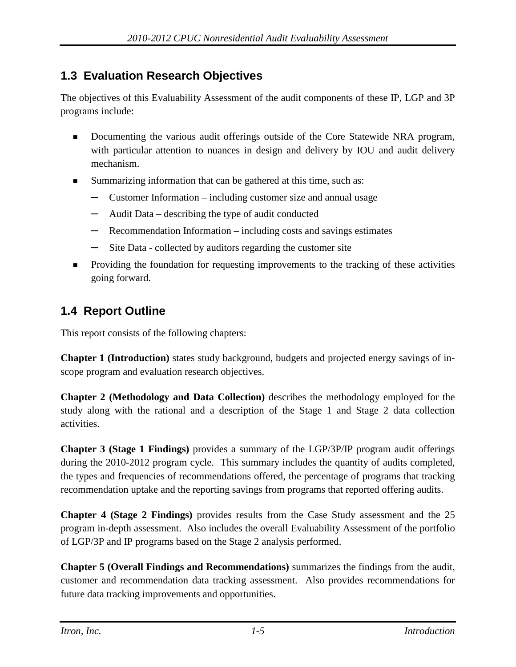## <span id="page-19-0"></span>**1.3 Evaluation Research Objectives**

The objectives of this Evaluability Assessment of the audit components of these IP, LGP and 3P programs include:

- Documenting the various audit offerings outside of the Core Statewide NRA program, with particular attention to nuances in design and delivery by IOU and audit delivery mechanism.
- Summarizing information that can be gathered at this time, such as:
	- **─** Customer Information including customer size and annual usage
	- **─** Audit Data describing the type of audit conducted
	- **─** Recommendation Information including costs and savings estimates
	- **─** Site Data collected by auditors regarding the customer site
- **Providing the foundation for requesting improvements to the tracking of these activities** going forward.

## <span id="page-19-1"></span>**1.4 Report Outline**

This report consists of the following chapters:

**Chapter 1 (Introduction)** states study background, budgets and projected energy savings of inscope program and evaluation research objectives.

**Chapter 2 (Methodology and Data Collection)** describes the methodology employed for the study along with the rational and a description of the Stage 1 and Stage 2 data collection activities.

**Chapter 3 (Stage 1 Findings)** provides a summary of the LGP/3P/IP program audit offerings during the 2010-2012 program cycle. This summary includes the quantity of audits completed, the types and frequencies of recommendations offered, the percentage of programs that tracking recommendation uptake and the reporting savings from programs that reported offering audits.

**Chapter 4 (Stage 2 Findings)** provides results from the Case Study assessment and the 25 program in-depth assessment. Also includes the overall Evaluability Assessment of the portfolio of LGP/3P and IP programs based on the Stage 2 analysis performed.

**Chapter 5 (Overall Findings and Recommendations)** summarizes the findings from the audit, customer and recommendation data tracking assessment. Also provides recommendations for future data tracking improvements and opportunities.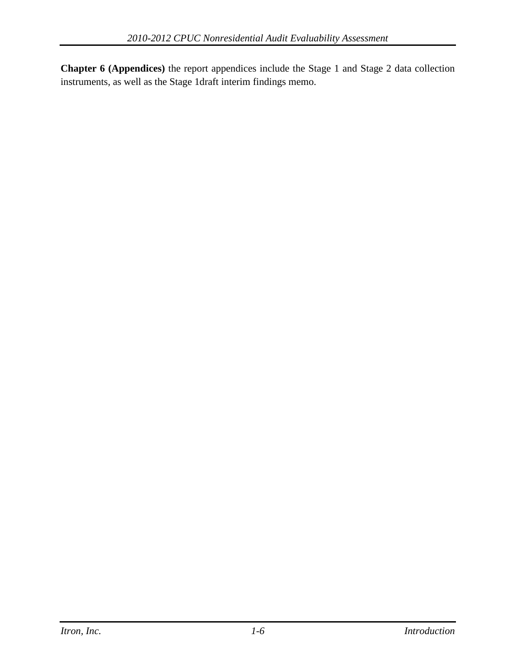**Chapter 6 (Appendices)** the report appendices include the Stage 1 and Stage 2 data collection instruments, as well as the Stage 1draft interim findings memo.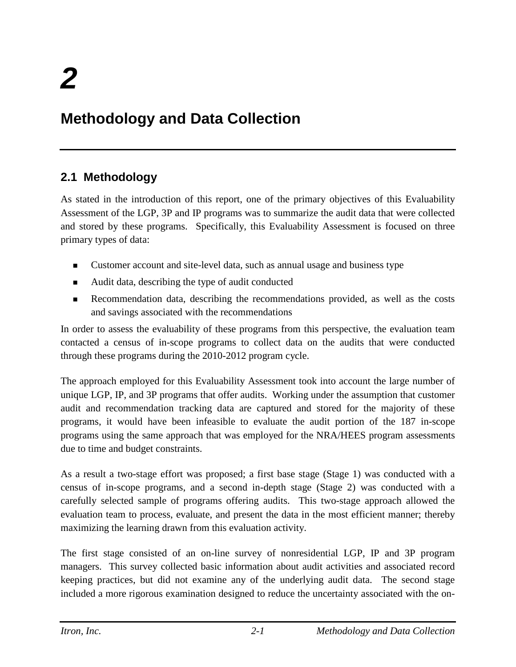## <span id="page-21-0"></span>**Methodology and Data Collection**

## <span id="page-21-1"></span>**2.1 Methodology**

As stated in the introduction of this report, one of the primary objectives of this Evaluability Assessment of the LGP, 3P and IP programs was to summarize the audit data that were collected and stored by these programs. Specifically, this Evaluability Assessment is focused on three primary types of data:

- Customer account and site-level data, such as annual usage and business type
- Audit data, describing the type of audit conducted
- Recommendation data, describing the recommendations provided, as well as the costs and savings associated with the recommendations

In order to assess the evaluability of these programs from this perspective, the evaluation team contacted a census of in-scope programs to collect data on the audits that were conducted through these programs during the 2010-2012 program cycle.

The approach employed for this Evaluability Assessment took into account the large number of unique LGP, IP, and 3P programs that offer audits. Working under the assumption that customer audit and recommendation tracking data are captured and stored for the majority of these programs, it would have been infeasible to evaluate the audit portion of the 187 in-scope programs using the same approach that was employed for the NRA/HEES program assessments due to time and budget constraints.

As a result a two-stage effort was proposed; a first base stage (Stage 1) was conducted with a census of in-scope programs, and a second in-depth stage (Stage 2) was conducted with a carefully selected sample of programs offering audits. This two-stage approach allowed the evaluation team to process, evaluate, and present the data in the most efficient manner; thereby maximizing the learning drawn from this evaluation activity.

The first stage consisted of an on-line survey of nonresidential LGP, IP and 3P program managers. This survey collected basic information about audit activities and associated record keeping practices, but did not examine any of the underlying audit data. The second stage included a more rigorous examination designed to reduce the uncertainty associated with the on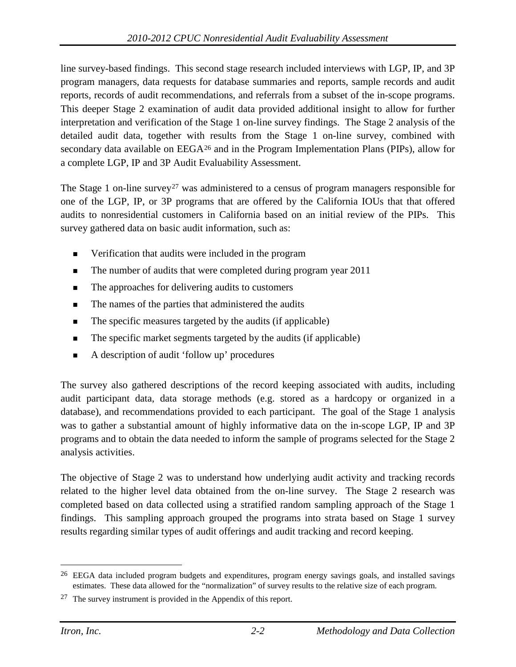line survey-based findings. This second stage research included interviews with LGP, IP, and 3P program managers, data requests for database summaries and reports, sample records and audit reports, records of audit recommendations, and referrals from a subset of the in-scope programs. This deeper Stage 2 examination of audit data provided additional insight to allow for further interpretation and verification of the Stage 1 on-line survey findings. The Stage 2 analysis of the detailed audit data, together with results from the Stage 1 on-line survey, combined with secondary data available on EEGA<sup>[26](#page-22-0)</sup> and in the Program Implementation Plans (PIPs), allow for a complete LGP, IP and 3P Audit Evaluability Assessment.

The Stage 1 on-line survey<sup>[27](#page-22-1)</sup> was administered to a census of program managers responsible for one of the LGP, IP, or 3P programs that are offered by the California IOUs that that offered audits to nonresidential customers in California based on an initial review of the PIPs. This survey gathered data on basic audit information, such as:

- Verification that audits were included in the program
- The number of audits that were completed during program year 2011
- The approaches for delivering audits to customers
- The names of the parties that administered the audits
- The specific measures targeted by the audits (if applicable)
- The specific market segments targeted by the audits (if applicable)
- A description of audit 'follow up' procedures

The survey also gathered descriptions of the record keeping associated with audits, including audit participant data, data storage methods (e.g. stored as a hardcopy or organized in a database), and recommendations provided to each participant. The goal of the Stage 1 analysis was to gather a substantial amount of highly informative data on the in-scope LGP, IP and 3P programs and to obtain the data needed to inform the sample of programs selected for the Stage 2 analysis activities.

The objective of Stage 2 was to understand how underlying audit activity and tracking records related to the higher level data obtained from the on-line survey. The Stage 2 research was completed based on data collected using a stratified random sampling approach of the Stage 1 findings. This sampling approach grouped the programs into strata based on Stage 1 survey results regarding similar types of audit offerings and audit tracking and record keeping.

<span id="page-22-0"></span><sup>&</sup>lt;sup>26</sup> EEGA data included program budgets and expenditures, program energy savings goals, and installed savings estimates. These data allowed for the "normalization" of survey results to the relative size of each program.

<span id="page-22-1"></span> $27$  The survey instrument is provided in the Appendix of this report.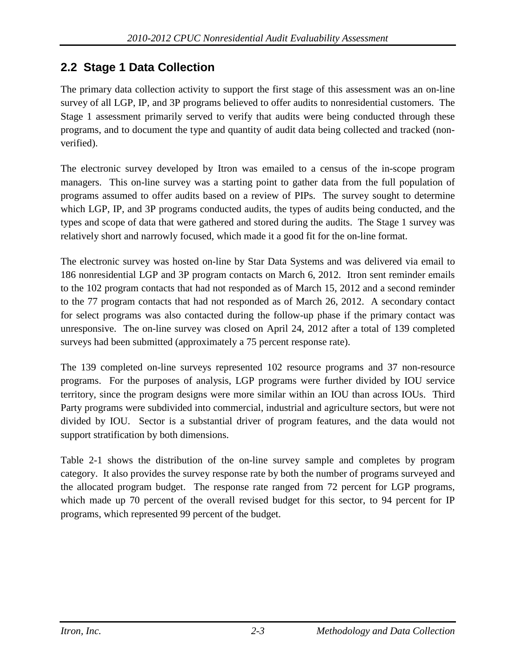## <span id="page-23-0"></span>**2.2 Stage 1 Data Collection**

The primary data collection activity to support the first stage of this assessment was an on-line survey of all LGP, IP, and 3P programs believed to offer audits to nonresidential customers. The Stage 1 assessment primarily served to verify that audits were being conducted through these programs, and to document the type and quantity of audit data being collected and tracked (nonverified).

The electronic survey developed by Itron was emailed to a census of the in-scope program managers. This on-line survey was a starting point to gather data from the full population of programs assumed to offer audits based on a review of PIPs. The survey sought to determine which LGP, IP, and 3P programs conducted audits, the types of audits being conducted, and the types and scope of data that were gathered and stored during the audits. The Stage 1 survey was relatively short and narrowly focused, which made it a good fit for the on-line format.

The electronic survey was hosted on-line by Star Data Systems and was delivered via email to 186 nonresidential LGP and 3P program contacts on March 6, 2012. Itron sent reminder emails to the 102 program contacts that had not responded as of March 15, 2012 and a second reminder to the 77 program contacts that had not responded as of March 26, 2012. A secondary contact for select programs was also contacted during the follow-up phase if the primary contact was unresponsive. The on-line survey was closed on April 24, 2012 after a total of 139 completed surveys had been submitted (approximately a 75 percent response rate).

The 139 completed on-line surveys represented 102 resource programs and 37 non-resource programs. For the purposes of analysis, LGP programs were further divided by IOU service territory, since the program designs were more similar within an IOU than across IOUs. Third Party programs were subdivided into commercial, industrial and agriculture sectors, but were not divided by IOU. Sector is a substantial driver of program features, and the data would not support stratification by both dimensions.

[Table 2-1](#page-24-2) shows the distribution of the on-line survey sample and completes by program category. It also provides the survey response rate by both the number of programs surveyed and the allocated program budget. The response rate ranged from 72 percent for LGP programs, which made up 70 percent of the overall revised budget for this sector, to 94 percent for IP programs, which represented 99 percent of the budget.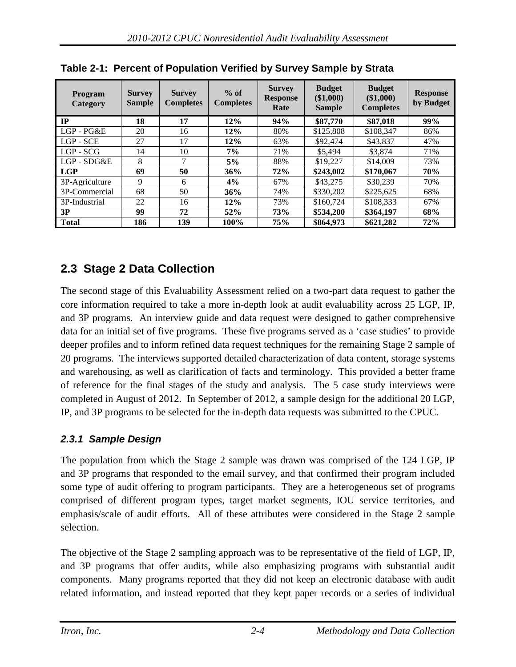| Program<br><b>Category</b> | <b>Survey</b><br><b>Sample</b> | <b>Survey</b><br><b>Completes</b> | $%$ of<br><b>Completes</b> | <b>Survey</b><br><b>Response</b><br>Rate | <b>Budget</b><br>$(\$1,000)$<br><b>Sample</b> | <b>Budget</b><br>(\$1,000)<br><b>Completes</b> | <b>Response</b><br>by Budget |
|----------------------------|--------------------------------|-----------------------------------|----------------------------|------------------------------------------|-----------------------------------------------|------------------------------------------------|------------------------------|
| $_{\rm IP}$                | 18                             | 17                                | 12%                        | 94%                                      | \$87,770                                      | \$87,018                                       | 99%                          |
| LGP-PG&E                   | 20                             | 16                                | 12%                        | 80%                                      | \$125,808                                     | \$108.347                                      | 86%                          |
| $LGP - SCE$                | 27                             | 17                                | 12%                        | 63%                                      | \$92,474                                      | \$43,837                                       | 47%                          |
| $LGP - SCG$                | 14                             | 10                                | $7\%$                      | 71%                                      | \$5,494                                       | \$3,874                                        | 71%                          |
| $LGP - SDG&E$              | 8                              | ⇁                                 | 5%                         | 88%                                      | \$19,227                                      | \$14,009                                       | 73%                          |
| <b>LGP</b>                 | 69                             | 50                                | 36%                        | 72%                                      | \$243,002                                     | \$170,067                                      | 70%                          |
| 3P-Agriculture             | 9                              | 6                                 | 4%                         | 67%                                      | \$43,275                                      | \$30,239                                       | 70%                          |
| 3P-Commercial              | 68                             | 50                                | 36%                        | 74%                                      | \$330.202                                     | \$225,625                                      | 68%                          |
| 3P-Industrial              | 22                             | 16                                | 12%                        | 73%                                      | \$160.724                                     | \$108.333                                      | 67%                          |
| 3P                         | 99                             | 72                                | 52%                        | 73%                                      | \$534.200                                     | \$364,197                                      | 68%                          |
| <b>Total</b>               | 186                            | 139                               | 100%                       | 75%                                      | \$864.973                                     | \$621,282                                      | 72%                          |

<span id="page-24-2"></span>**Table 2-1: Percent of Population Verified by Survey Sample by Strata**

## <span id="page-24-0"></span>**2.3 Stage 2 Data Collection**

The second stage of this Evaluability Assessment relied on a two-part data request to gather the core information required to take a more in-depth look at audit evaluability across 25 LGP, IP, and 3P programs. An interview guide and data request were designed to gather comprehensive data for an initial set of five programs. These five programs served as a 'case studies' to provide deeper profiles and to inform refined data request techniques for the remaining Stage 2 sample of 20 programs. The interviews supported detailed characterization of data content, storage systems and warehousing, as well as clarification of facts and terminology. This provided a better frame of reference for the final stages of the study and analysis. The 5 case study interviews were completed in August of 2012. In September of 2012, a sample design for the additional 20 LGP, IP, and 3P programs to be selected for the in-depth data requests was submitted to the CPUC.

#### <span id="page-24-1"></span>*2.3.1 Sample Design*

The population from which the Stage 2 sample was drawn was comprised of the 124 LGP, IP and 3P programs that responded to the email survey, and that confirmed their program included some type of audit offering to program participants. They are a heterogeneous set of programs comprised of different program types, target market segments, IOU service territories, and emphasis/scale of audit efforts. All of these attributes were considered in the Stage 2 sample selection.

The objective of the Stage 2 sampling approach was to be representative of the field of LGP, IP, and 3P programs that offer audits, while also emphasizing programs with substantial audit components. Many programs reported that they did not keep an electronic database with audit related information, and instead reported that they kept paper records or a series of individual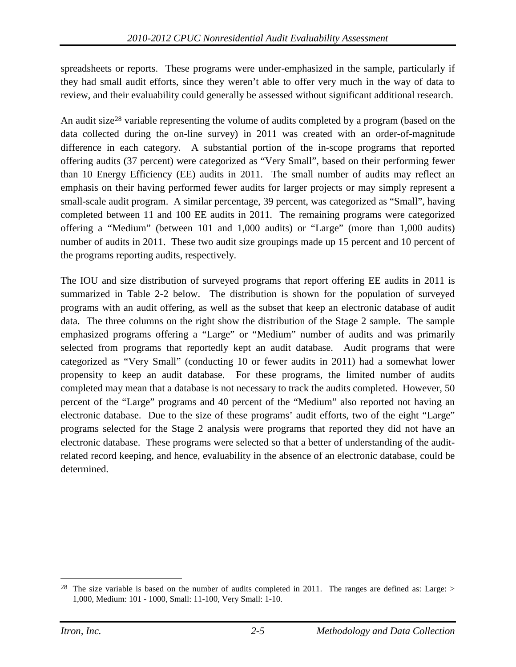spreadsheets or reports. These programs were under-emphasized in the sample, particularly if they had small audit efforts, since they weren't able to offer very much in the way of data to review, and their evaluability could generally be assessed without significant additional research.

An audit size<sup>[28](#page-25-0)</sup> variable representing the volume of audits completed by a program (based on the data collected during the on-line survey) in 2011 was created with an order-of-magnitude difference in each category. A substantial portion of the in-scope programs that reported offering audits (37 percent) were categorized as "Very Small", based on their performing fewer than 10 Energy Efficiency (EE) audits in 2011. The small number of audits may reflect an emphasis on their having performed fewer audits for larger projects or may simply represent a small-scale audit program. A similar percentage, 39 percent, was categorized as "Small", having completed between 11 and 100 EE audits in 2011. The remaining programs were categorized offering a "Medium" (between 101 and 1,000 audits) or "Large" (more than 1,000 audits) number of audits in 2011. These two audit size groupings made up 15 percent and 10 percent of the programs reporting audits, respectively.

The IOU and size distribution of surveyed programs that report offering EE audits in 2011 is summarized in [Table 2-2](#page-26-0) below. The distribution is shown for the population of surveyed programs with an audit offering, as well as the subset that keep an electronic database of audit data. The three columns on the right show the distribution of the Stage 2 sample. The sample emphasized programs offering a "Large" or "Medium" number of audits and was primarily selected from programs that reportedly kept an audit database. Audit programs that were categorized as "Very Small" (conducting 10 or fewer audits in 2011) had a somewhat lower propensity to keep an audit database. For these programs, the limited number of audits completed may mean that a database is not necessary to track the audits completed. However, 50 percent of the "Large" programs and 40 percent of the "Medium" also reported not having an electronic database. Due to the size of these programs' audit efforts, two of the eight "Large" programs selected for the Stage 2 analysis were programs that reported they did not have an electronic database. These programs were selected so that a better of understanding of the auditrelated record keeping, and hence, evaluability in the absence of an electronic database, could be determined.

<span id="page-25-0"></span><sup>&</sup>lt;sup>28</sup> The size variable is based on the number of audits completed in 2011. The ranges are defined as: Large: > 1,000, Medium: 101 - 1000, Small: 11-100, Very Small: 1-10.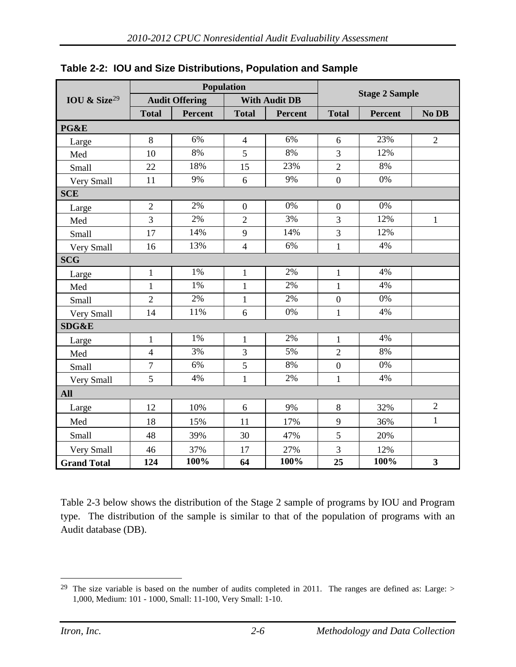|                          |                |                       | Population     |                      |                  |                       |                         |  |  |
|--------------------------|----------------|-----------------------|----------------|----------------------|------------------|-----------------------|-------------------------|--|--|
| IOU & Size <sup>29</sup> |                | <b>Audit Offering</b> |                | <b>With Audit DB</b> |                  | <b>Stage 2 Sample</b> |                         |  |  |
|                          | <b>Total</b>   | <b>Percent</b>        | <b>Total</b>   | <b>Percent</b>       | <b>Total</b>     | Percent               | No DB                   |  |  |
| PG&E                     |                |                       |                |                      |                  |                       |                         |  |  |
| Large                    | 8              | 6%                    | $\overline{4}$ | 6%                   | 6                | 23%                   | $\overline{2}$          |  |  |
| Med                      | 10             | 8%                    | 5              | 8%                   | 3                | 12%                   |                         |  |  |
| <b>Small</b>             | 22             | 18%                   | 15             | 23%                  | $\overline{2}$   | 8%                    |                         |  |  |
| Very Small               | 11             | 9%                    | 6              | 9%                   | $\boldsymbol{0}$ | 0%                    |                         |  |  |
| <b>SCE</b>               |                |                       |                |                      |                  |                       |                         |  |  |
| Large                    | $\overline{2}$ | 2%                    | $\overline{0}$ | 0%                   | $\boldsymbol{0}$ | 0%                    |                         |  |  |
| Med                      | 3              | 2%                    | $\overline{2}$ | 3%                   | 3                | 12%                   | $\mathbf{1}$            |  |  |
| <b>Small</b>             | 17             | 14%                   | 9              | 14%                  | 3                | 12%                   |                         |  |  |
| Very Small               | 16             | 13%                   | $\overline{4}$ | 6%                   | $\mathbf{1}$     | 4%                    |                         |  |  |
| <b>SCG</b>               |                |                       |                |                      |                  |                       |                         |  |  |
| Large                    | 1              | 1%                    | 1              | 2%                   | 1                | 4%                    |                         |  |  |
| Med                      | $\mathbf{1}$   | 1%                    | $\mathbf{1}$   | 2%                   | $\mathbf{1}$     | 4%                    |                         |  |  |
| Small                    | $\overline{2}$ | 2%                    | $\mathbf{1}$   | 2%                   | $\boldsymbol{0}$ | 0%                    |                         |  |  |
| Very Small               | 14             | 11%                   | 6              | 0%                   | $\mathbf{1}$     | 4%                    |                         |  |  |
| <b>SDG&amp;E</b>         |                |                       |                |                      |                  |                       |                         |  |  |
| Large                    | $\mathbf{1}$   | 1%                    | $\mathbf{1}$   | 2%                   | $\mathbf{1}$     | 4%                    |                         |  |  |
| Med                      | $\overline{4}$ | 3%                    | 3              | 5%                   | $\overline{2}$   | 8%                    |                         |  |  |
| Small                    | $\overline{7}$ | 6%                    | 5              | 8%                   | $\boldsymbol{0}$ | 0%                    |                         |  |  |
| Very Small               | 5              | 4%                    | $\mathbf{1}$   | 2%                   | $\mathbf{1}$     | 4%                    |                         |  |  |
| <b>All</b>               |                |                       |                |                      |                  |                       |                         |  |  |
| Large                    | 12             | 10%                   | 6              | 9%                   | 8                | 32%                   | $\overline{2}$          |  |  |
| Med                      | 18             | 15%                   | 11             | 17%                  | 9                | 36%                   | $\mathbf{1}$            |  |  |
| Small                    | 48             | 39%                   | 30             | 47%                  | 5                | 20%                   |                         |  |  |
| Very Small               | 46             | 37%                   | 17             | 27%                  | 3                | 12%                   |                         |  |  |
| <b>Grand Total</b>       | 124            | 100%                  | 64             | 100%                 | 25               | 100%                  | $\overline{\mathbf{3}}$ |  |  |

<span id="page-26-0"></span>

|  |  | Table 2-2: IOU and Size Distributions, Population and Sample |  |  |
|--|--|--------------------------------------------------------------|--|--|
|--|--|--------------------------------------------------------------|--|--|

[Table 2-3](#page-27-1) below shows the distribution of the Stage 2 sample of programs by IOU and Program type. The distribution of the sample is similar to that of the population of programs with an Audit database (DB).

<span id="page-26-1"></span><sup>&</sup>lt;sup>29</sup> The size variable is based on the number of audits completed in 2011. The ranges are defined as: Large: > 1,000, Medium: 101 - 1000, Small: 11-100, Very Small: 1-10.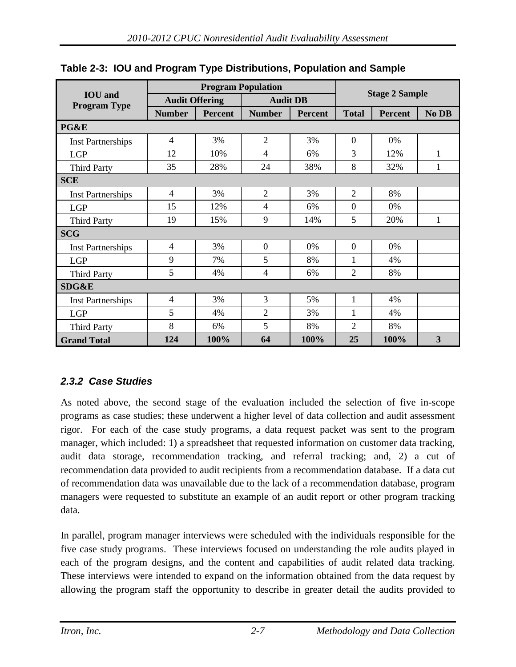| <b>IOU</b> and<br><b>Program Type</b> | <b>Audit Offering</b> |                |                | <b>Audit DB</b> |                | <b>Stage 2 Sample</b> |              |  |  |
|---------------------------------------|-----------------------|----------------|----------------|-----------------|----------------|-----------------------|--------------|--|--|
|                                       | <b>Number</b>         | <b>Percent</b> | <b>Number</b>  | <b>Percent</b>  | <b>Total</b>   | <b>Percent</b>        | No DB        |  |  |
| PG&E                                  |                       |                |                |                 |                |                       |              |  |  |
| <b>Inst Partnerships</b>              | $\overline{4}$        | 3%             | $\overline{2}$ | 3%              | $\overline{0}$ | $0\%$                 |              |  |  |
| <b>LGP</b>                            | 12                    | 10%            | $\overline{4}$ | 6%              | 3              | 12%                   | $\mathbf{1}$ |  |  |
| <b>Third Party</b>                    | 35                    | 28%            | 24             | 38%             | 8              | 32%                   | 1            |  |  |
| <b>SCE</b>                            |                       |                |                |                 |                |                       |              |  |  |
| <b>Inst Partnerships</b>              | 4                     | 3%             | $\overline{2}$ | 3%              | $\overline{2}$ | 8%                    |              |  |  |
| <b>LGP</b>                            | 15                    | 12%            | 4              | 6%              | $\overline{0}$ | 0%                    |              |  |  |
| <b>Third Party</b>                    | 19                    | 15%            | 9              | 14%             | 5              | 20%                   | $\mathbf{1}$ |  |  |
| <b>SCG</b>                            |                       |                |                |                 |                |                       |              |  |  |
| <b>Inst Partnerships</b>              | 4                     | 3%             | $\overline{0}$ | 0%              | $\overline{0}$ | $0\%$                 |              |  |  |
| <b>LGP</b>                            | 9                     | 7%             | 5              | 8%              | 1              | 4%                    |              |  |  |
| <b>Third Party</b>                    | 5                     | 4%             | $\overline{4}$ | 6%              | $\overline{2}$ | 8%                    |              |  |  |
| SDG&E                                 |                       |                |                |                 |                |                       |              |  |  |
| <b>Inst Partnerships</b>              | 4                     | 3%             | 3              | 5%              | $\mathbf{1}$   | 4%                    |              |  |  |
| <b>LGP</b>                            | 5                     | 4%             | $\overline{2}$ | 3%              | 1              | 4%                    |              |  |  |
| <b>Third Party</b>                    | 8                     | 6%             | 5              | 8%              | $\overline{2}$ | 8%                    |              |  |  |
| <b>Grand Total</b>                    | 124                   | 100%           | 64             | 100%            | 25             | 100%                  | 3            |  |  |

#### <span id="page-27-1"></span>**Table 2-3: IOU and Program Type Distributions, Population and Sample**

#### <span id="page-27-0"></span>*2.3.2 Case Studies*

As noted above, the second stage of the evaluation included the selection of five in-scope programs as case studies; these underwent a higher level of data collection and audit assessment rigor. For each of the case study programs, a data request packet was sent to the program manager, which included: 1) a spreadsheet that requested information on customer data tracking, audit data storage, recommendation tracking, and referral tracking; and, 2) a cut of recommendation data provided to audit recipients from a recommendation database. If a data cut of recommendation data was unavailable due to the lack of a recommendation database, program managers were requested to substitute an example of an audit report or other program tracking data.

In parallel, program manager interviews were scheduled with the individuals responsible for the five case study programs. These interviews focused on understanding the role audits played in each of the program designs, and the content and capabilities of audit related data tracking. These interviews were intended to expand on the information obtained from the data request by allowing the program staff the opportunity to describe in greater detail the audits provided to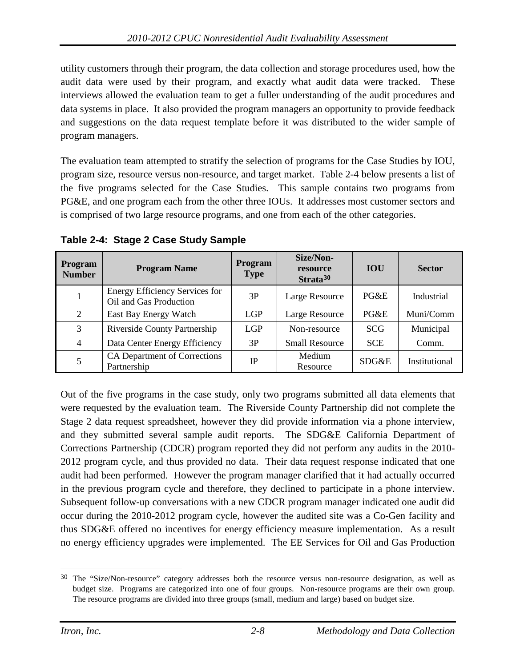utility customers through their program, the data collection and storage procedures used, how the audit data were used by their program, and exactly what audit data were tracked. These interviews allowed the evaluation team to get a fuller understanding of the audit procedures and data systems in place. It also provided the program managers an opportunity to provide feedback and suggestions on the data request template before it was distributed to the wider sample of program managers.

The evaluation team attempted to stratify the selection of programs for the Case Studies by IOU, program size, resource versus non-resource, and target market. [Table 2-4](#page-28-0) below presents a list of the five programs selected for the Case Studies. This sample contains two programs from PG&E, and one program each from the other three IOUs. It addresses most customer sectors and is comprised of two large resource programs, and one from each of the other categories.

| <b>Program</b><br><b>Number</b> | <b>Program Name</b>                                             | <b>Program</b><br><b>Type</b> | Size/Non-<br>resource<br>Strata <sup>30</sup> | <b>IOU</b> | <b>Sector</b> |
|---------------------------------|-----------------------------------------------------------------|-------------------------------|-----------------------------------------------|------------|---------------|
|                                 | <b>Energy Efficiency Services for</b><br>Oil and Gas Production | 3P                            | Large Resource                                | PG&E       | Industrial    |
| 2                               | East Bay Energy Watch                                           | <b>LGP</b>                    | Large Resource                                | PG&E       | Muni/Comm     |
| 3                               | Riverside County Partnership                                    | <b>LGP</b>                    | Non-resource                                  | <b>SCG</b> | Municipal     |
| $\overline{4}$                  | Data Center Energy Efficiency                                   | 3P                            | <b>Small Resource</b>                         | <b>SCE</b> | Comm.         |
| 5                               | CA Department of Corrections<br>Partnership                     | IP                            | Medium<br>Resource                            | SDG&E      | Institutional |

<span id="page-28-0"></span>**Table 2-4: Stage 2 Case Study Sample** 

Out of the five programs in the case study, only two programs submitted all data elements that were requested by the evaluation team. The Riverside County Partnership did not complete the Stage 2 data request spreadsheet, however they did provide information via a phone interview, and they submitted several sample audit reports. The SDG&E California Department of Corrections Partnership (CDCR) program reported they did not perform any audits in the 2010- 2012 program cycle, and thus provided no data. Their data request response indicated that one audit had been performed. However the program manager clarified that it had actually occurred in the previous program cycle and therefore, they declined to participate in a phone interview. Subsequent follow-up conversations with a new CDCR program manager indicated one audit did occur during the 2010-2012 program cycle, however the audited site was a Co-Gen facility and thus SDG&E offered no incentives for energy efficiency measure implementation. As a result no energy efficiency upgrades were implemented. The EE Services for Oil and Gas Production

<span id="page-28-1"></span><sup>&</sup>lt;sup>30</sup> The "Size/Non-resource" category addresses both the resource versus non-resource designation, as well as budget size. Programs are categorized into one of four groups. Non-resource programs are their own group. The resource programs are divided into three groups (small, medium and large) based on budget size.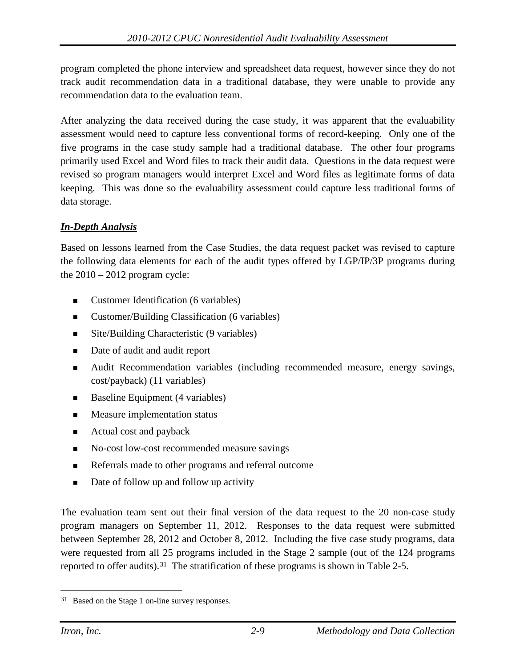program completed the phone interview and spreadsheet data request, however since they do not track audit recommendation data in a traditional database, they were unable to provide any recommendation data to the evaluation team.

After analyzing the data received during the case study, it was apparent that the evaluability assessment would need to capture less conventional forms of record-keeping. Only one of the five programs in the case study sample had a traditional database. The other four programs primarily used Excel and Word files to track their audit data. Questions in the data request were revised so program managers would interpret Excel and Word files as legitimate forms of data keeping. This was done so the evaluability assessment could capture less traditional forms of data storage.

#### *In-Depth Analysis*

Based on lessons learned from the Case Studies, the data request packet was revised to capture the following data elements for each of the audit types offered by LGP/IP/3P programs during the  $2010 - 2012$  program cycle:

- Customer Identification (6 variables)
- Customer/Building Classification (6 variables)
- Site/Building Characteristic (9 variables)
- Date of audit and audit report
- Audit Recommendation variables (including recommended measure, energy savings, cost/payback) (11 variables)
- Baseline Equipment (4 variables)
- Measure implementation status
- Actual cost and payback
- No-cost low-cost recommended measure savings
- Referrals made to other programs and referral outcome
- Date of follow up and follow up activity

The evaluation team sent out their final version of the data request to the 20 non-case study program managers on September 11, 2012. Responses to the data request were submitted between September 28, 2012 and October 8, 2012. Including the five case study programs, data were requested from all 25 programs included in the Stage 2 sample (out of the 124 programs reported to offer audits).<sup>[31](#page-29-0)</sup> The stratification of these programs is shown in [Table 2-5.](#page-30-0)

<span id="page-29-0"></span> <sup>31</sup> Based on the Stage 1 on-line survey responses.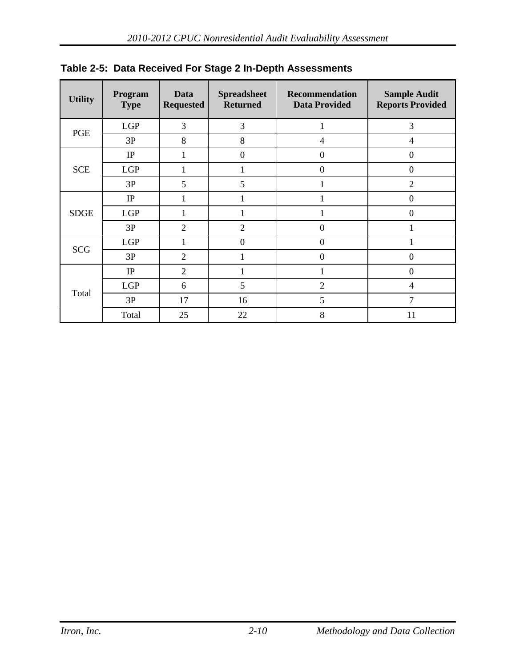| <b>Utility</b> | Program<br><b>Type</b> | <b>Data</b><br><b>Requested</b> | <b>Spreadsheet</b><br><b>Returned</b> | <b>Recommendation</b><br><b>Data Provided</b> | <b>Sample Audit</b><br><b>Reports Provided</b> |  |
|----------------|------------------------|---------------------------------|---------------------------------------|-----------------------------------------------|------------------------------------------------|--|
| PGE            | LGP                    | 3                               | 3                                     | 1                                             | 3                                              |  |
|                | 3P                     | 8                               | 8                                     | $\overline{4}$                                | 4                                              |  |
| <b>SCE</b>     | IP                     | 1                               | $\boldsymbol{0}$                      | $\mathbf{0}$                                  | $\boldsymbol{0}$                               |  |
|                | <b>LGP</b>             | 1                               | $\mathbf{1}$                          | $\theta$                                      | $\overline{0}$                                 |  |
|                | 3P                     | 5                               | 5                                     | 1                                             | $\overline{2}$                                 |  |
| <b>SDGE</b>    | IP                     | 1                               | 1                                     |                                               | $\overline{0}$                                 |  |
|                | <b>LGP</b>             |                                 | 1                                     |                                               | $\boldsymbol{0}$                               |  |
|                | 3P                     | $\overline{2}$                  | $\overline{2}$                        | $\mathbf{0}$                                  |                                                |  |
| <b>SCG</b>     | LGP                    |                                 | $\mathbf{0}$                          | $\theta$                                      |                                                |  |
|                | 3P                     | 2                               | 1                                     | $\theta$                                      | $\overline{0}$                                 |  |
| Total          | IP                     | $\overline{2}$                  | 1                                     | 1                                             | $\boldsymbol{0}$                               |  |
|                | <b>LGP</b>             | 6                               | 5                                     | $\overline{2}$                                | 4                                              |  |
|                | 3P                     | 17                              | 16                                    | 5                                             | $\overline{7}$                                 |  |
|                | Total                  | 25                              | 22                                    | 8                                             | 11                                             |  |

<span id="page-30-0"></span>**Table 2-5: Data Received For Stage 2 In-Depth Assessments**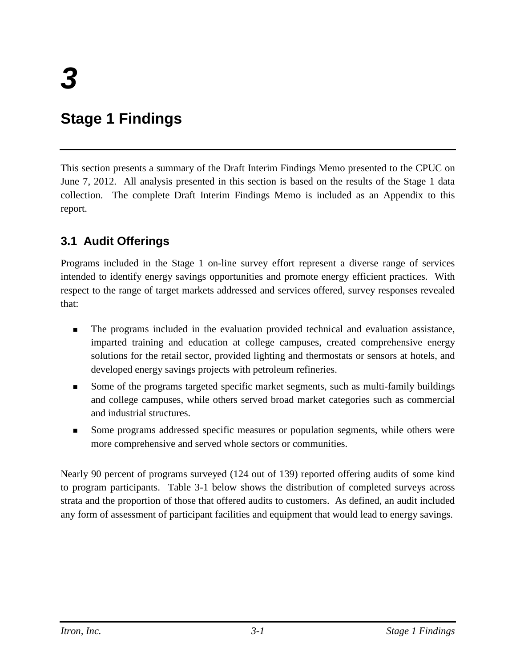## <span id="page-31-0"></span>**Stage 1 Findings**

This section presents a summary of the Draft Interim Findings Memo presented to the CPUC on June 7, 2012. All analysis presented in this section is based on the results of the Stage 1 data collection. The complete Draft Interim Findings Memo is included as an Appendix to this report.

## <span id="page-31-1"></span>**3.1 Audit Offerings**

Programs included in the Stage 1 on-line survey effort represent a diverse range of services intended to identify energy savings opportunities and promote energy efficient practices. With respect to the range of target markets addressed and services offered, survey responses revealed that:

- The programs included in the evaluation provided technical and evaluation assistance, imparted training and education at college campuses, created comprehensive energy solutions for the retail sector, provided lighting and thermostats or sensors at hotels, and developed energy savings projects with petroleum refineries.
- Some of the programs targeted specific market segments, such as multi-family buildings and college campuses, while others served broad market categories such as commercial and industrial structures.
- Some programs addressed specific measures or population segments, while others were more comprehensive and served whole sectors or communities.

Nearly 90 percent of programs surveyed (124 out of 139) reported offering audits of some kind to program participants. [Table 3-1](#page-32-0) below shows the distribution of completed surveys across strata and the proportion of those that offered audits to customers. As defined, an audit included any form of assessment of participant facilities and equipment that would lead to energy savings.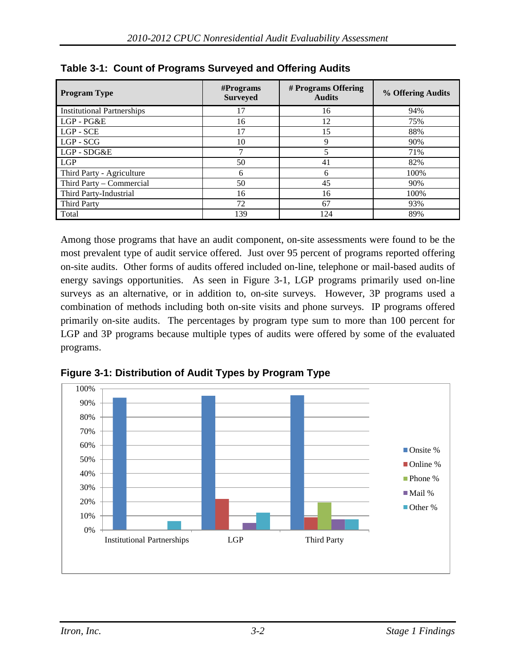| <b>Program Type</b>               | $#$ Programs<br><b>Surveyed</b> | # Programs Offering<br><b>Audits</b> | % Offering Audits |  |
|-----------------------------------|---------------------------------|--------------------------------------|-------------------|--|
| <b>Institutional Partnerships</b> | 17                              | 16                                   | 94%               |  |
| LGP-PG&E                          | 16                              | 12                                   | 75%               |  |
| LGP - SCE                         | 17                              | 15                                   | 88%               |  |
| $LGP - SCG$                       | 10<br>9                         |                                      | 90%               |  |
| LGP - SDG&E                       | ⇁                               | 5                                    | 71%               |  |
| <b>LGP</b>                        | 50                              | 41                                   | 82%               |  |
| Third Party - Agriculture         | 6                               | 6                                    | 100%              |  |
| Third Party – Commercial          | 50                              | 45                                   | 90%               |  |
| Third Party-Industrial            | 16                              | 16                                   | 100%              |  |
| <b>Third Party</b>                | 72                              | 67                                   | 93%               |  |
| Total                             | 139                             | 124                                  | 89%               |  |

<span id="page-32-0"></span>**Table 3-1: Count of Programs Surveyed and Offering Audits**

Among those programs that have an audit component, on-site assessments were found to be the most prevalent type of audit service offered. Just over 95 percent of programs reported offering on-site audits. Other forms of audits offered included on-line, telephone or mail-based audits of energy savings opportunities. As seen in [Figure 3-1,](#page-32-1) LGP programs primarily used on-line surveys as an alternative, or in addition to, on-site surveys. However, 3P programs used a combination of methods including both on-site visits and phone surveys. IP programs offered primarily on-site audits. The percentages by program type sum to more than 100 percent for LGP and 3P programs because multiple types of audits were offered by some of the evaluated programs.



<span id="page-32-1"></span>**Figure 3-1: Distribution of Audit Types by Program Type**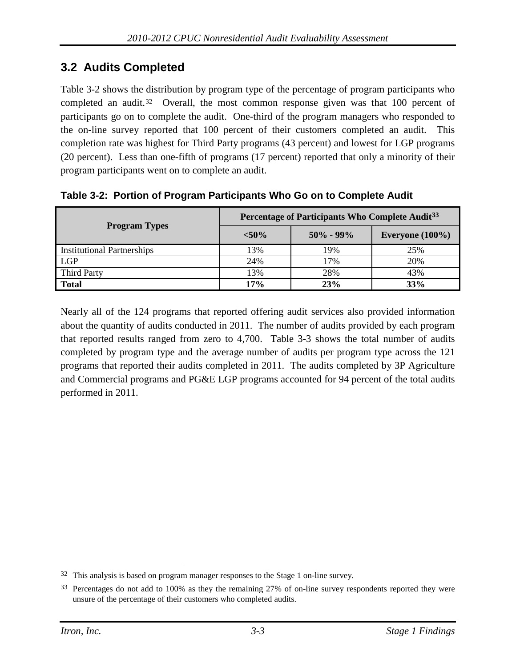## <span id="page-33-0"></span>**3.2 Audits Completed**

[Table 3-2](#page-33-1) shows the distribution by program type of the percentage of program participants who completed an audit.[32](#page-33-2) Overall, the most common response given was that 100 percent of participants go on to complete the audit. One-third of the program managers who responded to the on-line survey reported that 100 percent of their customers completed an audit. This completion rate was highest for Third Party programs (43 percent) and lowest for LGP programs (20 percent). Less than one-fifth of programs (17 percent) reported that only a minority of their program participants went on to complete an audit.

|                                   | Percentage of Participants Who Complete Audit <sup>33</sup> |     |                    |  |  |  |  |
|-----------------------------------|-------------------------------------------------------------|-----|--------------------|--|--|--|--|
| <b>Program Types</b>              | $< 50\%$<br>$50\% - 99\%$                                   |     | Everyone $(100\%)$ |  |  |  |  |
| <b>Institutional Partnerships</b> | 13%                                                         | 19% | 25%                |  |  |  |  |
| <b>LGP</b>                        | 24%                                                         | 17% | 20%                |  |  |  |  |
| Third Party                       | 13%                                                         | 28% | 43%                |  |  |  |  |
| <b>Total</b>                      | 17%                                                         | 23% | 33%                |  |  |  |  |

<span id="page-33-1"></span>**Table 3-2: Portion of Program Participants Who Go on to Complete Audit**

Nearly all of the 124 programs that reported offering audit services also provided information about the quantity of audits conducted in 2011. The number of audits provided by each program that reported results ranged from zero to 4,700. [Table 3-3](#page-34-1) shows the total number of audits completed by program type and the average number of audits per program type across the 121 programs that reported their audits completed in 2011. The audits completed by 3P Agriculture and Commercial programs and PG&E LGP programs accounted for 94 percent of the total audits performed in 2011.

<span id="page-33-2"></span> <sup>32</sup> This analysis is based on program manager responses to the Stage 1 on-line survey.

<span id="page-33-3"></span><sup>&</sup>lt;sup>33</sup> Percentages do not add to 100% as they the remaining 27% of on-line survey respondents reported they were unsure of the percentage of their customers who completed audits.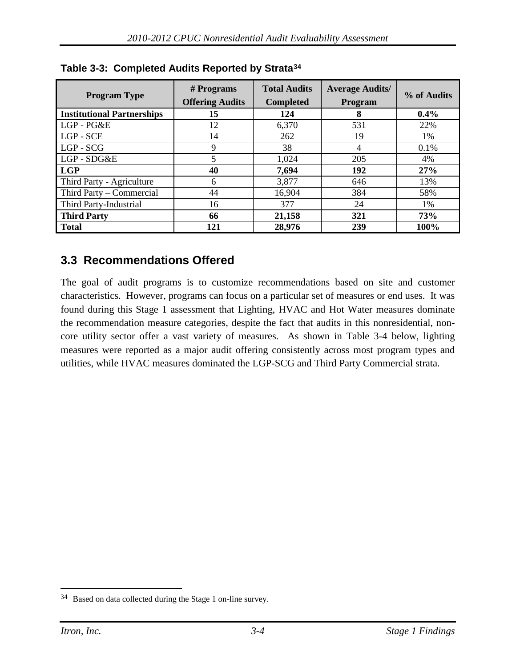| <b>Program Type</b>               | $#$ Programs<br><b>Offering Audits</b> | <b>Total Audits</b><br><b>Completed</b> | <b>Average Audits/</b><br>Program | % of Audits |  |
|-----------------------------------|----------------------------------------|-----------------------------------------|-----------------------------------|-------------|--|
| <b>Institutional Partnerships</b> | 15                                     | 124                                     | 8                                 | $0.4\%$     |  |
| LGP-PG&E                          | 12                                     | 6,370                                   | 531                               | 22%         |  |
| LGP - SCE                         | 14                                     | 262                                     | 19                                | 1%          |  |
| $LGP - SCG$                       | 9                                      | 38                                      | 4                                 | 0.1%        |  |
| LGP-SDG&E                         |                                        | 1,024                                   | 205                               | 4%          |  |
| <b>LGP</b>                        | 40                                     | 7,694                                   | 192                               | 27%         |  |
| Third Party - Agriculture         | 6                                      | 3,877                                   | 646                               | 13%         |  |
| Third Party - Commercial          | 44                                     | 16,904                                  | 384                               | 58%         |  |
| Third Party-Industrial            | 16                                     | 377                                     | 24                                | 1%          |  |
| <b>Third Party</b>                | 66                                     | 21,158                                  | 321                               | 73%         |  |
| <b>Total</b>                      | 121                                    | 28,976                                  | 239                               | 100%        |  |

<span id="page-34-1"></span>**Table 3-3: Completed Audits Reported by Strata[34](#page-34-2)**

## <span id="page-34-0"></span>**3.3 Recommendations Offered**

The goal of audit programs is to customize recommendations based on site and customer characteristics. However, programs can focus on a particular set of measures or end uses. It was found during this Stage 1 assessment that Lighting, HVAC and Hot Water measures dominate the recommendation measure categories, despite the fact that audits in this nonresidential, noncore utility sector offer a vast variety of measures. As shown in [Table 3-4](#page-35-0) below, lighting measures were reported as a major audit offering consistently across most program types and utilities, while HVAC measures dominated the LGP-SCG and Third Party Commercial strata.

<span id="page-34-2"></span> <sup>34</sup> Based on data collected during the Stage 1 on-line survey.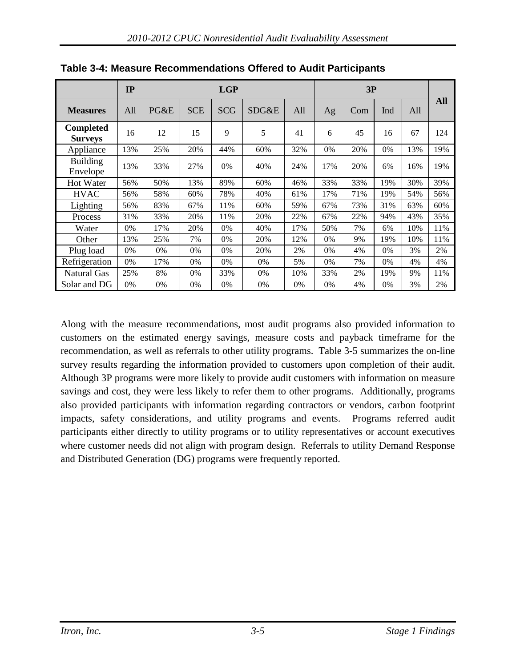|                                    | IP  | <b>LGP</b> |            |            |       |     | 3P  |     |     |     |     |
|------------------------------------|-----|------------|------------|------------|-------|-----|-----|-----|-----|-----|-----|
| <b>Measures</b>                    | All | PG&E       | <b>SCE</b> | <b>SCG</b> | SDG&E | All | Ag  | Com | Ind | All | All |
| <b>Completed</b><br><b>Surveys</b> | 16  | 12         | 15         | 9          | 5     | 41  | 6   | 45  | 16  | 67  | 124 |
| Appliance                          | 13% | 25%        | 20%        | 44%        | 60%   | 32% | 0%  | 20% | 0%  | 13% | 19% |
| <b>Building</b><br>Envelope        | 13% | 33%        | 27%        | 0%         | 40%   | 24% | 17% | 20% | 6%  | 16% | 19% |
| <b>Hot Water</b>                   | 56% | 50%        | 13%        | 89%        | 60%   | 46% | 33% | 33% | 19% | 30% | 39% |
| <b>HVAC</b>                        | 56% | 58%        | 60%        | 78%        | 40%   | 61% | 17% | 71% | 19% | 54% | 56% |
| Lighting                           | 56% | 83%        | 67%        | 11%        | 60%   | 59% | 67% | 73% | 31% | 63% | 60% |
| Process                            | 31% | 33%        | 20%        | 11%        | 20%   | 22% | 67% | 22% | 94% | 43% | 35% |
| Water                              | 0%  | 17%        | 20%        | 0%         | 40%   | 17% | 50% | 7%  | 6%  | 10% | 11% |
| Other                              | 13% | 25%        | 7%         | 0%         | 20%   | 12% | 0%  | 9%  | 19% | 10% | 11% |
| Plug load                          | 0%  | 0%         | 0%         | 0%         | 20%   | 2%  | 0%  | 4%  | 0%  | 3%  | 2%  |
| Refrigeration                      | 0%  | 17%        | 0%         | 0%         | 0%    | 5%  | 0%  | 7%  | 0%  | 4%  | 4%  |
| Natural Gas                        | 25% | 8%         | 0%         | 33%        | 0%    | 10% | 33% | 2%  | 19% | 9%  | 11% |
| Solar and DG                       | 0%  | 0%         | 0%         | 0%         | 0%    | 0%  | 0%  | 4%  | 0%  | 3%  | 2%  |

<span id="page-35-0"></span>**Table 3-4: Measure Recommendations Offered to Audit Participants**

Along with the measure recommendations, most audit programs also provided information to customers on the estimated energy savings, measure costs and payback timeframe for the recommendation, as well as referrals to other utility programs. [Table 3-5](#page-36-1) summarizes the on-line survey results regarding the information provided to customers upon completion of their audit. Although 3P programs were more likely to provide audit customers with information on measure savings and cost, they were less likely to refer them to other programs. Additionally, programs also provided participants with information regarding contractors or vendors, carbon footprint impacts, safety considerations, and utility programs and events. Programs referred audit participants either directly to utility programs or to utility representatives or account executives where customer needs did not align with program design. Referrals to utility Demand Response and Distributed Generation (DG) programs were frequently reported.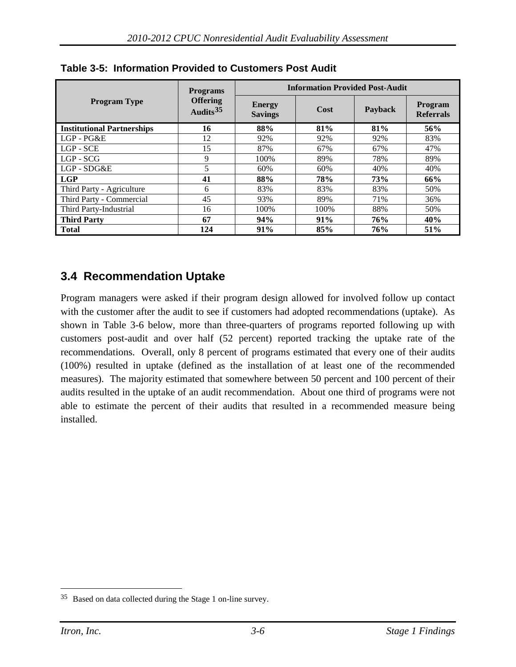|                                   | <b>Programs</b>                | <b>Information Provided Post-Audit</b> |      |            |                             |  |  |
|-----------------------------------|--------------------------------|----------------------------------------|------|------------|-----------------------------|--|--|
| <b>Program Type</b>               | <b>Offering</b><br>Audits $35$ | <b>Energy</b><br><b>Savings</b>        | Cost | Payback    | Program<br><b>Referrals</b> |  |  |
| <b>Institutional Partnerships</b> | 16                             | 88%                                    | 81%  | 81%        | 56%                         |  |  |
| LGP-PG&E                          | 12                             | 92%                                    | 92%  | 92%        | 83%                         |  |  |
| LGP - SCE                         | 15                             | 87%                                    | 67%  | 67%        | 47%                         |  |  |
| LGP - SCG                         | 9                              | 100%                                   | 89%  | 78%        | 89%                         |  |  |
| LGP - SDG&E                       | 5                              | 60%                                    | 60%  | 40%        | 40%                         |  |  |
| l LGP                             | 41                             | 88%                                    | 78%  | <b>73%</b> | 66%                         |  |  |
| Third Party - Agriculture         | 6                              | 83%                                    | 83%  | 83%        | 50%                         |  |  |
| Third Party - Commercial          | 45                             | 93%                                    | 89%  | 71%        | 36%                         |  |  |
| Third Party-Industrial            | 16                             | 100%                                   | 100% | 88%        | 50%                         |  |  |
| <b>Third Party</b>                | 67                             | 94%                                    | 91%  | 76%        | 40%                         |  |  |
| <b>Total</b>                      | 124                            | 91%                                    | 85%  | 76%        | 51%                         |  |  |

**Table 3-5: Information Provided to Customers Post Audit**

# **3.4 Recommendation Uptake**

Program managers were asked if their program design allowed for involved follow up contact with the customer after the audit to see if customers had adopted recommendations (uptake). As shown in [Table 3-6](#page-37-0) below, more than three-quarters of programs reported following up with customers post-audit and over half (52 percent) reported tracking the uptake rate of the recommendations. Overall, only 8 percent of programs estimated that every one of their audits (100%) resulted in uptake (defined as the installation of at least one of the recommended measures). The majority estimated that somewhere between 50 percent and 100 percent of their audits resulted in the uptake of an audit recommendation. About one third of programs were not able to estimate the percent of their audits that resulted in a recommended measure being installed.

<span id="page-36-0"></span> <sup>35</sup> Based on data collected during the Stage 1 on-line survey.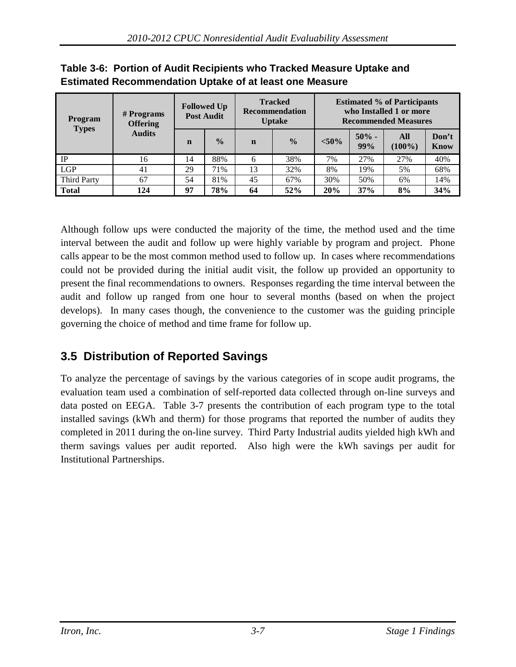| <b>Program</b><br><b>Types</b> | # Programs<br><b>Offering</b> | <b>Followed Up</b><br><b>Post Audit</b> |               | <b>Tracked</b><br><b>Recommendation</b><br><b>Uptake</b> |               | <b>Estimated % of Participants</b><br>who Installed 1 or more<br><b>Recommended Measures</b> |                 |                  |                      |
|--------------------------------|-------------------------------|-----------------------------------------|---------------|----------------------------------------------------------|---------------|----------------------------------------------------------------------------------------------|-----------------|------------------|----------------------|
|                                | <b>Audits</b>                 | $\mathbf n$                             | $\frac{0}{0}$ | $\mathbf n$                                              | $\frac{0}{0}$ | $< 50\%$                                                                                     | $50\%$ -<br>99% | All<br>$(100\%)$ | Don't<br><b>Know</b> |
| IP                             | 16                            | 14                                      | 88%           | 6                                                        | 38%           | 7%                                                                                           | 27%             | 27%              | 40%                  |
| <b>LGP</b>                     | 41                            | 29                                      | 71%           | 13                                                       | 32%           | 8%                                                                                           | 19%             | 5%               | 68%                  |
| <b>Third Party</b>             | 67                            | 54                                      | 81%           | 45                                                       | 67%           | 30%                                                                                          | 50%             | 6%               | 14%                  |
| <b>Total</b>                   | 124                           | 97                                      | 78%           | 64                                                       | 52%           | 20%                                                                                          | 37%             | 8%               | 34%                  |

# <span id="page-37-0"></span>**Table 3-6: Portion of Audit Recipients who Tracked Measure Uptake and Estimated Recommendation Uptake of at least one Measure**

Although follow ups were conducted the majority of the time, the method used and the time interval between the audit and follow up were highly variable by program and project. Phone calls appear to be the most common method used to follow up. In cases where recommendations could not be provided during the initial audit visit, the follow up provided an opportunity to present the final recommendations to owners. Responses regarding the time interval between the audit and follow up ranged from one hour to several months (based on when the project develops). In many cases though, the convenience to the customer was the guiding principle governing the choice of method and time frame for follow up.

# **3.5 Distribution of Reported Savings**

To analyze the percentage of savings by the various categories of in scope audit programs, the evaluation team used a combination of self-reported data collected through on-line surveys and data posted on EEGA. [Table 3-7](#page-38-0) presents the contribution of each program type to the total installed savings (kWh and therm) for those programs that reported the number of audits they completed in 2011 during the on-line survey. Third Party Industrial audits yielded high kWh and therm savings values per audit reported. Also high were the kWh savings per audit for Institutional Partnerships.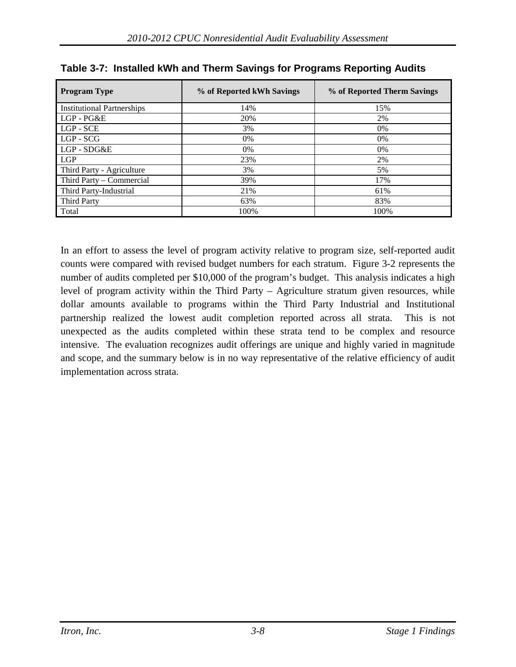| <b>Program Type</b>               | % of Reported kWh Savings | % of Reported Therm Savings |
|-----------------------------------|---------------------------|-----------------------------|
| <b>Institutional Partnerships</b> | 14%                       | 15%                         |
| LGP - PG&E                        | 20%                       | 2%                          |
| LGP - SCE                         | 3%                        | 0%                          |
| $LGP - SCG$                       | 0%                        | 0%                          |
| $LGP - SDG&E$                     | $0\%$                     | 0%                          |
| LGP                               | 23%                       | 2%                          |
| Third Party - Agriculture         | 3%                        | 5%                          |
| Third Party – Commercial          | 39%                       | 17%                         |
| Third Party-Industrial            | 21%                       | 61%                         |
| <b>Third Party</b>                | 63%                       | 83%                         |
| Total                             | 100%                      | 100%                        |

<span id="page-38-0"></span>

| Table 3-7: Installed kWh and Therm Savings for Programs Reporting Audits |  |  |  |
|--------------------------------------------------------------------------|--|--|--|
|                                                                          |  |  |  |

In an effort to assess the level of program activity relative to program size, self-reported audit counts were compared with revised budget numbers for each stratum. [Figure 3-2](#page-39-0) represents the number of audits completed per \$10,000 of the program's budget. This analysis indicates a high level of program activity within the Third Party – Agriculture stratum given resources, while dollar amounts available to programs within the Third Party Industrial and Institutional partnership realized the lowest audit completion reported across all strata. This is not unexpected as the audits completed within these strata tend to be complex and resource intensive. The evaluation recognizes audit offerings are unique and highly varied in magnitude and scope, and the summary below is in no way representative of the relative efficiency of audit implementation across strata.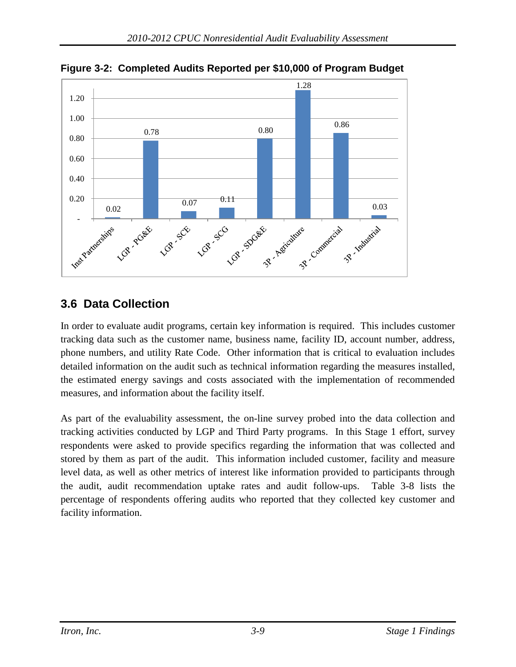

<span id="page-39-0"></span>**Figure 3-2: Completed Audits Reported per \$10,000 of Program Budget**

# **3.6 Data Collection**

In order to evaluate audit programs, certain key information is required. This includes customer tracking data such as the customer name, business name, facility ID, account number, address, phone numbers, and utility Rate Code. Other information that is critical to evaluation includes detailed information on the audit such as technical information regarding the measures installed, the estimated energy savings and costs associated with the implementation of recommended measures, and information about the facility itself.

As part of the evaluability assessment, the on-line survey probed into the data collection and tracking activities conducted by LGP and Third Party programs. In this Stage 1 effort, survey respondents were asked to provide specifics regarding the information that was collected and stored by them as part of the audit. This information included customer, facility and measure level data, as well as other metrics of interest like information provided to participants through the audit, audit recommendation uptake rates and audit follow-ups. [Table 3-8](#page-40-0) lists the percentage of respondents offering audits who reported that they collected key customer and facility information.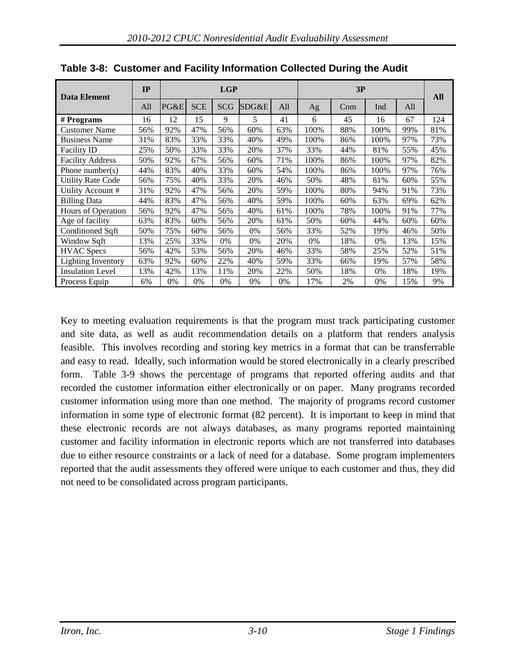| <b>Data Element</b>       | IP  |      |            | LGP        |       |     |       | 3P  |      |     | <b>All</b> |
|---------------------------|-----|------|------------|------------|-------|-----|-------|-----|------|-----|------------|
|                           | All | PG&E | <b>SCE</b> | <b>SCG</b> | SDG&E | All | Ag    | Com | Ind  | All |            |
| # Programs                | 16  | 12   | 15         | 9          | 5     | 41  | 6     | 45  | 16   | 67  | 124        |
| <b>Customer Name</b>      | 56% | 92%  | 47%        | 56%        | 60%   | 63% | 100%  | 88% | 100% | 99% | 81%        |
| <b>Business Name</b>      | 31% | 83%  | 33%        | 33%        | 40%   | 49% | 100%  | 86% | 100% | 97% | 73%        |
| <b>Facility ID</b>        | 25% | 50%  | 33%        | 33%        | 20%   | 37% | 33%   | 44% | 81%  | 55% | 45%        |
| <b>Facility Address</b>   | 50% | 92%  | 67%        | 56%        | 60%   | 71% | 100%  | 86% | 100% | 97% | 82%        |
| Phone number( $s$ )       | 44% | 83%  | 40%        | 33%        | 60%   | 54% | 100%  | 86% | 100% | 97% | 76%        |
| <b>Utility Rate Code</b>  | 56% | 75%  | 40%        | 33%        | 20%   | 46% | 50%   | 48% | 81%  | 60% | 55%        |
| Utility Account #         | 31% | 92%  | 47%        | 56%        | 20%   | 59% | 100%  | 80% | 94%  | 91% | 73%        |
| <b>Billing Data</b>       | 44% | 83%  | 47%        | 56%        | 40%   | 59% | 100%  | 60% | 63%  | 69% | 62%        |
| Hours of Operation        | 56% | 92%  | 47%        | 56%        | 40%   | 61% | 100%  | 78% | 100% | 91% | 77%        |
| Age of facility           | 63% | 83%  | 60%        | 56%        | 20%   | 61% | 50%   | 60% | 44%  | 60% | 60%        |
| Conditioned Sqft          | 50% | 75%  | 60%        | 56%        | 0%    | 56% | 33%   | 52% | 19%  | 46% | 50%        |
| Window Sqft               | 13% | 25%  | 33%        | 0%         | 0%    | 20% | $0\%$ | 18% | 0%   | 13% | 15%        |
| <b>HVAC</b> Specs         | 56% | 42%  | 53%        | 56%        | 20%   | 46% | 33%   | 58% | 25%  | 52% | 51%        |
| <b>Lighting Inventory</b> | 63% | 92%  | 60%        | 22%        | 40%   | 59% | 33%   | 66% | 19%  | 57% | 58%        |
| <b>Insulation Level</b>   | 13% | 42%  | 13%        | 11%        | 20%   | 22% | 50%   | 18% | 0%   | 18% | 19%        |
| Process Equip             | 6%  | 0%   | 0%         | 0%         | 0%    | 0%  | 17%   | 2%  | 0%   | 15% | 9%         |

<span id="page-40-0"></span>**Table 3-8: Customer and Facility Information Collected During the Audit**

Key to meeting evaluation requirements is that the program must track participating customer and site data, as well as audit recommendation details on a platform that renders analysis feasible. This involves recording and storing key metrics in a format that can be transferrable and easy to read. Ideally, such information would be stored electronically in a clearly prescribed form. [Table 3-9](#page-41-0) shows the percentage of programs that reported offering audits and that recorded the customer information either electronically or on paper. Many programs recorded customer information using more than one method. The majority of programs record customer information in some type of electronic format (82 percent). It is important to keep in mind that these electronic records are not always databases, as many programs reported maintaining customer and facility information in electronic reports which are not transferred into databases due to either resource constraints or a lack of need for a database. Some program implementers reported that the audit assessments they offered were unique to each customer and thus, they did not need to be consolidated across program participants.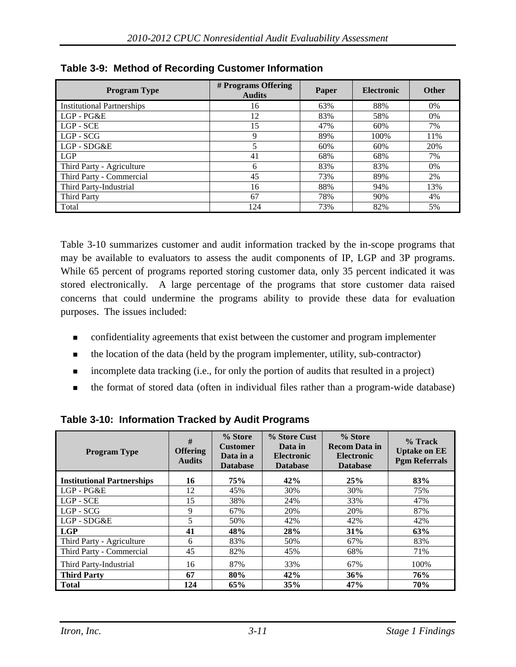| <b>Program Type</b>               | # Programs Offering<br><b>Audits</b> | Paper | <b>Electronic</b> | <b>Other</b> |
|-----------------------------------|--------------------------------------|-------|-------------------|--------------|
| <b>Institutional Partnerships</b> | 16                                   | 63%   | 88%               | 0%           |
| LGP - PG&E                        | 12                                   | 83%   | 58%               | 0%           |
| LGP - SCE                         | 15                                   | 47%   | 60%               | 7%           |
| $LGP - SCG$                       | 9                                    | 89%   | 100%              | 11%          |
| LGP - SDG&E                       | 5                                    | 60%   | 60%               | 20%          |
| LGP                               | 41                                   | 68%   | 68%               | 7%           |
| Third Party - Agriculture         | 6                                    | 83%   | 83%               | 0%           |
| Third Party - Commercial          | 45                                   | 73%   | 89%               | 2%           |
| Third Party-Industrial            | 16                                   | 88%   | 94%               | 13%          |
| <b>Third Party</b>                | 67                                   | 78%   | 90%               | 4%           |
| Total                             | 124                                  | 73%   | 82%               | 5%           |

<span id="page-41-0"></span>

| Table 3-9: Method of Recording Customer Information |
|-----------------------------------------------------|
|-----------------------------------------------------|

[Table 3-10](#page-41-1) summarizes customer and audit information tracked by the in-scope programs that may be available to evaluators to assess the audit components of IP, LGP and 3P programs. While 65 percent of programs reported storing customer data, only 35 percent indicated it was stored electronically. A large percentage of the programs that store customer data raised concerns that could undermine the programs ability to provide these data for evaluation purposes. The issues included:

- confidentiality agreements that exist between the customer and program implementer
- the location of the data (held by the program implementer, utility, sub-contractor)
- incomplete data tracking (i.e., for only the portion of audits that resulted in a project)
- the format of stored data (often in individual files rather than a program-wide database)

| <b>Program Type</b>               | #<br><b>Offering</b><br><b>Audits</b> | % Store<br><b>Customer</b><br>Data in a<br><b>Database</b> | % Store Cust<br>Data in<br><b>Electronic</b><br><b>Database</b> | % Store<br><b>Recom Data in</b><br><b>Electronic</b><br><b>Database</b> | $%$ Track<br><b>Uptake on EE</b><br><b>Pgm Referrals</b> |
|-----------------------------------|---------------------------------------|------------------------------------------------------------|-----------------------------------------------------------------|-------------------------------------------------------------------------|----------------------------------------------------------|
| <b>Institutional Partnerships</b> | 16                                    | 75%                                                        | 42%                                                             | 25%                                                                     | 83%                                                      |
| LGP-PG&E                          | 12                                    | 45%                                                        | 30%                                                             | 30%                                                                     | 75%                                                      |
| LGP - SCE                         | 15                                    | 38%                                                        | 24%                                                             | 33%                                                                     | 47%                                                      |
| $LGP - SCG$                       | 9                                     | 67%                                                        | 20%                                                             | 20%                                                                     | 87%                                                      |
| LGP - SDG&E                       | 5                                     | 50%                                                        | 42%                                                             | 42%                                                                     | 42%                                                      |
| <b>LGP</b>                        | 41                                    | 48%                                                        | 28%                                                             | 31%                                                                     | 63%                                                      |
| Third Party - Agriculture         | 6                                     | 83%                                                        | 50%                                                             | 67%                                                                     | 83%                                                      |
| Third Party - Commercial          | 45                                    | 82%                                                        | 45%                                                             | 68%                                                                     | 71%                                                      |
| Third Party-Industrial            | 16                                    | 87%                                                        | 33%                                                             | 67%                                                                     | 100%                                                     |
| <b>Third Party</b>                | 67                                    | 80%                                                        | 42%                                                             | 36%                                                                     | 76%                                                      |
| <b>Total</b>                      | 124                                   | 65%                                                        | 35%                                                             | 47%                                                                     | 70%                                                      |

<span id="page-41-1"></span>**Table 3-10: Information Tracked by Audit Programs**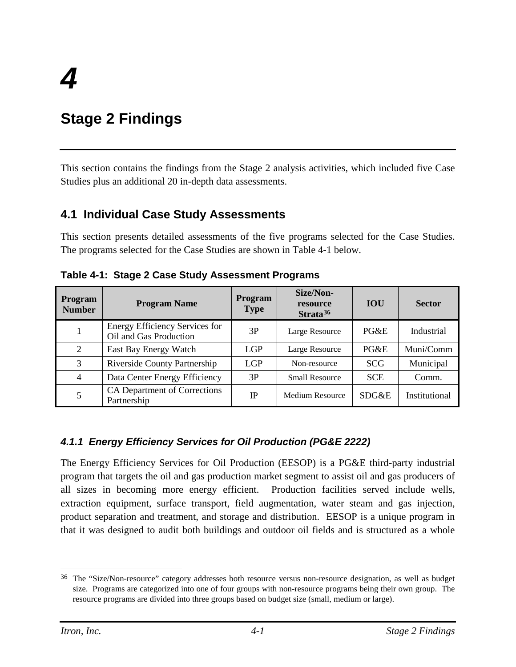# **Stage 2 Findings**

This section contains the findings from the Stage 2 analysis activities, which included five Case Studies plus an additional 20 in-depth data assessments.

# **4.1 Individual Case Study Assessments**

This section presents detailed assessments of the five programs selected for the Case Studies. The programs selected for the Case Studies are shown in [Table 4-1](#page-42-0) below.

| <b>Program</b><br><b>Number</b> | <b>Program Name</b>                                             | <b>Program</b><br><b>Type</b> | Size/Non-<br>resource<br>Strata <sup>36</sup> | <b>IOU</b> | <b>Sector</b> |
|---------------------------------|-----------------------------------------------------------------|-------------------------------|-----------------------------------------------|------------|---------------|
|                                 | <b>Energy Efficiency Services for</b><br>Oil and Gas Production | 3P                            | Large Resource                                | $P G \& E$ | Industrial    |
| $\overline{2}$                  | East Bay Energy Watch                                           | LGP                           | Large Resource                                | $P G \& E$ | Muni/Comm     |
| 3                               | <b>Riverside County Partnership</b>                             | <b>LGP</b>                    | Non-resource                                  | <b>SCG</b> | Municipal     |
| $\overline{4}$                  | Data Center Energy Efficiency                                   | 3P                            | <b>Small Resource</b>                         | <b>SCE</b> | Comm.         |
| 5                               | CA Department of Corrections<br>Partnership                     | <b>IP</b>                     | Medium Resource                               | SDG&E      | Institutional |

<span id="page-42-0"></span>**Table 4-1: Stage 2 Case Study Assessment Programs**

# *4.1.1 Energy Efficiency Services for Oil Production (PG&E 2222)*

The Energy Efficiency Services for Oil Production (EESOP) is a PG&E third-party industrial program that targets the oil and gas production market segment to assist oil and gas producers of all sizes in becoming more energy efficient. Production facilities served include wells, extraction equipment, surface transport, field augmentation, water steam and gas injection, product separation and treatment, and storage and distribution. EESOP is a unique program in that it was designed to audit both buildings and outdoor oil fields and is structured as a whole

<span id="page-42-1"></span> <sup>36</sup> The "Size/Non-resource" category addresses both resource versus non-resource designation, as well as budget size. Programs are categorized into one of four groups with non-resource programs being their own group. The resource programs are divided into three groups based on budget size (small, medium or large).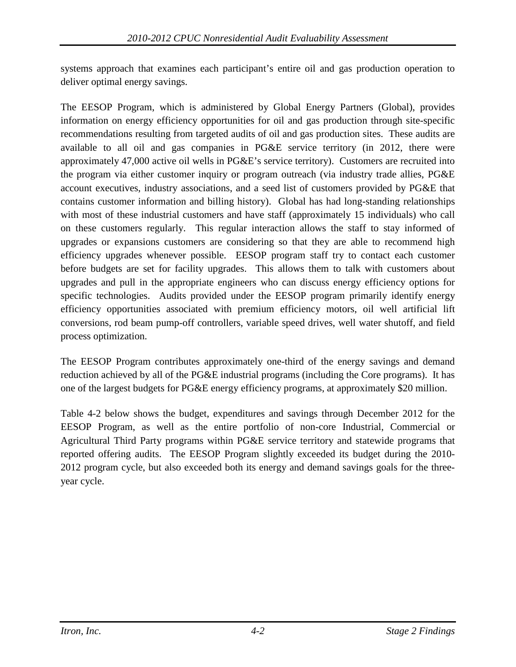systems approach that examines each participant's entire oil and gas production operation to deliver optimal energy savings.

The EESOP Program, which is administered by Global Energy Partners (Global), provides information on energy efficiency opportunities for oil and gas production through site-specific recommendations resulting from targeted audits of oil and gas production sites. These audits are available to all oil and gas companies in PG&E service territory (in 2012, there were approximately 47,000 active oil wells in PG&E's service territory). Customers are recruited into the program via either customer inquiry or program outreach (via industry trade allies, PG&E account executives, industry associations, and a seed list of customers provided by PG&E that contains customer information and billing history). Global has had long-standing relationships with most of these industrial customers and have staff (approximately 15 individuals) who call on these customers regularly. This regular interaction allows the staff to stay informed of upgrades or expansions customers are considering so that they are able to recommend high efficiency upgrades whenever possible. EESOP program staff try to contact each customer before budgets are set for facility upgrades. This allows them to talk with customers about upgrades and pull in the appropriate engineers who can discuss energy efficiency options for specific technologies. Audits provided under the EESOP program primarily identify energy efficiency opportunities associated with premium efficiency motors, oil well artificial lift conversions, rod beam pump-off controllers, variable speed drives, well water shutoff, and field process optimization.

The EESOP Program contributes approximately one-third of the energy savings and demand reduction achieved by all of the PG&E industrial programs (including the Core programs). It has one of the largest budgets for PG&E energy efficiency programs, at approximately \$20 million.

[Table 4-2](#page-44-0) below shows the budget, expenditures and savings through December 2012 for the EESOP Program, as well as the entire portfolio of non-core Industrial, Commercial or Agricultural Third Party programs within PG&E service territory and statewide programs that reported offering audits. The EESOP Program slightly exceeded its budget during the 2010- 2012 program cycle, but also exceeded both its energy and demand savings goals for the threeyear cycle.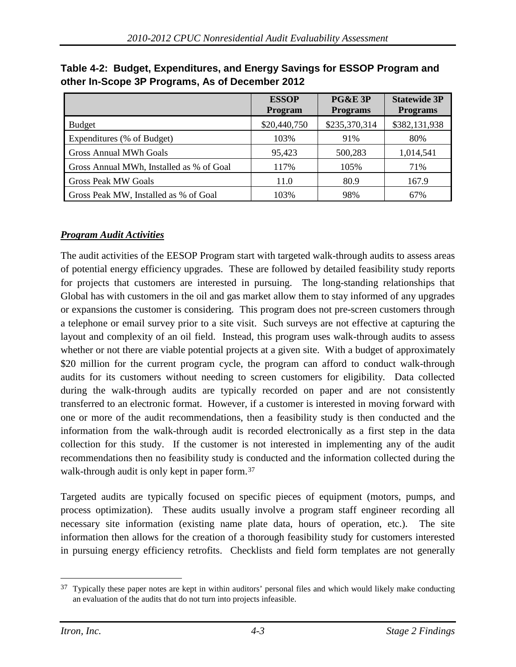|                                          | <b>ESSOP</b><br>Program | <b>PG&amp;E 3P</b><br><b>Programs</b> | <b>Statewide 3P</b><br><b>Programs</b> |
|------------------------------------------|-------------------------|---------------------------------------|----------------------------------------|
| <b>Budget</b>                            | \$20,440,750            | \$235,370,314                         | \$382,131,938                          |
| Expenditures (% of Budget)               | 103%                    | 91%                                   | 80%                                    |
| <b>Gross Annual MWh Goals</b>            | 95,423                  | 500,283                               | 1,014,541                              |
| Gross Annual MWh, Installed as % of Goal | 117%                    | 105%                                  | 71%                                    |
| <b>Gross Peak MW Goals</b>               | 11.0                    | 80.9                                  | 167.9                                  |
| Gross Peak MW, Installed as % of Goal    | 103%                    | 98%                                   | 67%                                    |

<span id="page-44-0"></span>**Table 4-2: Budget, Expenditures, and Energy Savings for ESSOP Program and other In-Scope 3P Programs, As of December 2012**

# *Program Audit Activities*

The audit activities of the EESOP Program start with targeted walk-through audits to assess areas of potential energy efficiency upgrades. These are followed by detailed feasibility study reports for projects that customers are interested in pursuing. The long-standing relationships that Global has with customers in the oil and gas market allow them to stay informed of any upgrades or expansions the customer is considering. This program does not pre-screen customers through a telephone or email survey prior to a site visit. Such surveys are not effective at capturing the layout and complexity of an oil field. Instead, this program uses walk-through audits to assess whether or not there are viable potential projects at a given site. With a budget of approximately \$20 million for the current program cycle, the program can afford to conduct walk-through audits for its customers without needing to screen customers for eligibility. Data collected during the walk-through audits are typically recorded on paper and are not consistently transferred to an electronic format. However, if a customer is interested in moving forward with one or more of the audit recommendations, then a feasibility study is then conducted and the information from the walk-through audit is recorded electronically as a first step in the data collection for this study. If the customer is not interested in implementing any of the audit recommendations then no feasibility study is conducted and the information collected during the walk-through audit is only kept in paper form.<sup>[37](#page-44-1)</sup>

Targeted audits are typically focused on specific pieces of equipment (motors, pumps, and process optimization). These audits usually involve a program staff engineer recording all necessary site information (existing name plate data, hours of operation, etc.). The site information then allows for the creation of a thorough feasibility study for customers interested in pursuing energy efficiency retrofits. Checklists and field form templates are not generally

<span id="page-44-1"></span> $37$  Typically these paper notes are kept in within auditors' personal files and which would likely make conducting an evaluation of the audits that do not turn into projects infeasible.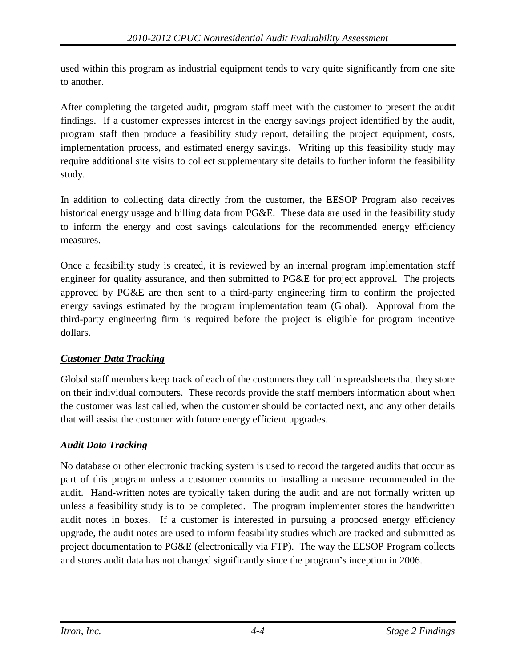used within this program as industrial equipment tends to vary quite significantly from one site to another.

After completing the targeted audit, program staff meet with the customer to present the audit findings. If a customer expresses interest in the energy savings project identified by the audit, program staff then produce a feasibility study report, detailing the project equipment, costs, implementation process, and estimated energy savings. Writing up this feasibility study may require additional site visits to collect supplementary site details to further inform the feasibility study.

In addition to collecting data directly from the customer, the EESOP Program also receives historical energy usage and billing data from PG&E. These data are used in the feasibility study to inform the energy and cost savings calculations for the recommended energy efficiency measures.

Once a feasibility study is created, it is reviewed by an internal program implementation staff engineer for quality assurance, and then submitted to PG&E for project approval. The projects approved by PG&E are then sent to a third-party engineering firm to confirm the projected energy savings estimated by the program implementation team (Global). Approval from the third-party engineering firm is required before the project is eligible for program incentive dollars.

# *Customer Data Tracking*

Global staff members keep track of each of the customers they call in spreadsheets that they store on their individual computers. These records provide the staff members information about when the customer was last called, when the customer should be contacted next, and any other details that will assist the customer with future energy efficient upgrades.

# *Audit Data Tracking*

No database or other electronic tracking system is used to record the targeted audits that occur as part of this program unless a customer commits to installing a measure recommended in the audit. Hand-written notes are typically taken during the audit and are not formally written up unless a feasibility study is to be completed. The program implementer stores the handwritten audit notes in boxes. If a customer is interested in pursuing a proposed energy efficiency upgrade, the audit notes are used to inform feasibility studies which are tracked and submitted as project documentation to PG&E (electronically via FTP). The way the EESOP Program collects and stores audit data has not changed significantly since the program's inception in 2006.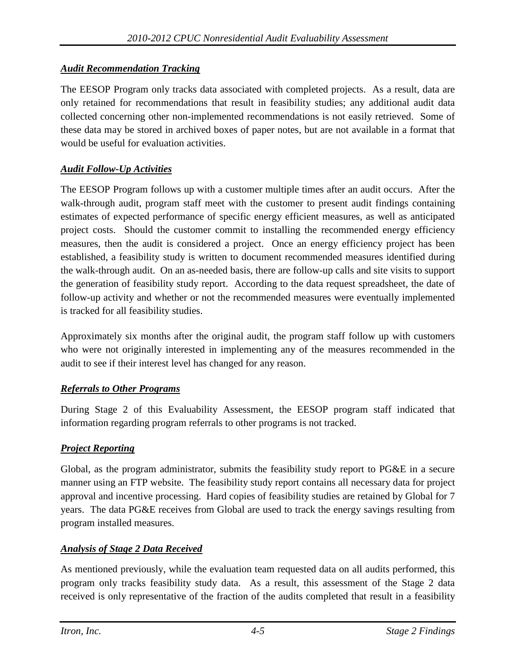# *Audit Recommendation Tracking*

The EESOP Program only tracks data associated with completed projects. As a result, data are only retained for recommendations that result in feasibility studies; any additional audit data collected concerning other non-implemented recommendations is not easily retrieved. Some of these data may be stored in archived boxes of paper notes, but are not available in a format that would be useful for evaluation activities.

# *Audit Follow-Up Activities*

The EESOP Program follows up with a customer multiple times after an audit occurs. After the walk-through audit, program staff meet with the customer to present audit findings containing estimates of expected performance of specific energy efficient measures, as well as anticipated project costs. Should the customer commit to installing the recommended energy efficiency measures, then the audit is considered a project. Once an energy efficiency project has been established, a feasibility study is written to document recommended measures identified during the walk-through audit. On an as-needed basis, there are follow-up calls and site visits to support the generation of feasibility study report. According to the data request spreadsheet, the date of follow-up activity and whether or not the recommended measures were eventually implemented is tracked for all feasibility studies.

Approximately six months after the original audit, the program staff follow up with customers who were not originally interested in implementing any of the measures recommended in the audit to see if their interest level has changed for any reason.

#### *Referrals to Other Programs*

During Stage 2 of this Evaluability Assessment, the EESOP program staff indicated that information regarding program referrals to other programs is not tracked.

#### *Project Reporting*

Global, as the program administrator, submits the feasibility study report to PG&E in a secure manner using an FTP website. The feasibility study report contains all necessary data for project approval and incentive processing. Hard copies of feasibility studies are retained by Global for 7 years. The data PG&E receives from Global are used to track the energy savings resulting from program installed measures.

#### *Analysis of Stage 2 Data Received*

As mentioned previously, while the evaluation team requested data on all audits performed, this program only tracks feasibility study data. As a result, this assessment of the Stage 2 data received is only representative of the fraction of the audits completed that result in a feasibility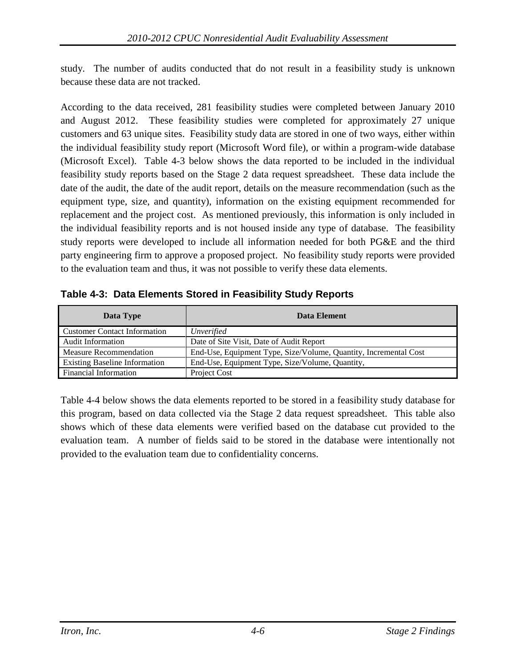study. The number of audits conducted that do not result in a feasibility study is unknown because these data are not tracked.

According to the data received, 281 feasibility studies were completed between January 2010 and August 2012. These feasibility studies were completed for approximately 27 unique customers and 63 unique sites. Feasibility study data are stored in one of two ways, either within the individual feasibility study report (Microsoft Word file), or within a program-wide database (Microsoft Excel). [Table 4-3](#page-47-0) below shows the data reported to be included in the individual feasibility study reports based on the Stage 2 data request spreadsheet. These data include the date of the audit, the date of the audit report, details on the measure recommendation (such as the equipment type, size, and quantity), information on the existing equipment recommended for replacement and the project cost. As mentioned previously, this information is only included in the individual feasibility reports and is not housed inside any type of database. The feasibility study reports were developed to include all information needed for both PG&E and the third party engineering firm to approve a proposed project. No feasibility study reports were provided to the evaluation team and thus, it was not possible to verify these data elements.

| Data Type                            | Data Element                                                     |
|--------------------------------------|------------------------------------------------------------------|
| <b>Customer Contact Information</b>  | Unverified                                                       |
| <b>Audit Information</b>             | Date of Site Visit, Date of Audit Report                         |
| <b>Measure Recommendation</b>        | End-Use, Equipment Type, Size/Volume, Quantity, Incremental Cost |
| <b>Existing Baseline Information</b> | End-Use, Equipment Type, Size/Volume, Quantity,                  |
| <b>Financial Information</b>         | Project Cost                                                     |

<span id="page-47-0"></span>**Table 4-3: Data Elements Stored in Feasibility Study Reports**

[Table 4-4](#page-48-0) below shows the data elements reported to be stored in a feasibility study database for this program, based on data collected via the Stage 2 data request spreadsheet. This table also shows which of these data elements were verified based on the database cut provided to the evaluation team. A number of fields said to be stored in the database were intentionally not provided to the evaluation team due to confidentiality concerns.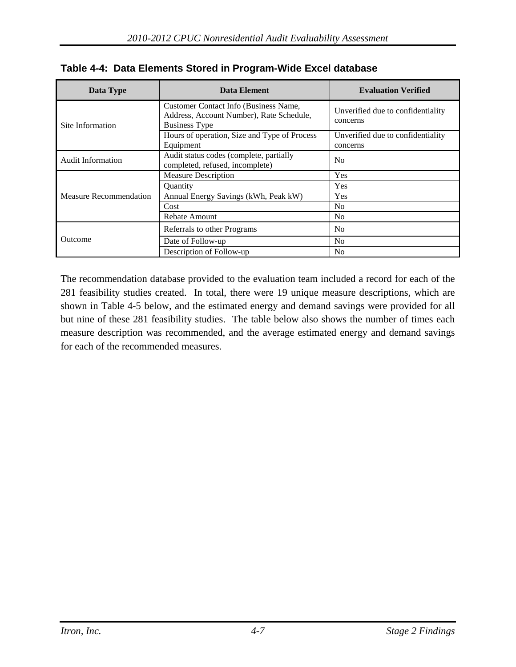| Data Type                     | Data Element                                                                                              | <b>Evaluation Verified</b>                    |
|-------------------------------|-----------------------------------------------------------------------------------------------------------|-----------------------------------------------|
| Site Information              | Customer Contact Info (Business Name,<br>Address, Account Number), Rate Schedule,<br><b>Business Type</b> | Unverified due to confidentiality<br>concerns |
|                               | Hours of operation, Size and Type of Process<br>Equipment                                                 | Unverified due to confidentiality<br>concerns |
| <b>Audit Information</b>      | Audit status codes (complete, partially<br>completed, refused, incomplete)                                | N <sub>0</sub>                                |
|                               | <b>Measure Description</b>                                                                                | Yes                                           |
|                               | <b>Ouantity</b>                                                                                           | Yes                                           |
| <b>Measure Recommendation</b> | Annual Energy Savings (kWh, Peak kW)                                                                      | Yes                                           |
|                               | Cost                                                                                                      | N <sub>0</sub>                                |
|                               | <b>Rebate Amount</b>                                                                                      | N <sub>0</sub>                                |
|                               | Referrals to other Programs                                                                               | N <sub>0</sub>                                |
| Outcome                       | Date of Follow-up                                                                                         | N <sub>0</sub>                                |
|                               | Description of Follow-up                                                                                  | N <sub>0</sub>                                |

<span id="page-48-0"></span>

|  |  | Table 4-4: Data Elements Stored in Program-Wide Excel database |  |
|--|--|----------------------------------------------------------------|--|
|  |  |                                                                |  |

The recommendation database provided to the evaluation team included a record for each of the 281 feasibility studies created. In total, there were 19 unique measure descriptions, which are shown in [Table 4-5](#page-49-0) below, and the estimated energy and demand savings were provided for all but nine of these 281 feasibility studies. The table below also shows the number of times each measure description was recommended, and the average estimated energy and demand savings for each of the recommended measures.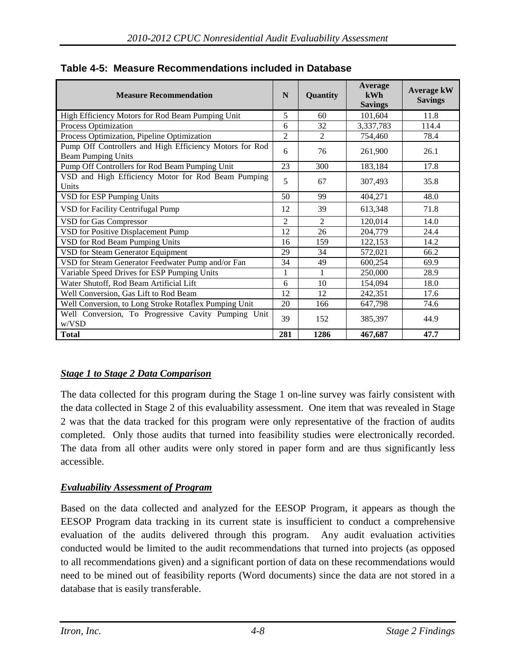| <b>Measure Recommendation</b>                                                        |                | Quantity       | Average<br>kWh<br><b>Savings</b> | <b>Average kW</b><br><b>Savings</b> |
|--------------------------------------------------------------------------------------|----------------|----------------|----------------------------------|-------------------------------------|
| High Efficiency Motors for Rod Beam Pumping Unit                                     | 5              | 60             | 101,604                          | 11.8                                |
| Process Optimization                                                                 | 6              | 32             | 3,337,783                        | 114.4                               |
| Process Optimization, Pipeline Optimization                                          | $\overline{2}$ | $\mathfrak{D}$ | 754,460                          | 78.4                                |
| Pump Off Controllers and High Efficiency Motors for Rod<br><b>Beam Pumping Units</b> | 6              | 76             | 261,900                          | 26.1                                |
| Pump Off Controllers for Rod Beam Pumping Unit                                       | 23             | 300            | 183,184                          | 17.8                                |
| VSD and High Efficiency Motor for Rod Beam Pumping<br>Units                          | 5              | 67             | 307,493                          | 35.8                                |
| VSD for ESP Pumping Units                                                            | 50             | 99             | 404,271                          | 48.0                                |
| VSD for Facility Centrifugal Pump                                                    | 12             | 39             | 613,348                          | 71.8                                |
| <b>VSD</b> for Gas Compressor                                                        | $\overline{2}$ | $\overline{2}$ | 120,014                          | 14.0                                |
| VSD for Positive Displacement Pump                                                   | 12             | 26             | 204,779                          | 24.4                                |
| VSD for Rod Beam Pumping Units                                                       | 16             | 159            | 122,153                          | 14.2                                |
| VSD for Steam Generator Equipment                                                    | 29             | 34             | 572,021                          | 66.2                                |
| VSD for Steam Generator Feedwater Pump and/or Fan                                    | 34             | 49             | 600,254                          | 69.9                                |
| Variable Speed Drives for ESP Pumping Units                                          | 1              | 1              | 250,000                          | 28.9                                |
| Water Shutoff, Rod Beam Artificial Lift                                              |                | 10             | 154,094                          | 18.0                                |
| Well Conversion, Gas Lift to Rod Beam                                                |                | 12             | 242,351                          | 17.6                                |
| Well Conversion, to Long Stroke Rotaflex Pumping Unit                                |                | 166            | 647,798                          | 74.6                                |
| Well Conversion, To Progressive Cavity Pumping Unit<br>w/VSD                         | 39             | 152            | 385,397                          | 44.9                                |
| <b>Total</b>                                                                         | 281            | 1286           | 467,687                          | 47.7                                |

# <span id="page-49-0"></span>**Table 4-5: Measure Recommendations included in Database**

# *Stage 1 to Stage 2 Data Comparison*

The data collected for this program during the Stage 1 on-line survey was fairly consistent with the data collected in Stage 2 of this evaluability assessment. One item that was revealed in Stage 2 was that the data tracked for this program were only representative of the fraction of audits completed. Only those audits that turned into feasibility studies were electronically recorded. The data from all other audits were only stored in paper form and are thus significantly less accessible.

# *Evaluability Assessment of Program*

Based on the data collected and analyzed for the EESOP Program, it appears as though the EESOP Program data tracking in its current state is insufficient to conduct a comprehensive evaluation of the audits delivered through this program. Any audit evaluation activities conducted would be limited to the audit recommendations that turned into projects (as opposed to all recommendations given) and a significant portion of data on these recommendations would need to be mined out of feasibility reports (Word documents) since the data are not stored in a database that is easily transferable.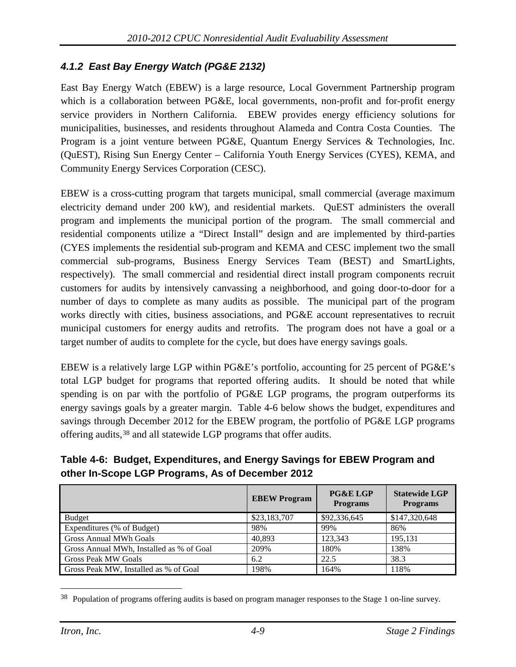# *4.1.2 East Bay Energy Watch (PG&E 2132)*

East Bay Energy Watch (EBEW) is a large resource, Local Government Partnership program which is a collaboration between PG&E, local governments, non-profit and for-profit energy service providers in Northern California. EBEW provides energy efficiency solutions for municipalities, businesses, and residents throughout Alameda and Contra Costa Counties. The Program is a joint venture between PG&E, Quantum Energy Services & Technologies, Inc. (QuEST), Rising Sun Energy Center – California Youth Energy Services (CYES), KEMA, and Community Energy Services Corporation (CESC).

EBEW is a cross-cutting program that targets municipal, small commercial (average maximum electricity demand under 200 kW), and residential markets. QuEST administers the overall program and implements the municipal portion of the program. The small commercial and residential components utilize a "Direct Install" design and are implemented by third-parties (CYES implements the residential sub-program and KEMA and CESC implement two the small commercial sub-programs, Business Energy Services Team (BEST) and SmartLights, respectively). The small commercial and residential direct install program components recruit customers for audits by intensively canvassing a neighborhood, and going door-to-door for a number of days to complete as many audits as possible. The municipal part of the program works directly with cities, business associations, and PG&E account representatives to recruit municipal customers for energy audits and retrofits. The program does not have a goal or a target number of audits to complete for the cycle, but does have energy savings goals.

EBEW is a relatively large LGP within PG&E's portfolio, accounting for 25 percent of PG&E's total LGP budget for programs that reported offering audits. It should be noted that while spending is on par with the portfolio of PG&E LGP programs, the program outperforms its energy savings goals by a greater margin. [Table 4-6](#page-50-0) below shows the budget, expenditures and savings through December 2012 for the EBEW program, the portfolio of PG&E LGP programs offering audits,[38](#page-50-1) and all statewide LGP programs that offer audits.

### <span id="page-50-0"></span>**Table 4-6: Budget, Expenditures, and Energy Savings for EBEW Program and other In-Scope LGP Programs, As of December 2012**

|                                          | <b>EBEW Program</b> | <b>PG&amp;E LGP</b><br><b>Programs</b> | <b>Statewide LGP</b><br><b>Programs</b> |
|------------------------------------------|---------------------|----------------------------------------|-----------------------------------------|
| <b>Budget</b>                            | \$23,183,707        | \$92,336,645                           | \$147,320,648                           |
| Expenditures (% of Budget)               | 98%                 | 99%                                    | 86%                                     |
| <b>Gross Annual MWh Goals</b>            | 40,893              | 123,343                                | 195,131                                 |
| Gross Annual MWh, Installed as % of Goal | 209%                | 180%                                   | 138%                                    |
| <b>Gross Peak MW Goals</b>               | 6.2                 | 22.5                                   | 38.3                                    |
| Gross Peak MW, Installed as % of Goal    | 198%                | 164%                                   | 118%                                    |

<span id="page-50-1"></span> <sup>38</sup> Population of programs offering audits is based on program manager responses to the Stage 1 on-line survey.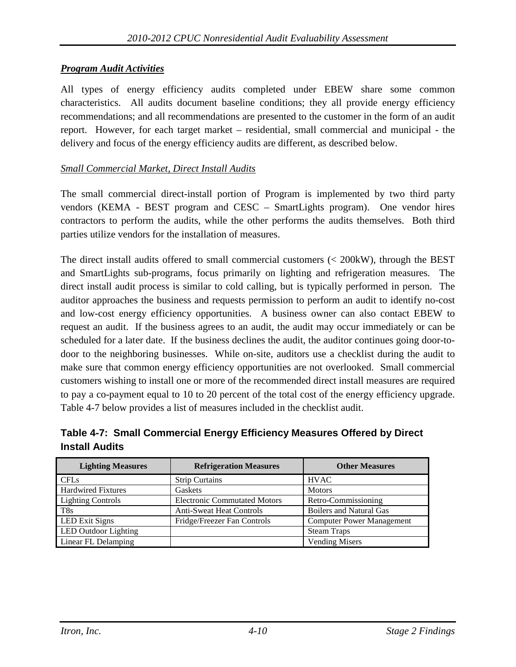#### *Program Audit Activities*

All types of energy efficiency audits completed under EBEW share some common characteristics. All audits document baseline conditions; they all provide energy efficiency recommendations; and all recommendations are presented to the customer in the form of an audit report. However, for each target market – residential, small commercial and municipal - the delivery and focus of the energy efficiency audits are different, as described below.

#### *Small Commercial Market, Direct Install Audits*

The small commercial direct-install portion of Program is implemented by two third party vendors (KEMA - BEST program and CESC – SmartLights program). One vendor hires contractors to perform the audits, while the other performs the audits themselves. Both third parties utilize vendors for the installation of measures.

The direct install audits offered to small commercial customers (< 200kW), through the BEST and SmartLights sub-programs, focus primarily on lighting and refrigeration measures. The direct install audit process is similar to cold calling, but is typically performed in person. The auditor approaches the business and requests permission to perform an audit to identify no-cost and low-cost energy efficiency opportunities. A business owner can also contact EBEW to request an audit. If the business agrees to an audit, the audit may occur immediately or can be scheduled for a later date. If the business declines the audit, the auditor continues going door-todoor to the neighboring businesses. While on-site, auditors use a checklist during the audit to make sure that common energy efficiency opportunities are not overlooked. Small commercial customers wishing to install one or more of the recommended direct install measures are required to pay a co-payment equal to 10 to 20 percent of the total cost of the energy efficiency upgrade. [Table 4-7](#page-51-0) below provides a list of measures included in the checklist audit.

<span id="page-51-0"></span>

| Table 4-7: Small Commercial Energy Efficiency Measures Offered by Direct |  |
|--------------------------------------------------------------------------|--|
| <b>Install Audits</b>                                                    |  |

| <b>Lighting Measures</b>  | <b>Refrigeration Measures</b>       | <b>Other Measures</b>            |
|---------------------------|-------------------------------------|----------------------------------|
| <b>CFLs</b>               | <b>Strip Curtains</b>               | <b>HVAC</b>                      |
| <b>Hardwired Fixtures</b> | Gaskets                             | <b>Motors</b>                    |
| <b>Lighting Controls</b>  | <b>Electronic Commutated Motors</b> | Retro-Commissioning              |
| T <sub>8s</sub>           | <b>Anti-Sweat Heat Controls</b>     | <b>Boilers and Natural Gas</b>   |
| <b>LED</b> Exit Signs     | Fridge/Freezer Fan Controls         | <b>Computer Power Management</b> |
| LED Outdoor Lighting      |                                     | <b>Steam Traps</b>               |
| Linear FL Delamping       |                                     | <b>Vending Misers</b>            |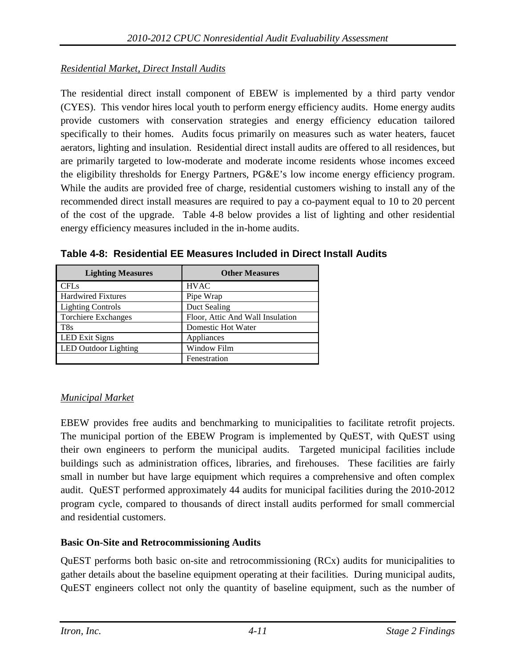# *Residential Market, Direct Install Audits*

The residential direct install component of EBEW is implemented by a third party vendor (CYES). This vendor hires local youth to perform energy efficiency audits. Home energy audits provide customers with conservation strategies and energy efficiency education tailored specifically to their homes. Audits focus primarily on measures such as water heaters, faucet aerators, lighting and insulation. Residential direct install audits are offered to all residences, but are primarily targeted to low-moderate and moderate income residents whose incomes exceed the eligibility thresholds for Energy Partners, PG&E's low income energy efficiency program. While the audits are provided free of charge, residential customers wishing to install any of the recommended direct install measures are required to pay a co-payment equal to 10 to 20 percent of the cost of the upgrade. [Table 4-8](#page-52-0) below provides a list of lighting and other residential energy efficiency measures included in the in-home audits.

| <b>Lighting Measures</b>   | <b>Other Measures</b>            |
|----------------------------|----------------------------------|
| <b>CFLs</b>                | <b>HVAC</b>                      |
| <b>Hardwired Fixtures</b>  | Pipe Wrap                        |
| <b>Lighting Controls</b>   | Duct Sealing                     |
| <b>Torchiere Exchanges</b> | Floor, Attic And Wall Insulation |
| T <sub>8s</sub>            | Domestic Hot Water               |
| <b>LED Exit Signs</b>      | Appliances                       |
| LED Outdoor Lighting       | Window Film                      |
|                            | Fenestration                     |

<span id="page-52-0"></span>**Table 4-8: Residential EE Measures Included in Direct Install Audits**

# *Municipal Market*

EBEW provides free audits and benchmarking to municipalities to facilitate retrofit projects. The municipal portion of the EBEW Program is implemented by QuEST, with QuEST using their own engineers to perform the municipal audits. Targeted municipal facilities include buildings such as administration offices, libraries, and firehouses. These facilities are fairly small in number but have large equipment which requires a comprehensive and often complex audit. QuEST performed approximately 44 audits for municipal facilities during the 2010-2012 program cycle, compared to thousands of direct install audits performed for small commercial and residential customers.

# **Basic On-Site and Retrocommissioning Audits**

QuEST performs both basic on-site and retrocommissioning (RCx) audits for municipalities to gather details about the baseline equipment operating at their facilities. During municipal audits, QuEST engineers collect not only the quantity of baseline equipment, such as the number of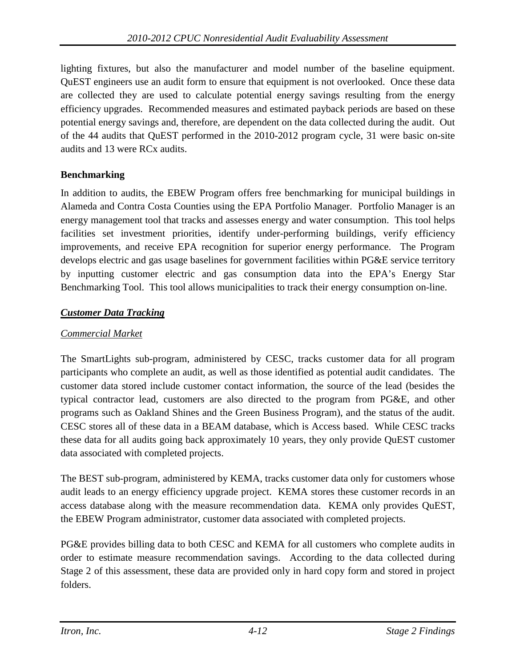lighting fixtures, but also the manufacturer and model number of the baseline equipment. QuEST engineers use an audit form to ensure that equipment is not overlooked. Once these data are collected they are used to calculate potential energy savings resulting from the energy efficiency upgrades. Recommended measures and estimated payback periods are based on these potential energy savings and, therefore, are dependent on the data collected during the audit. Out of the 44 audits that QuEST performed in the 2010-2012 program cycle, 31 were basic on-site audits and 13 were RCx audits.

### **Benchmarking**

In addition to audits, the EBEW Program offers free benchmarking for municipal buildings in Alameda and Contra Costa Counties using the EPA Portfolio Manager. Portfolio Manager is an energy management tool that tracks and assesses energy and water consumption. This tool helps facilities set investment priorities, identify under-performing buildings, verify efficiency improvements, and receive EPA recognition for superior energy performance. The Program develops electric and gas usage baselines for government facilities within PG&E service territory by inputting customer electric and gas consumption data into the EPA's Energy Star Benchmarking Tool. This tool allows municipalities to track their energy consumption on-line.

# *Customer Data Tracking*

### *Commercial Market*

The SmartLights sub-program, administered by CESC, tracks customer data for all program participants who complete an audit, as well as those identified as potential audit candidates. The customer data stored include customer contact information, the source of the lead (besides the typical contractor lead, customers are also directed to the program from PG&E, and other programs such as Oakland Shines and the Green Business Program), and the status of the audit. CESC stores all of these data in a BEAM database, which is Access based. While CESC tracks these data for all audits going back approximately 10 years, they only provide QuEST customer data associated with completed projects.

The BEST sub-program, administered by KEMA, tracks customer data only for customers whose audit leads to an energy efficiency upgrade project. KEMA stores these customer records in an access database along with the measure recommendation data. KEMA only provides QuEST, the EBEW Program administrator, customer data associated with completed projects.

PG&E provides billing data to both CESC and KEMA for all customers who complete audits in order to estimate measure recommendation savings. According to the data collected during Stage 2 of this assessment, these data are provided only in hard copy form and stored in project folders.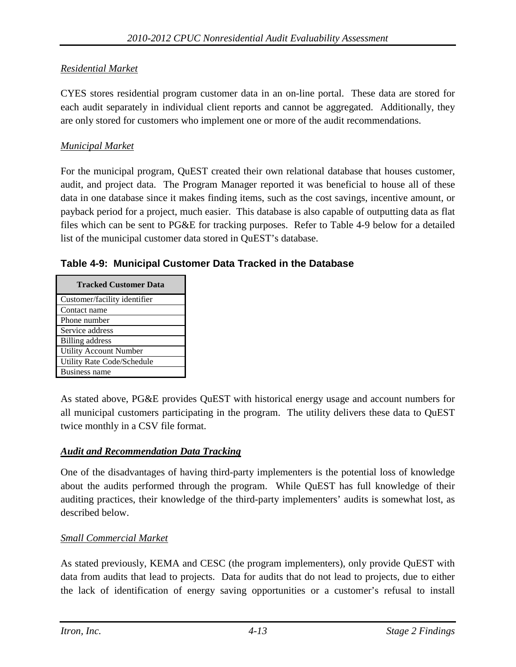# *Residential Market*

CYES stores residential program customer data in an on-line portal. These data are stored for each audit separately in individual client reports and cannot be aggregated. Additionally, they are only stored for customers who implement one or more of the audit recommendations.

# *Municipal Market*

For the municipal program, QuEST created their own relational database that houses customer, audit, and project data. The Program Manager reported it was beneficial to house all of these data in one database since it makes finding items, such as the cost savings, incentive amount, or payback period for a project, much easier. This database is also capable of outputting data as flat files which can be sent to PG&E for tracking purposes. Refer to [Table 4-9](#page-54-0) below for a detailed list of the municipal customer data stored in QuEST's database.

<span id="page-54-0"></span>**Table 4-9: Municipal Customer Data Tracked in the Database**

| <b>Tracked Customer Data</b>  |
|-------------------------------|
| Customer/facility identifier  |
| Contact name                  |
| Phone number                  |
| Service address               |
| Billing address               |
| <b>Utility Account Number</b> |
| Utility Rate Code/Schedule    |
| <b>Business name</b>          |

As stated above, PG&E provides QuEST with historical energy usage and account numbers for all municipal customers participating in the program. The utility delivers these data to QuEST twice monthly in a CSV file format.

# *Audit and Recommendation Data Tracking*

One of the disadvantages of having third-party implementers is the potential loss of knowledge about the audits performed through the program. While QuEST has full knowledge of their auditing practices, their knowledge of the third-party implementers' audits is somewhat lost, as described below.

# *Small Commercial Market*

As stated previously, KEMA and CESC (the program implementers), only provide QuEST with data from audits that lead to projects. Data for audits that do not lead to projects, due to either the lack of identification of energy saving opportunities or a customer's refusal to install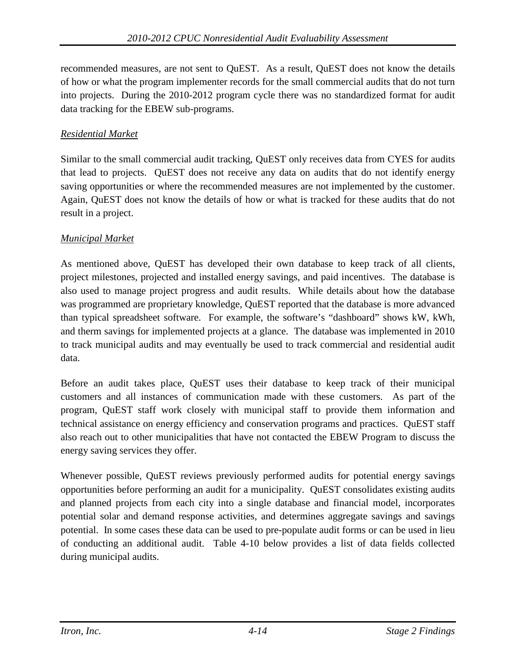recommended measures, are not sent to QuEST. As a result, QuEST does not know the details of how or what the program implementer records for the small commercial audits that do not turn into projects. During the 2010-2012 program cycle there was no standardized format for audit data tracking for the EBEW sub-programs.

# *Residential Market*

Similar to the small commercial audit tracking, QuEST only receives data from CYES for audits that lead to projects. QuEST does not receive any data on audits that do not identify energy saving opportunities or where the recommended measures are not implemented by the customer. Again, QuEST does not know the details of how or what is tracked for these audits that do not result in a project.

# *Municipal Market*

As mentioned above, QuEST has developed their own database to keep track of all clients, project milestones, projected and installed energy savings, and paid incentives. The database is also used to manage project progress and audit results. While details about how the database was programmed are proprietary knowledge, QuEST reported that the database is more advanced than typical spreadsheet software. For example, the software's "dashboard" shows kW, kWh, and therm savings for implemented projects at a glance. The database was implemented in 2010 to track municipal audits and may eventually be used to track commercial and residential audit data.

Before an audit takes place, QuEST uses their database to keep track of their municipal customers and all instances of communication made with these customers. As part of the program, QuEST staff work closely with municipal staff to provide them information and technical assistance on energy efficiency and conservation programs and practices. QuEST staff also reach out to other municipalities that have not contacted the EBEW Program to discuss the energy saving services they offer.

Whenever possible, QuEST reviews previously performed audits for potential energy savings opportunities before performing an audit for a municipality. QuEST consolidates existing audits and planned projects from each city into a single database and financial model, incorporates potential solar and demand response activities, and determines aggregate savings and savings potential. In some cases these data can be used to pre-populate audit forms or can be used in lieu of conducting an additional audit. [Table 4-10](#page-56-0) below provides a list of data fields collected during municipal audits.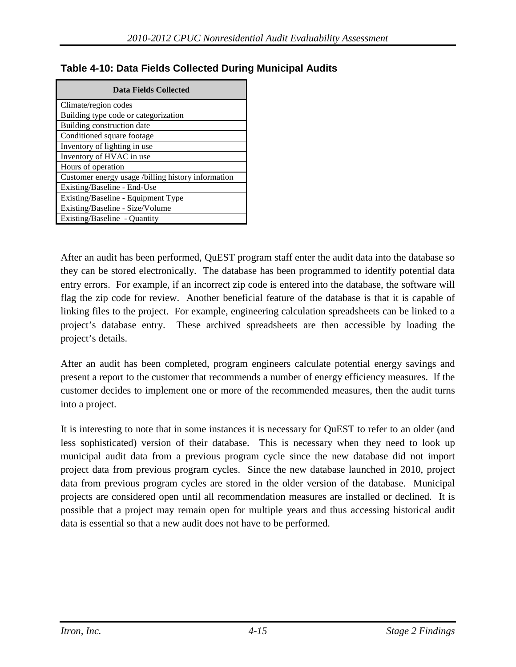| Data Fields Collected                              |  |  |  |  |
|----------------------------------------------------|--|--|--|--|
| Climate/region codes                               |  |  |  |  |
| Building type code or categorization               |  |  |  |  |
| Building construction date                         |  |  |  |  |
| Conditioned square footage                         |  |  |  |  |
| Inventory of lighting in use                       |  |  |  |  |
| Inventory of HVAC in use                           |  |  |  |  |
| Hours of operation                                 |  |  |  |  |
| Customer energy usage /billing history information |  |  |  |  |
| Existing/Baseline - End-Use                        |  |  |  |  |
| Existing/Baseline - Equipment Type                 |  |  |  |  |
| Existing/Baseline - Size/Volume                    |  |  |  |  |
| Existing/Baseline - Quantity                       |  |  |  |  |

# <span id="page-56-0"></span>**Table 4-10: Data Fields Collected During Municipal Audits**

After an audit has been performed, QuEST program staff enter the audit data into the database so they can be stored electronically. The database has been programmed to identify potential data entry errors. For example, if an incorrect zip code is entered into the database, the software will flag the zip code for review. Another beneficial feature of the database is that it is capable of linking files to the project. For example, engineering calculation spreadsheets can be linked to a project's database entry. These archived spreadsheets are then accessible by loading the project's details.

After an audit has been completed, program engineers calculate potential energy savings and present a report to the customer that recommends a number of energy efficiency measures. If the customer decides to implement one or more of the recommended measures, then the audit turns into a project.

It is interesting to note that in some instances it is necessary for QuEST to refer to an older (and less sophisticated) version of their database. This is necessary when they need to look up municipal audit data from a previous program cycle since the new database did not import project data from previous program cycles. Since the new database launched in 2010, project data from previous program cycles are stored in the older version of the database. Municipal projects are considered open until all recommendation measures are installed or declined. It is possible that a project may remain open for multiple years and thus accessing historical audit data is essential so that a new audit does not have to be performed.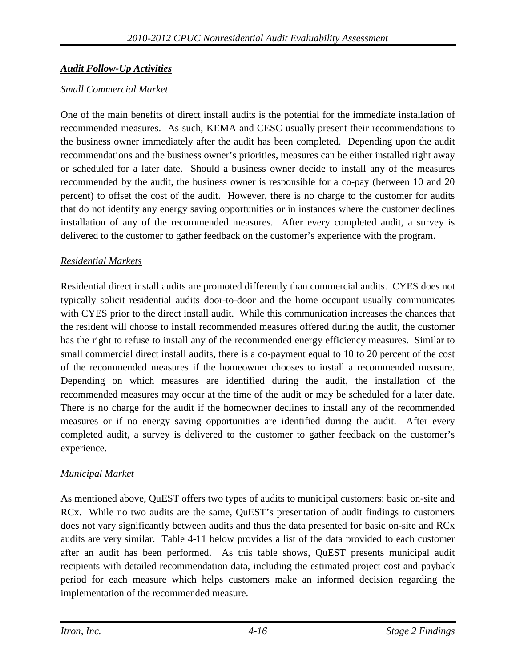# *Audit Follow-Up Activities*

### *Small Commercial Market*

One of the main benefits of direct install audits is the potential for the immediate installation of recommended measures. As such, KEMA and CESC usually present their recommendations to the business owner immediately after the audit has been completed. Depending upon the audit recommendations and the business owner's priorities, measures can be either installed right away or scheduled for a later date. Should a business owner decide to install any of the measures recommended by the audit, the business owner is responsible for a co-pay (between 10 and 20 percent) to offset the cost of the audit. However, there is no charge to the customer for audits that do not identify any energy saving opportunities or in instances where the customer declines installation of any of the recommended measures. After every completed audit, a survey is delivered to the customer to gather feedback on the customer's experience with the program.

### *Residential Markets*

Residential direct install audits are promoted differently than commercial audits. CYES does not typically solicit residential audits door-to-door and the home occupant usually communicates with CYES prior to the direct install audit. While this communication increases the chances that the resident will choose to install recommended measures offered during the audit, the customer has the right to refuse to install any of the recommended energy efficiency measures. Similar to small commercial direct install audits, there is a co-payment equal to 10 to 20 percent of the cost of the recommended measures if the homeowner chooses to install a recommended measure. Depending on which measures are identified during the audit, the installation of the recommended measures may occur at the time of the audit or may be scheduled for a later date. There is no charge for the audit if the homeowner declines to install any of the recommended measures or if no energy saving opportunities are identified during the audit. After every completed audit, a survey is delivered to the customer to gather feedback on the customer's experience.

#### *Municipal Market*

As mentioned above, QuEST offers two types of audits to municipal customers: basic on-site and RCx. While no two audits are the same, QuEST's presentation of audit findings to customers does not vary significantly between audits and thus the data presented for basic on-site and RCx audits are very similar. [Table 4-11](#page-58-0) below provides a list of the data provided to each customer after an audit has been performed. As this table shows, QuEST presents municipal audit recipients with detailed recommendation data, including the estimated project cost and payback period for each measure which helps customers make an informed decision regarding the implementation of the recommended measure.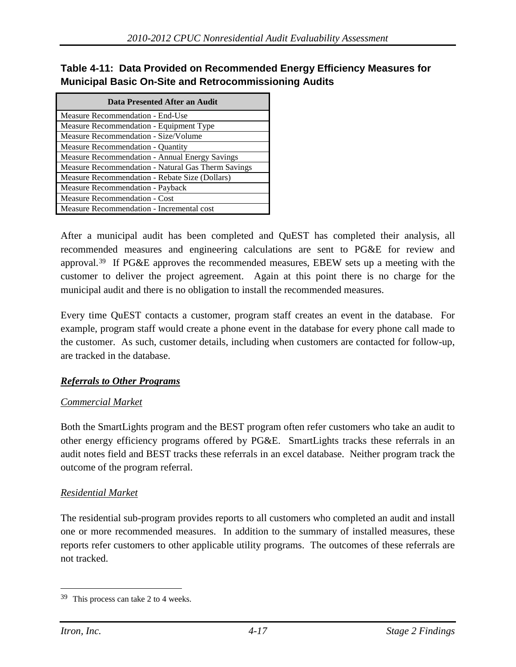### <span id="page-58-0"></span>**Table 4-11: Data Provided on Recommended Energy Efficiency Measures for Municipal Basic On-Site and Retrocommissioning Audits**

| Data Presented After an Audit                         |  |  |  |
|-------------------------------------------------------|--|--|--|
| Measure Recommendation - End-Use                      |  |  |  |
| Measure Recommendation - Equipment Type               |  |  |  |
| Measure Recommendation - Size/Volume                  |  |  |  |
| Measure Recommendation - Quantity                     |  |  |  |
| <b>Measure Recommendation - Annual Energy Savings</b> |  |  |  |
| Measure Recommendation - Natural Gas Therm Savings    |  |  |  |
| Measure Recommendation - Rebate Size (Dollars)        |  |  |  |
| Measure Recommendation - Payback                      |  |  |  |
| Measure Recommendation - Cost                         |  |  |  |
| Measure Recommendation - Incremental cost             |  |  |  |

After a municipal audit has been completed and QuEST has completed their analysis, all recommended measures and engineering calculations are sent to PG&E for review and approval.[39](#page-58-1) If PG&E approves the recommended measures, EBEW sets up a meeting with the customer to deliver the project agreement. Again at this point there is no charge for the municipal audit and there is no obligation to install the recommended measures.

Every time QuEST contacts a customer, program staff creates an event in the database. For example, program staff would create a phone event in the database for every phone call made to the customer. As such, customer details, including when customers are contacted for follow-up, are tracked in the database.

#### *Referrals to Other Programs*

#### *Commercial Market*

Both the SmartLights program and the BEST program often refer customers who take an audit to other energy efficiency programs offered by PG&E. SmartLights tracks these referrals in an audit notes field and BEST tracks these referrals in an excel database. Neither program track the outcome of the program referral.

#### *Residential Market*

The residential sub-program provides reports to all customers who completed an audit and install one or more recommended measures. In addition to the summary of installed measures, these reports refer customers to other applicable utility programs. The outcomes of these referrals are not tracked.

<span id="page-58-1"></span> <sup>39</sup> This process can take 2 to 4 weeks.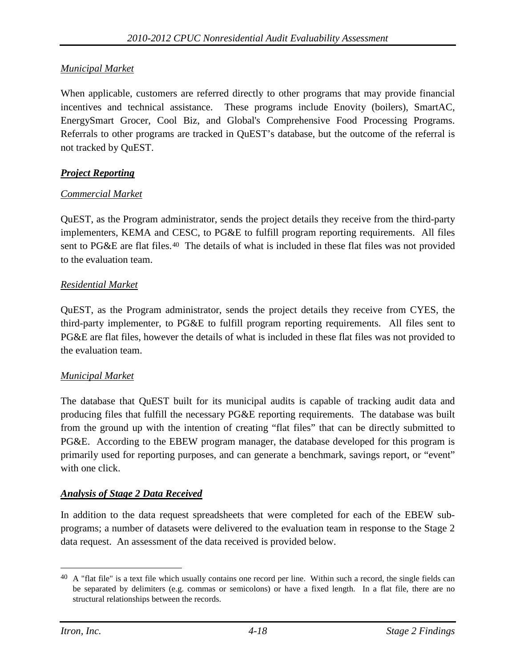### *Municipal Market*

When applicable, customers are referred directly to other programs that may provide financial incentives and technical assistance. These programs include Enovity (boilers), SmartAC, EnergySmart Grocer, Cool Biz, and Global's Comprehensive Food Processing Programs. Referrals to other programs are tracked in QuEST's database, but the outcome of the referral is not tracked by QuEST.

#### *Project Reporting*

#### *Commercial Market*

QuEST, as the Program administrator, sends the project details they receive from the third-party implementers, KEMA and CESC, to PG&E to fulfill program reporting requirements. All files sent to PG&E are flat files.[40](#page-59-0) The details of what is included in these flat files was not provided to the evaluation team.

#### *Residential Market*

QuEST, as the Program administrator, sends the project details they receive from CYES, the third-party implementer, to PG&E to fulfill program reporting requirements. All files sent to PG&E are flat files, however the details of what is included in these flat files was not provided to the evaluation team.

#### *Municipal Market*

The database that QuEST built for its municipal audits is capable of tracking audit data and producing files that fulfill the necessary PG&E reporting requirements. The database was built from the ground up with the intention of creating "flat files" that can be directly submitted to PG&E. According to the EBEW program manager, the database developed for this program is primarily used for reporting purposes, and can generate a benchmark, savings report, or "event" with one click.

#### *Analysis of Stage 2 Data Received*

In addition to the data request spreadsheets that were completed for each of the EBEW subprograms; a number of datasets were delivered to the evaluation team in response to the Stage 2 data request. An assessment of the data received is provided below.

<span id="page-59-0"></span> $40\,$  A "flat file" is a text file which usually contains one record per line. Within such a record, the single fields can be separated by delimiters (e.g. commas or semicolons) or have a fixed length. In a flat file, there are no structural relationships between the records.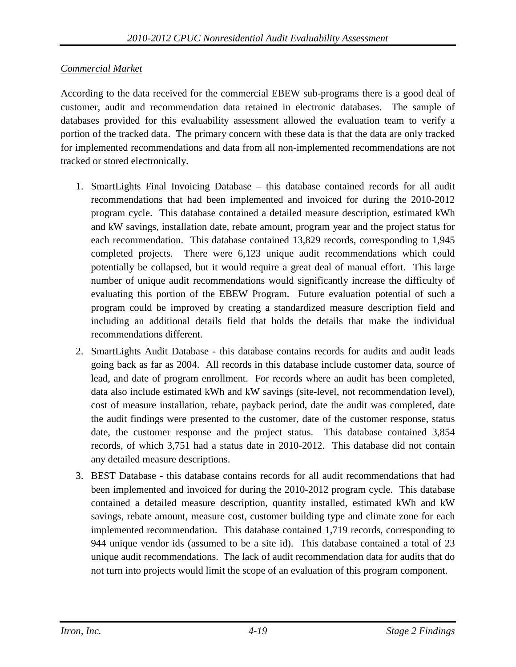# *Commercial Market*

According to the data received for the commercial EBEW sub-programs there is a good deal of customer, audit and recommendation data retained in electronic databases. The sample of databases provided for this evaluability assessment allowed the evaluation team to verify a portion of the tracked data. The primary concern with these data is that the data are only tracked for implemented recommendations and data from all non-implemented recommendations are not tracked or stored electronically.

- 1. SmartLights Final Invoicing Database this database contained records for all audit recommendations that had been implemented and invoiced for during the 2010-2012 program cycle. This database contained a detailed measure description, estimated kWh and kW savings, installation date, rebate amount, program year and the project status for each recommendation. This database contained 13,829 records, corresponding to 1,945 completed projects. There were 6,123 unique audit recommendations which could potentially be collapsed, but it would require a great deal of manual effort. This large number of unique audit recommendations would significantly increase the difficulty of evaluating this portion of the EBEW Program. Future evaluation potential of such a program could be improved by creating a standardized measure description field and including an additional details field that holds the details that make the individual recommendations different.
- 2. SmartLights Audit Database this database contains records for audits and audit leads going back as far as 2004. All records in this database include customer data, source of lead, and date of program enrollment. For records where an audit has been completed, data also include estimated kWh and kW savings (site-level, not recommendation level), cost of measure installation, rebate, payback period, date the audit was completed, date the audit findings were presented to the customer, date of the customer response, status date, the customer response and the project status. This database contained 3,854 records, of which 3,751 had a status date in 2010-2012. This database did not contain any detailed measure descriptions.
- 3. BEST Database this database contains records for all audit recommendations that had been implemented and invoiced for during the 2010-2012 program cycle. This database contained a detailed measure description, quantity installed, estimated kWh and kW savings, rebate amount, measure cost, customer building type and climate zone for each implemented recommendation. This database contained 1,719 records, corresponding to 944 unique vendor ids (assumed to be a site id). This database contained a total of 23 unique audit recommendations. The lack of audit recommendation data for audits that do not turn into projects would limit the scope of an evaluation of this program component.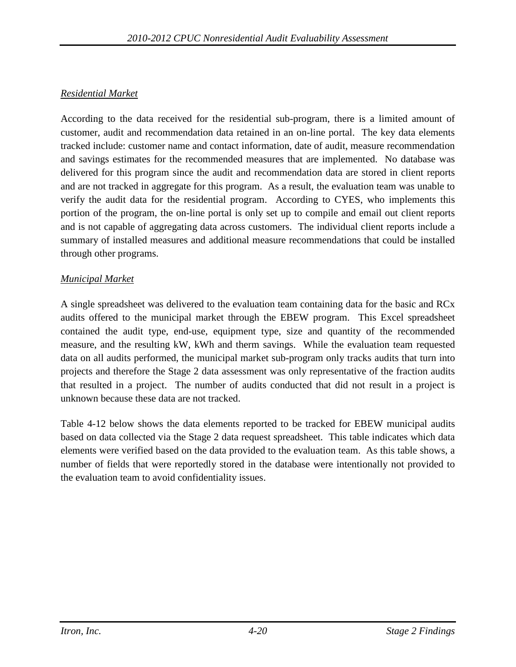# *Residential Market*

According to the data received for the residential sub-program, there is a limited amount of customer, audit and recommendation data retained in an on-line portal. The key data elements tracked include: customer name and contact information, date of audit, measure recommendation and savings estimates for the recommended measures that are implemented. No database was delivered for this program since the audit and recommendation data are stored in client reports and are not tracked in aggregate for this program. As a result, the evaluation team was unable to verify the audit data for the residential program. According to CYES, who implements this portion of the program, the on-line portal is only set up to compile and email out client reports and is not capable of aggregating data across customers. The individual client reports include a summary of installed measures and additional measure recommendations that could be installed through other programs.

### *Municipal Market*

A single spreadsheet was delivered to the evaluation team containing data for the basic and RCx audits offered to the municipal market through the EBEW program. This Excel spreadsheet contained the audit type, end-use, equipment type, size and quantity of the recommended measure, and the resulting kW, kWh and therm savings. While the evaluation team requested data on all audits performed, the municipal market sub-program only tracks audits that turn into projects and therefore the Stage 2 data assessment was only representative of the fraction audits that resulted in a project. The number of audits conducted that did not result in a project is unknown because these data are not tracked.

[Table 4-12](#page-62-0) below shows the data elements reported to be tracked for EBEW municipal audits based on data collected via the Stage 2 data request spreadsheet. This table indicates which data elements were verified based on the data provided to the evaluation team. As this table shows, a number of fields that were reportedly stored in the database were intentionally not provided to the evaluation team to avoid confidentiality issues.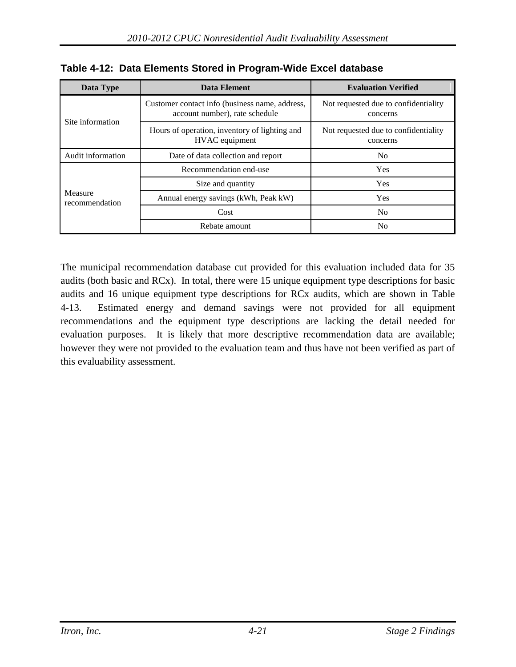| Data Type                 | Data Element                                                                     | <b>Evaluation Verified</b>                       |  |
|---------------------------|----------------------------------------------------------------------------------|--------------------------------------------------|--|
| Site information          | Customer contact info (business name, address,<br>account number), rate schedule | Not requested due to confidentiality<br>concerns |  |
|                           | Hours of operation, inventory of lighting and<br>HVAC equipment                  | Not requested due to confidentiality<br>concerns |  |
| Audit information         | Date of data collection and report                                               | N <sub>0</sub>                                   |  |
|                           | Recommendation end-use                                                           | <b>Yes</b>                                       |  |
| Measure<br>recommendation | Size and quantity                                                                | <b>Yes</b>                                       |  |
|                           | Annual energy savings (kWh, Peak kW)                                             | <b>Yes</b>                                       |  |
|                           | Cost                                                                             | No.                                              |  |
|                           | Rebate amount                                                                    | No.                                              |  |

<span id="page-62-0"></span>

|  |  | Table 4-12: Data Elements Stored in Program-Wide Excel database |  |  |  |  |
|--|--|-----------------------------------------------------------------|--|--|--|--|
|--|--|-----------------------------------------------------------------|--|--|--|--|

The municipal recommendation database cut provided for this evaluation included data for 35 audits (both basic and RCx). In total, there were 15 unique equipment type descriptions for basic audits and 16 unique equipment type descriptions for RCx audits, which are shown in [Table](#page-63-0)  [4-13.](#page-63-0) Estimated energy and demand savings were not provided for all equipment recommendations and the equipment type descriptions are lacking the detail needed for evaluation purposes. It is likely that more descriptive recommendation data are available; however they were not provided to the evaluation team and thus have not been verified as part of this evaluability assessment.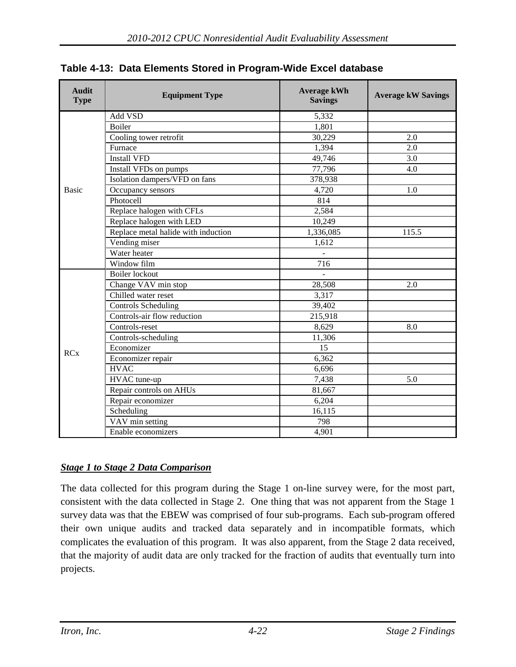| <b>Audit</b><br><b>Type</b> | <b>Equipment Type</b>               | <b>Average kWh</b><br><b>Savings</b> | <b>Average kW Savings</b> |
|-----------------------------|-------------------------------------|--------------------------------------|---------------------------|
|                             | Add VSD                             | 5,332                                |                           |
|                             | <b>Boiler</b>                       | 1,801                                |                           |
|                             | Cooling tower retrofit              | 30,229                               | 2.0                       |
|                             | Furnace                             | 1,394                                | 2.0                       |
|                             | <b>Install VFD</b>                  | 49,746                               | 3.0                       |
|                             | Install VFDs on pumps               | 77,796                               | 4.0                       |
|                             | Isolation dampers/VFD on fans       | 378,938                              |                           |
| <b>Basic</b>                | Occupancy sensors                   | 4,720                                | 1.0                       |
|                             | Photocell                           | 814                                  |                           |
|                             | Replace halogen with CFLs           | 2,584                                |                           |
|                             | Replace halogen with LED            | 10,249                               |                           |
|                             | Replace metal halide with induction | 1,336,085                            | 115.5                     |
|                             | Vending miser                       | 1,612                                |                           |
|                             | Water heater                        | $\equiv$                             |                           |
|                             | Window film                         | $\overline{716}$                     |                           |
|                             | <b>Boiler</b> lockout               |                                      |                           |
|                             | Change VAV min stop                 | 28,508                               | 2.0                       |
|                             | Chilled water reset                 | 3,317                                |                           |
|                             | <b>Controls Scheduling</b>          | 39,402                               |                           |
|                             | Controls-air flow reduction         | 215,918                              |                           |
|                             | Controls-reset                      | 8,629                                | 8.0                       |
| <b>RCx</b>                  | Controls-scheduling                 | 11,306                               |                           |
|                             | Economizer                          | 15                                   |                           |
|                             | Economizer repair                   | 6,362                                |                           |
|                             | <b>HVAC</b>                         | 6,696                                |                           |
|                             | HVAC tune-up                        | 7,438                                | 5.0                       |
|                             | Repair controls on AHUs             | 81,667                               |                           |
|                             | Repair economizer                   | 6,204                                |                           |
|                             | Scheduling                          | 16,115                               |                           |
|                             | VAV min setting                     | 798                                  |                           |
|                             | Enable economizers                  | 4,901                                |                           |

<span id="page-63-0"></span>

|  |  | Table 4-13: Data Elements Stored in Program-Wide Excel database |  |  |  |
|--|--|-----------------------------------------------------------------|--|--|--|
|--|--|-----------------------------------------------------------------|--|--|--|

# *Stage 1 to Stage 2 Data Comparison*

The data collected for this program during the Stage 1 on-line survey were, for the most part, consistent with the data collected in Stage 2. One thing that was not apparent from the Stage 1 survey data was that the EBEW was comprised of four sub-programs. Each sub-program offered their own unique audits and tracked data separately and in incompatible formats, which complicates the evaluation of this program. It was also apparent, from the Stage 2 data received, that the majority of audit data are only tracked for the fraction of audits that eventually turn into projects.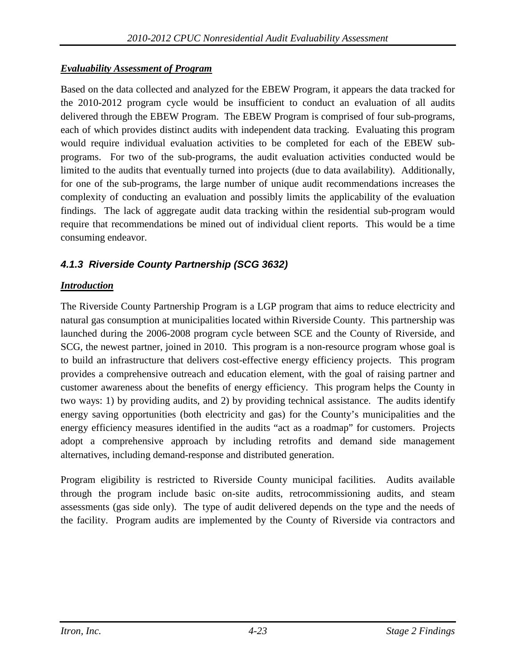### *Evaluability Assessment of Program*

Based on the data collected and analyzed for the EBEW Program, it appears the data tracked for the 2010-2012 program cycle would be insufficient to conduct an evaluation of all audits delivered through the EBEW Program. The EBEW Program is comprised of four sub-programs, each of which provides distinct audits with independent data tracking. Evaluating this program would require individual evaluation activities to be completed for each of the EBEW subprograms. For two of the sub-programs, the audit evaluation activities conducted would be limited to the audits that eventually turned into projects (due to data availability). Additionally, for one of the sub-programs, the large number of unique audit recommendations increases the complexity of conducting an evaluation and possibly limits the applicability of the evaluation findings. The lack of aggregate audit data tracking within the residential sub-program would require that recommendations be mined out of individual client reports. This would be a time consuming endeavor.

# *4.1.3 Riverside County Partnership (SCG 3632)*

# *Introduction*

The Riverside County Partnership Program is a LGP program that aims to reduce electricity and natural gas consumption at municipalities located within Riverside County. This partnership was launched during the 2006-2008 program cycle between SCE and the County of Riverside, and SCG, the newest partner, joined in 2010. This program is a non-resource program whose goal is to build an infrastructure that delivers cost-effective energy efficiency projects. This program provides a comprehensive outreach and education element, with the goal of raising partner and customer awareness about the benefits of energy efficiency. This program helps the County in two ways: 1) by providing audits, and 2) by providing technical assistance. The audits identify energy saving opportunities (both electricity and gas) for the County's municipalities and the energy efficiency measures identified in the audits "act as a roadmap" for customers. Projects adopt a comprehensive approach by including retrofits and demand side management alternatives, including demand-response and distributed generation.

Program eligibility is restricted to Riverside County municipal facilities. Audits available through the program include basic on-site audits, retrocommissioning audits, and steam assessments (gas side only). The type of audit delivered depends on the type and the needs of the facility. Program audits are implemented by the County of Riverside via contractors and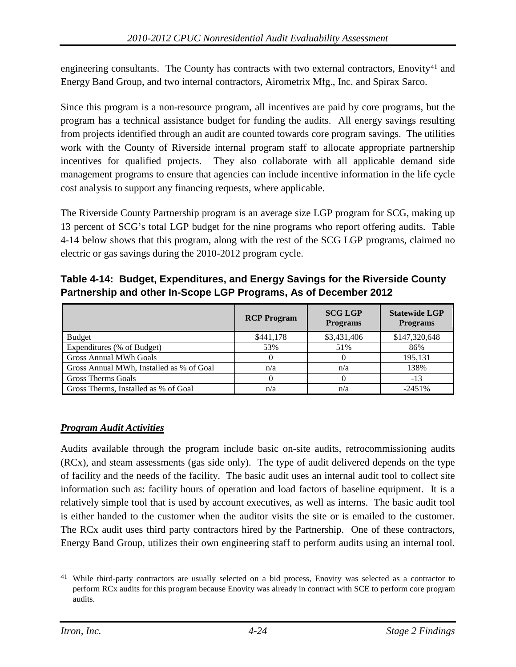engineering consultants. The County has contracts with two external contractors, Enovity<sup>[41](#page-65-1)</sup> and Energy Band Group, and two internal contractors, Airometrix Mfg., Inc. and Spirax Sarco.

Since this program is a non-resource program, all incentives are paid by core programs, but the program has a technical assistance budget for funding the audits. All energy savings resulting from projects identified through an audit are counted towards core program savings. The utilities work with the County of Riverside internal program staff to allocate appropriate partnership incentives for qualified projects. They also collaborate with all applicable demand side management programs to ensure that agencies can include incentive information in the life cycle cost analysis to support any financing requests, where applicable.

The Riverside County Partnership program is an average size LGP program for SCG, making up 13 percent of SCG's total LGP budget for the nine programs who report offering audits. [Table](#page-65-0)  [4-14](#page-65-0) below shows that this program, along with the rest of the SCG LGP programs, claimed no electric or gas savings during the 2010-2012 program cycle.

<span id="page-65-0"></span>**Table 4-14: Budget, Expenditures, and Energy Savings for the Riverside County Partnership and other In-Scope LGP Programs, As of December 2012**

|                                          | <b>RCP Program</b> | <b>SCG LGP</b><br><b>Programs</b> | <b>Statewide LGP</b><br><b>Programs</b> |
|------------------------------------------|--------------------|-----------------------------------|-----------------------------------------|
| <b>Budget</b>                            | \$441,178          | \$3,431,406                       | \$147,320,648                           |
| Expenditures (% of Budget)               | 53%                | 51%                               | 86%                                     |
| <b>Gross Annual MWh Goals</b>            |                    |                                   | 195,131                                 |
| Gross Annual MWh, Installed as % of Goal | n/a                | n/a                               | 138%                                    |
| <b>Gross Therms Goals</b>                |                    |                                   | -13                                     |
| Gross Therms, Installed as % of Goal     | n/a                | n/a                               | $-2451%$                                |

# *Program Audit Activities*

Audits available through the program include basic on-site audits, retrocommissioning audits (RCx), and steam assessments (gas side only). The type of audit delivered depends on the type of facility and the needs of the facility. The basic audit uses an internal audit tool to collect site information such as: facility hours of operation and load factors of baseline equipment. It is a relatively simple tool that is used by account executives, as well as interns. The basic audit tool is either handed to the customer when the auditor visits the site or is emailed to the customer. The RCx audit uses third party contractors hired by the Partnership. One of these contractors, Energy Band Group, utilizes their own engineering staff to perform audits using an internal tool.

<span id="page-65-1"></span><sup>&</sup>lt;sup>41</sup> While third-party contractors are usually selected on a bid process, Enovity was selected as a contractor to perform RCx audits for this program because Enovity was already in contract with SCE to perform core program audits.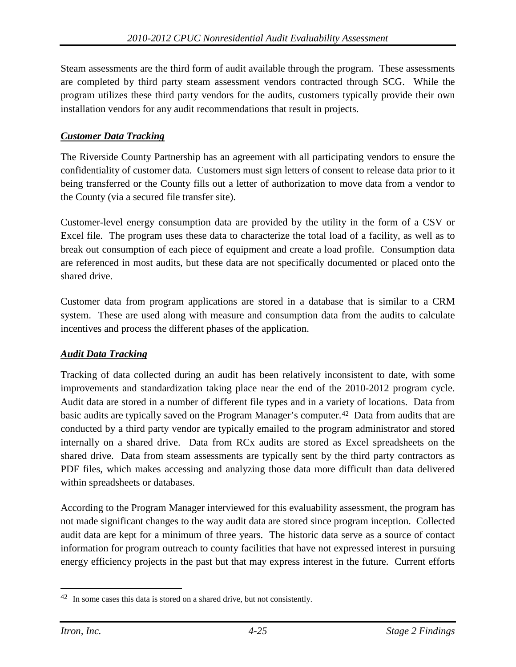Steam assessments are the third form of audit available through the program. These assessments are completed by third party steam assessment vendors contracted through SCG. While the program utilizes these third party vendors for the audits, customers typically provide their own installation vendors for any audit recommendations that result in projects.

# *Customer Data Tracking*

The Riverside County Partnership has an agreement with all participating vendors to ensure the confidentiality of customer data. Customers must sign letters of consent to release data prior to it being transferred or the County fills out a letter of authorization to move data from a vendor to the County (via a secured file transfer site).

Customer-level energy consumption data are provided by the utility in the form of a CSV or Excel file. The program uses these data to characterize the total load of a facility, as well as to break out consumption of each piece of equipment and create a load profile. Consumption data are referenced in most audits, but these data are not specifically documented or placed onto the shared drive.

Customer data from program applications are stored in a database that is similar to a CRM system. These are used along with measure and consumption data from the audits to calculate incentives and process the different phases of the application.

#### *Audit Data Tracking*

Tracking of data collected during an audit has been relatively inconsistent to date, with some improvements and standardization taking place near the end of the 2010-2012 program cycle. Audit data are stored in a number of different file types and in a variety of locations. Data from basic audits are typically saved on the Program Manager's computer.[42](#page-66-0) Data from audits that are conducted by a third party vendor are typically emailed to the program administrator and stored internally on a shared drive. Data from RCx audits are stored as Excel spreadsheets on the shared drive. Data from steam assessments are typically sent by the third party contractors as PDF files, which makes accessing and analyzing those data more difficult than data delivered within spreadsheets or databases.

According to the Program Manager interviewed for this evaluability assessment, the program has not made significant changes to the way audit data are stored since program inception. Collected audit data are kept for a minimum of three years. The historic data serve as a source of contact information for program outreach to county facilities that have not expressed interest in pursuing energy efficiency projects in the past but that may express interest in the future. Current efforts

<span id="page-66-0"></span> <sup>42</sup> In some cases this data is stored on a shared drive, but not consistently.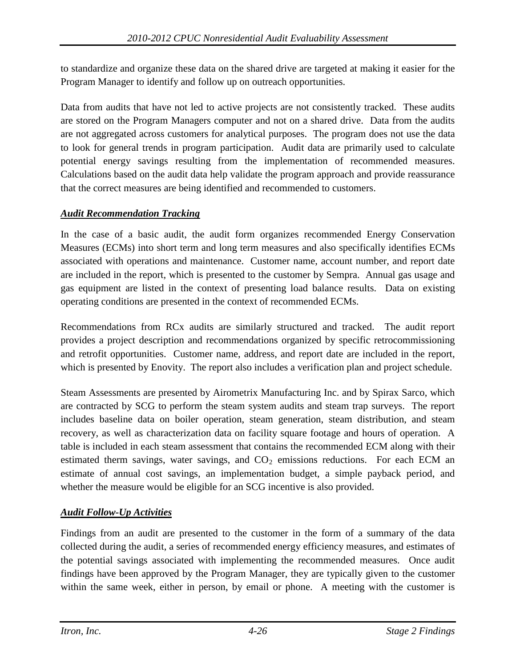to standardize and organize these data on the shared drive are targeted at making it easier for the Program Manager to identify and follow up on outreach opportunities.

Data from audits that have not led to active projects are not consistently tracked. These audits are stored on the Program Managers computer and not on a shared drive. Data from the audits are not aggregated across customers for analytical purposes. The program does not use the data to look for general trends in program participation. Audit data are primarily used to calculate potential energy savings resulting from the implementation of recommended measures. Calculations based on the audit data help validate the program approach and provide reassurance that the correct measures are being identified and recommended to customers.

# *Audit Recommendation Tracking*

In the case of a basic audit, the audit form organizes recommended Energy Conservation Measures (ECMs) into short term and long term measures and also specifically identifies ECMs associated with operations and maintenance. Customer name, account number, and report date are included in the report, which is presented to the customer by Sempra. Annual gas usage and gas equipment are listed in the context of presenting load balance results. Data on existing operating conditions are presented in the context of recommended ECMs.

Recommendations from RCx audits are similarly structured and tracked. The audit report provides a project description and recommendations organized by specific retrocommissioning and retrofit opportunities. Customer name, address, and report date are included in the report, which is presented by Enovity. The report also includes a verification plan and project schedule.

Steam Assessments are presented by Airometrix Manufacturing Inc. and by Spirax Sarco, which are contracted by SCG to perform the steam system audits and steam trap surveys. The report includes baseline data on boiler operation, steam generation, steam distribution, and steam recovery, as well as characterization data on facility square footage and hours of operation. A table is included in each steam assessment that contains the recommended ECM along with their estimated therm savings, water savings, and CO<sub>2</sub> emissions reductions. For each ECM an estimate of annual cost savings, an implementation budget, a simple payback period, and whether the measure would be eligible for an SCG incentive is also provided.

# *Audit Follow-Up Activities*

Findings from an audit are presented to the customer in the form of a summary of the data collected during the audit, a series of recommended energy efficiency measures, and estimates of the potential savings associated with implementing the recommended measures. Once audit findings have been approved by the Program Manager, they are typically given to the customer within the same week, either in person, by email or phone. A meeting with the customer is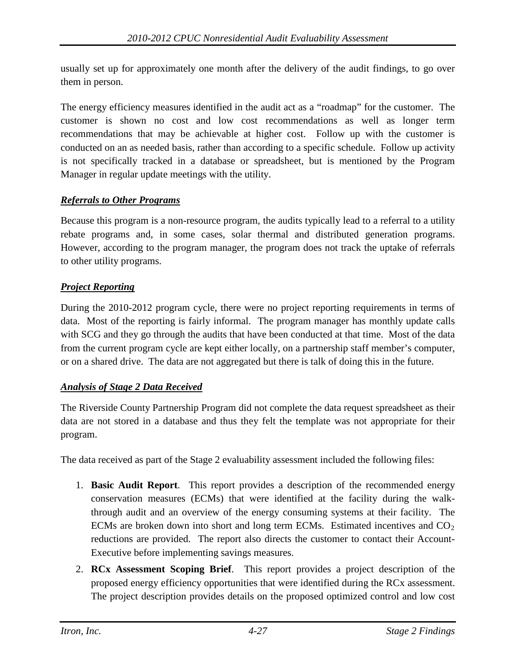usually set up for approximately one month after the delivery of the audit findings, to go over them in person.

The energy efficiency measures identified in the audit act as a "roadmap" for the customer. The customer is shown no cost and low cost recommendations as well as longer term recommendations that may be achievable at higher cost. Follow up with the customer is conducted on an as needed basis, rather than according to a specific schedule. Follow up activity is not specifically tracked in a database or spreadsheet, but is mentioned by the Program Manager in regular update meetings with the utility.

#### *Referrals to Other Programs*

Because this program is a non-resource program, the audits typically lead to a referral to a utility rebate programs and, in some cases, solar thermal and distributed generation programs. However, according to the program manager, the program does not track the uptake of referrals to other utility programs.

#### *Project Reporting*

During the 2010-2012 program cycle, there were no project reporting requirements in terms of data. Most of the reporting is fairly informal. The program manager has monthly update calls with SCG and they go through the audits that have been conducted at that time. Most of the data from the current program cycle are kept either locally, on a partnership staff member's computer, or on a shared drive. The data are not aggregated but there is talk of doing this in the future.

#### *Analysis of Stage 2 Data Received*

The Riverside County Partnership Program did not complete the data request spreadsheet as their data are not stored in a database and thus they felt the template was not appropriate for their program.

The data received as part of the Stage 2 evaluability assessment included the following files:

- 1. **Basic Audit Report**. This report provides a description of the recommended energy conservation measures (ECMs) that were identified at the facility during the walkthrough audit and an overview of the energy consuming systems at their facility. The ECMs are broken down into short and long term ECMs. Estimated incentives and  $CO<sub>2</sub>$ reductions are provided. The report also directs the customer to contact their Account-Executive before implementing savings measures.
- 2. **RCx Assessment Scoping Brief**. This report provides a project description of the proposed energy efficiency opportunities that were identified during the RCx assessment. The project description provides details on the proposed optimized control and low cost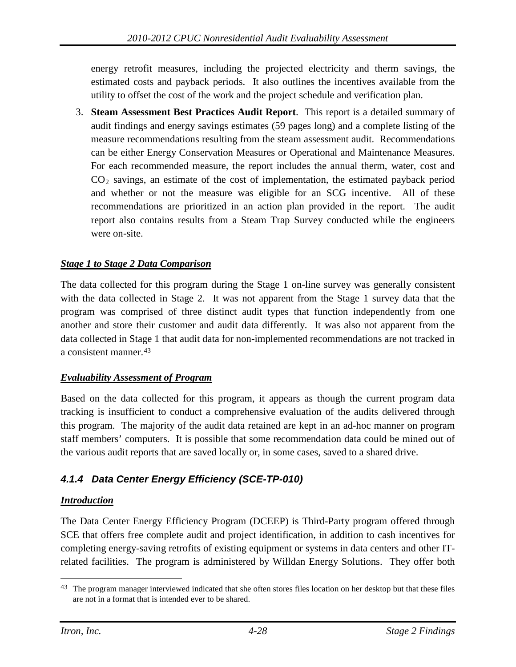energy retrofit measures, including the projected electricity and therm savings, the estimated costs and payback periods. It also outlines the incentives available from the utility to offset the cost of the work and the project schedule and verification plan.

3. **Steam Assessment Best Practices Audit Report**. This report is a detailed summary of audit findings and energy savings estimates (59 pages long) and a complete listing of the measure recommendations resulting from the steam assessment audit. Recommendations can be either Energy Conservation Measures or Operational and Maintenance Measures. For each recommended measure, the report includes the annual therm, water, cost and CO2 savings, an estimate of the cost of implementation, the estimated payback period and whether or not the measure was eligible for an SCG incentive. All of these recommendations are prioritized in an action plan provided in the report. The audit report also contains results from a Steam Trap Survey conducted while the engineers were on-site.

### *Stage 1 to Stage 2 Data Comparison*

The data collected for this program during the Stage 1 on-line survey was generally consistent with the data collected in Stage 2. It was not apparent from the Stage 1 survey data that the program was comprised of three distinct audit types that function independently from one another and store their customer and audit data differently. It was also not apparent from the data collected in Stage 1 that audit data for non-implemented recommendations are not tracked in a consistent manner.[43](#page-69-0)

#### *Evaluability Assessment of Program*

Based on the data collected for this program, it appears as though the current program data tracking is insufficient to conduct a comprehensive evaluation of the audits delivered through this program. The majority of the audit data retained are kept in an ad-hoc manner on program staff members' computers. It is possible that some recommendation data could be mined out of the various audit reports that are saved locally or, in some cases, saved to a shared drive.

# *4.1.4 Data Center Energy Efficiency (SCE-TP-010)*

#### *Introduction*

The Data Center Energy Efficiency Program (DCEEP) is Third-Party program offered through SCE that offers free complete audit and project identification, in addition to cash incentives for completing energy-saving retrofits of existing equipment or systems in data centers and other ITrelated facilities. The program is administered by Willdan Energy Solutions. They offer both

<span id="page-69-0"></span><sup>&</sup>lt;sup>43</sup> The program manager interviewed indicated that she often stores files location on her desktop but that these files are not in a format that is intended ever to be shared.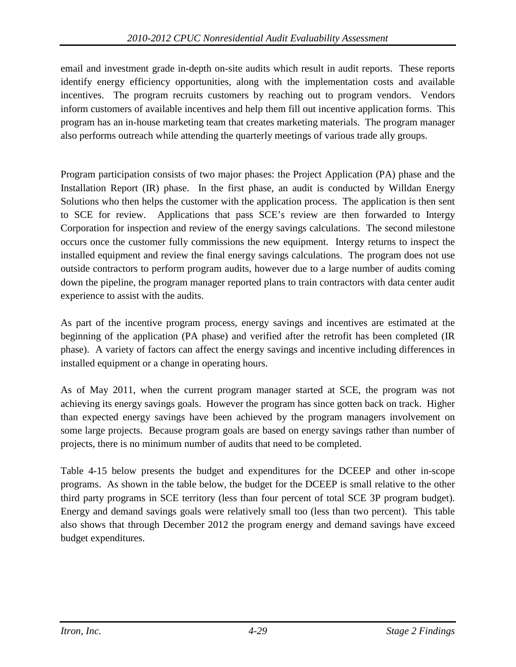email and investment grade in-depth on-site audits which result in audit reports. These reports identify energy efficiency opportunities, along with the implementation costs and available incentives. The program recruits customers by reaching out to program vendors. Vendors inform customers of available incentives and help them fill out incentive application forms. This program has an in-house marketing team that creates marketing materials. The program manager also performs outreach while attending the quarterly meetings of various trade ally groups.

Program participation consists of two major phases: the Project Application (PA) phase and the Installation Report (IR) phase. In the first phase, an audit is conducted by Willdan Energy Solutions who then helps the customer with the application process. The application is then sent to SCE for review. Applications that pass SCE's review are then forwarded to Intergy Corporation for inspection and review of the energy savings calculations. The second milestone occurs once the customer fully commissions the new equipment. Intergy returns to inspect the installed equipment and review the final energy savings calculations. The program does not use outside contractors to perform program audits, however due to a large number of audits coming down the pipeline, the program manager reported plans to train contractors with data center audit experience to assist with the audits.

As part of the incentive program process, energy savings and incentives are estimated at the beginning of the application (PA phase) and verified after the retrofit has been completed (IR phase). A variety of factors can affect the energy savings and incentive including differences in installed equipment or a change in operating hours.

As of May 2011, when the current program manager started at SCE, the program was not achieving its energy savings goals. However the program has since gotten back on track. Higher than expected energy savings have been achieved by the program managers involvement on some large projects. Because program goals are based on energy savings rather than number of projects, there is no minimum number of audits that need to be completed.

[Table 4-15](#page-71-0) below presents the budget and expenditures for the DCEEP and other in-scope programs. As shown in the table below, the budget for the DCEEP is small relative to the other third party programs in SCE territory (less than four percent of total SCE 3P program budget). Energy and demand savings goals were relatively small too (less than two percent). This table also shows that through December 2012 the program energy and demand savings have exceed budget expenditures.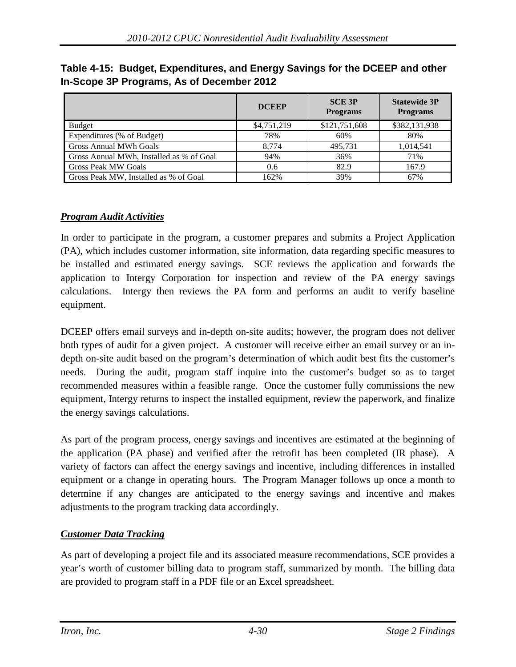|                                          | <b>DCEEP</b> | <b>SCE 3P</b><br><b>Programs</b> | <b>Statewide 3P</b><br><b>Programs</b> |
|------------------------------------------|--------------|----------------------------------|----------------------------------------|
| <b>Budget</b>                            | \$4,751,219  | \$121,751,608                    | \$382,131,938                          |
| Expenditures (% of Budget)               | 78%          | 60%                              | 80%                                    |
| <b>Gross Annual MWh Goals</b>            | 8.774        | 495,731                          | 1,014,541                              |
| Gross Annual MWh, Installed as % of Goal | 94%          | 36%                              | 71%                                    |
| <b>Gross Peak MW Goals</b>               | 0.6          | 82.9                             | 167.9                                  |
| Gross Peak MW, Installed as % of Goal    | 162%         | 39%                              | 67%                                    |

<span id="page-71-0"></span>**Table 4-15: Budget, Expenditures, and Energy Savings for the DCEEP and other In-Scope 3P Programs, As of December 2012**

# *Program Audit Activities*

In order to participate in the program, a customer prepares and submits a Project Application (PA), which includes customer information, site information, data regarding specific measures to be installed and estimated energy savings. SCE reviews the application and forwards the application to Intergy Corporation for inspection and review of the PA energy savings calculations. Intergy then reviews the PA form and performs an audit to verify baseline equipment.

DCEEP offers email surveys and in-depth on-site audits; however, the program does not deliver both types of audit for a given project. A customer will receive either an email survey or an indepth on-site audit based on the program's determination of which audit best fits the customer's needs. During the audit, program staff inquire into the customer's budget so as to target recommended measures within a feasible range. Once the customer fully commissions the new equipment, Intergy returns to inspect the installed equipment, review the paperwork, and finalize the energy savings calculations.

As part of the program process, energy savings and incentives are estimated at the beginning of the application (PA phase) and verified after the retrofit has been completed (IR phase). A variety of factors can affect the energy savings and incentive, including differences in installed equipment or a change in operating hours. The Program Manager follows up once a month to determine if any changes are anticipated to the energy savings and incentive and makes adjustments to the program tracking data accordingly.

# *Customer Data Tracking*

As part of developing a project file and its associated measure recommendations, SCE provides a year's worth of customer billing data to program staff, summarized by month. The billing data are provided to program staff in a PDF file or an Excel spreadsheet.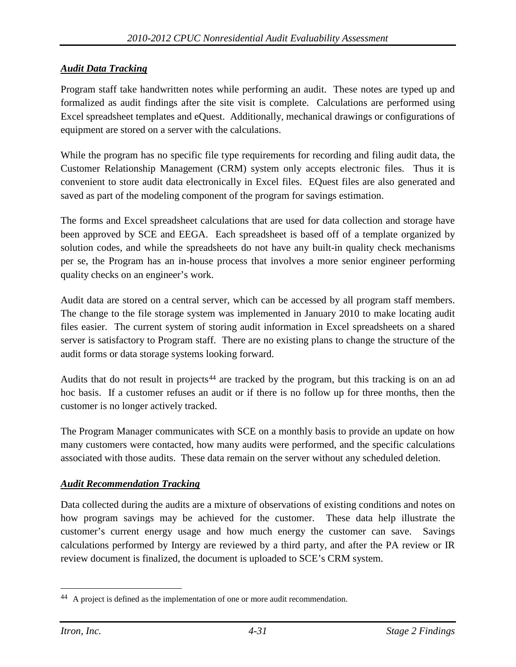### *Audit Data Tracking*

Program staff take handwritten notes while performing an audit. These notes are typed up and formalized as audit findings after the site visit is complete. Calculations are performed using Excel spreadsheet templates and eQuest. Additionally, mechanical drawings or configurations of equipment are stored on a server with the calculations.

While the program has no specific file type requirements for recording and filing audit data, the Customer Relationship Management (CRM) system only accepts electronic files. Thus it is convenient to store audit data electronically in Excel files. EQuest files are also generated and saved as part of the modeling component of the program for savings estimation.

The forms and Excel spreadsheet calculations that are used for data collection and storage have been approved by SCE and EEGA. Each spreadsheet is based off of a template organized by solution codes, and while the spreadsheets do not have any built-in quality check mechanisms per se, the Program has an in-house process that involves a more senior engineer performing quality checks on an engineer's work.

Audit data are stored on a central server, which can be accessed by all program staff members. The change to the file storage system was implemented in January 2010 to make locating audit files easier. The current system of storing audit information in Excel spreadsheets on a shared server is satisfactory to Program staff. There are no existing plans to change the structure of the audit forms or data storage systems looking forward.

Audits that do not result in projects<sup>[44](#page-72-0)</sup> are tracked by the program, but this tracking is on an ad hoc basis. If a customer refuses an audit or if there is no follow up for three months, then the customer is no longer actively tracked.

The Program Manager communicates with SCE on a monthly basis to provide an update on how many customers were contacted, how many audits were performed, and the specific calculations associated with those audits. These data remain on the server without any scheduled deletion.

#### *Audit Recommendation Tracking*

Data collected during the audits are a mixture of observations of existing conditions and notes on how program savings may be achieved for the customer. These data help illustrate the customer's current energy usage and how much energy the customer can save. Savings calculations performed by Intergy are reviewed by a third party, and after the PA review or IR review document is finalized, the document is uploaded to SCE's CRM system.

<span id="page-72-0"></span><sup>&</sup>lt;sup>44</sup> A project is defined as the implementation of one or more audit recommendation.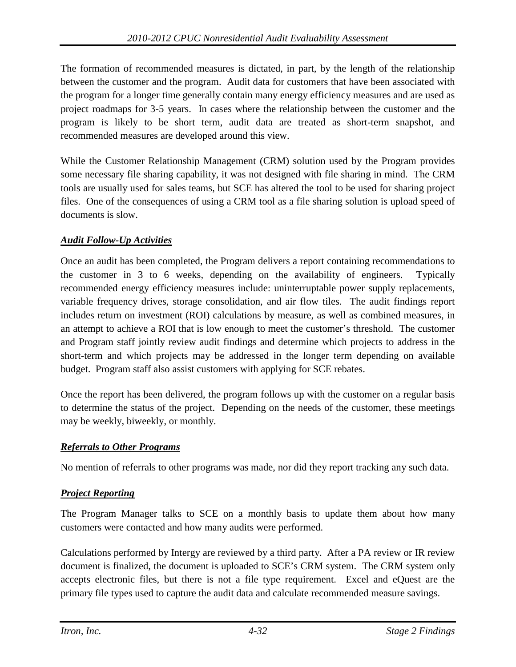The formation of recommended measures is dictated, in part, by the length of the relationship between the customer and the program. Audit data for customers that have been associated with the program for a longer time generally contain many energy efficiency measures and are used as project roadmaps for 3-5 years. In cases where the relationship between the customer and the program is likely to be short term, audit data are treated as short-term snapshot, and recommended measures are developed around this view.

While the Customer Relationship Management (CRM) solution used by the Program provides some necessary file sharing capability, it was not designed with file sharing in mind. The CRM tools are usually used for sales teams, but SCE has altered the tool to be used for sharing project files. One of the consequences of using a CRM tool as a file sharing solution is upload speed of documents is slow.

### *Audit Follow-Up Activities*

Once an audit has been completed, the Program delivers a report containing recommendations to the customer in 3 to 6 weeks, depending on the availability of engineers. Typically recommended energy efficiency measures include: uninterruptable power supply replacements, variable frequency drives, storage consolidation, and air flow tiles. The audit findings report includes return on investment (ROI) calculations by measure, as well as combined measures, in an attempt to achieve a ROI that is low enough to meet the customer's threshold. The customer and Program staff jointly review audit findings and determine which projects to address in the short-term and which projects may be addressed in the longer term depending on available budget. Program staff also assist customers with applying for SCE rebates.

Once the report has been delivered, the program follows up with the customer on a regular basis to determine the status of the project. Depending on the needs of the customer, these meetings may be weekly, biweekly, or monthly.

### *Referrals to Other Programs*

No mention of referrals to other programs was made, nor did they report tracking any such data.

### *Project Reporting*

The Program Manager talks to SCE on a monthly basis to update them about how many customers were contacted and how many audits were performed.

Calculations performed by Intergy are reviewed by a third party. After a PA review or IR review document is finalized, the document is uploaded to SCE's CRM system. The CRM system only accepts electronic files, but there is not a file type requirement. Excel and eQuest are the primary file types used to capture the audit data and calculate recommended measure savings.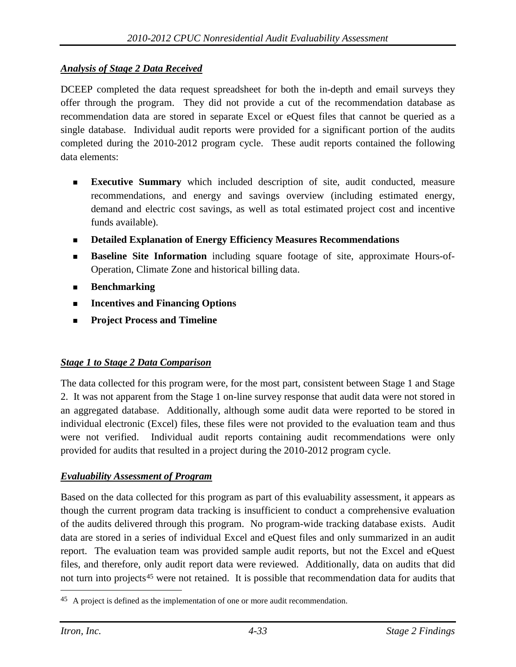### *Analysis of Stage 2 Data Received*

DCEEP completed the data request spreadsheet for both the in-depth and email surveys they offer through the program. They did not provide a cut of the recommendation database as recommendation data are stored in separate Excel or eQuest files that cannot be queried as a single database. Individual audit reports were provided for a significant portion of the audits completed during the 2010-2012 program cycle. These audit reports contained the following data elements:

- **Executive Summary** which included description of site, audit conducted, measure recommendations, and energy and savings overview (including estimated energy, demand and electric cost savings, as well as total estimated project cost and incentive funds available).
- **Detailed Explanation of Energy Efficiency Measures Recommendations**
- **Baseline Site Information** including square footage of site, approximate Hours-of-Operation, Climate Zone and historical billing data.
- **Benchmarking**
- **Incentives and Financing Options**
- **Project Process and Timeline**

### *Stage 1 to Stage 2 Data Comparison*

The data collected for this program were, for the most part, consistent between Stage 1 and Stage 2. It was not apparent from the Stage 1 on-line survey response that audit data were not stored in an aggregated database. Additionally, although some audit data were reported to be stored in individual electronic (Excel) files, these files were not provided to the evaluation team and thus were not verified. Individual audit reports containing audit recommendations were only provided for audits that resulted in a project during the 2010-2012 program cycle.

### *Evaluability Assessment of Program*

Based on the data collected for this program as part of this evaluability assessment, it appears as though the current program data tracking is insufficient to conduct a comprehensive evaluation of the audits delivered through this program. No program-wide tracking database exists. Audit data are stored in a series of individual Excel and eQuest files and only summarized in an audit report. The evaluation team was provided sample audit reports, but not the Excel and eQuest files, and therefore, only audit report data were reviewed. Additionally, data on audits that did not turn into projects<sup>[45](#page-74-0)</sup> were not retained. It is possible that recommendation data for audits that

<span id="page-74-0"></span><sup>&</sup>lt;sup>45</sup> A project is defined as the implementation of one or more audit recommendation.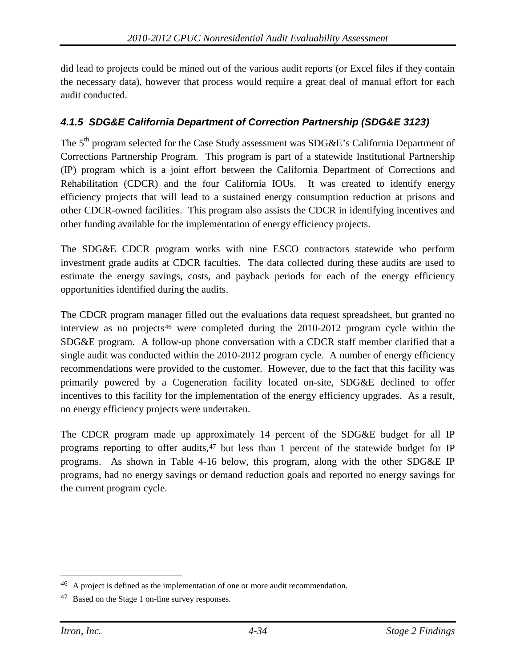did lead to projects could be mined out of the various audit reports (or Excel files if they contain the necessary data), however that process would require a great deal of manual effort for each audit conducted.

### *4.1.5 SDG&E California Department of Correction Partnership (SDG&E 3123)*

The 5<sup>th</sup> program selected for the Case Study assessment was SDG&E's California Department of Corrections Partnership Program. This program is part of a statewide Institutional Partnership (IP) program which is a joint effort between the California Department of Corrections and Rehabilitation (CDCR) and the four California IOUs. It was created to identify energy efficiency projects that will lead to a sustained energy consumption reduction at prisons and other CDCR-owned facilities. This program also assists the CDCR in identifying incentives and other funding available for the implementation of energy efficiency projects.

The SDG&E CDCR program works with nine ESCO contractors statewide who perform investment grade audits at CDCR faculties. The data collected during these audits are used to estimate the energy savings, costs, and payback periods for each of the energy efficiency opportunities identified during the audits.

The CDCR program manager filled out the evaluations data request spreadsheet, but granted no interview as no projects<sup>[46](#page-75-0)</sup> were completed during the 2010-2012 program cycle within the SDG&E program. A follow-up phone conversation with a CDCR staff member clarified that a single audit was conducted within the 2010-2012 program cycle. A number of energy efficiency recommendations were provided to the customer. However, due to the fact that this facility was primarily powered by a Cogeneration facility located on-site, SDG&E declined to offer incentives to this facility for the implementation of the energy efficiency upgrades. As a result, no energy efficiency projects were undertaken.

The CDCR program made up approximately 14 percent of the SDG&E budget for all IP programs reporting to offer audits,  $47$  but less than 1 percent of the statewide budget for IP programs. As shown in [Table 4-16](#page-76-0) below, this program, along with the other SDG&E IP programs, had no energy savings or demand reduction goals and reported no energy savings for the current program cycle.

<span id="page-75-0"></span> <sup>46</sup> A project is defined as the implementation of one or more audit recommendation.

<span id="page-75-1"></span><sup>47</sup> Based on the Stage 1 on-line survey responses.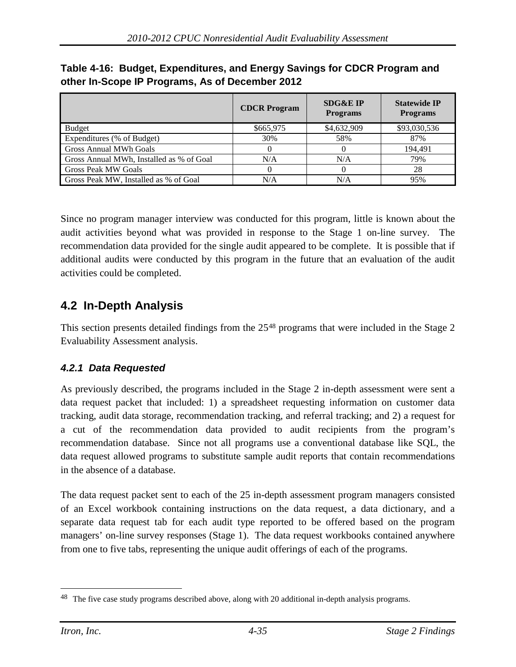|                                          | <b>CDCR Program</b> | <b>SDG&amp;E IP</b><br><b>Programs</b> | <b>Statewide IP</b><br><b>Programs</b> |
|------------------------------------------|---------------------|----------------------------------------|----------------------------------------|
| <b>Budget</b>                            | \$665,975           | \$4,632,909                            | \$93,030,536                           |
| Expenditures (% of Budget)               | 30%                 | 58%                                    | 87%                                    |
| <b>Gross Annual MWh Goals</b>            |                     |                                        | 194.491                                |
| Gross Annual MWh, Installed as % of Goal | N/A                 | N/A                                    | 79%                                    |
| <b>Gross Peak MW Goals</b>               |                     |                                        | 28                                     |
| Gross Peak MW, Installed as % of Goal    | N/A                 | N/A                                    | 95%                                    |

<span id="page-76-0"></span>**Table 4-16: Budget, Expenditures, and Energy Savings for CDCR Program and other In-Scope IP Programs, As of December 2012**

Since no program manager interview was conducted for this program, little is known about the audit activities beyond what was provided in response to the Stage 1 on-line survey. The recommendation data provided for the single audit appeared to be complete. It is possible that if additional audits were conducted by this program in the future that an evaluation of the audit activities could be completed.

# **4.2 In-Depth Analysis**

This section presents detailed findings from the 25<sup>[48](#page-76-1)</sup> programs that were included in the Stage 2 Evaluability Assessment analysis.

### *4.2.1 Data Requested*

As previously described, the programs included in the Stage 2 in-depth assessment were sent a data request packet that included: 1) a spreadsheet requesting information on customer data tracking, audit data storage, recommendation tracking, and referral tracking; and 2) a request for a cut of the recommendation data provided to audit recipients from the program's recommendation database. Since not all programs use a conventional database like SQL, the data request allowed programs to substitute sample audit reports that contain recommendations in the absence of a database.

The data request packet sent to each of the 25 in-depth assessment program managers consisted of an Excel workbook containing instructions on the data request, a data dictionary, and a separate data request tab for each audit type reported to be offered based on the program managers' on-line survey responses (Stage 1). The data request workbooks contained anywhere from one to five tabs, representing the unique audit offerings of each of the programs.

<span id="page-76-1"></span><sup>&</sup>lt;sup>48</sup> The five case study programs described above, along with 20 additional in-depth analysis programs.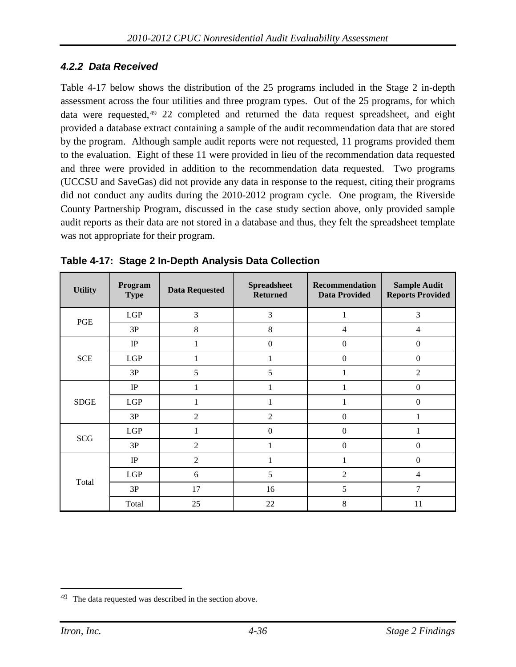### *4.2.2 Data Received*

[Table 4-17](#page-77-0) below shows the distribution of the 25 programs included in the Stage 2 in-depth assessment across the four utilities and three program types. Out of the 25 programs, for which data were requested,<sup>[49](#page-77-1)</sup> 22 completed and returned the data request spreadsheet, and eight provided a database extract containing a sample of the audit recommendation data that are stored by the program. Although sample audit reports were not requested, 11 programs provided them to the evaluation. Eight of these 11 were provided in lieu of the recommendation data requested and three were provided in addition to the recommendation data requested. Two programs (UCCSU and SaveGas) did not provide any data in response to the request, citing their programs did not conduct any audits during the 2010-2012 program cycle. One program, the Riverside County Partnership Program, discussed in the case study section above, only provided sample audit reports as their data are not stored in a database and thus, they felt the spreadsheet template was not appropriate for their program.

| <b>Utility</b> | Program<br><b>Type</b> | <b>Data Requested</b> | <b>Spreadsheet</b><br><b>Returned</b> | Recommendation<br><b>Data Provided</b> | <b>Sample Audit</b><br><b>Reports Provided</b> |
|----------------|------------------------|-----------------------|---------------------------------------|----------------------------------------|------------------------------------------------|
| PGE            | LGP                    | 3                     | 3                                     | 1                                      | 3                                              |
|                | 3P                     | 8                     | 8                                     | $\overline{4}$                         | $\overline{4}$                                 |
|                | $\rm IP$               | 1                     | $\boldsymbol{0}$                      | $\boldsymbol{0}$                       | $\boldsymbol{0}$                               |
| <b>SCE</b>     | LGP                    |                       |                                       | $\boldsymbol{0}$                       | $\mathbf{0}$                                   |
|                | 3P                     | 5                     | 5                                     | 1                                      | $\overline{2}$                                 |
|                | IP                     | 1                     | 1                                     | 1                                      | $\mathbf{0}$                                   |
| <b>SDGE</b>    | LGP                    | 1                     | 1                                     | 1                                      | $\mathbf{0}$                                   |
|                | 3P                     | $\overline{2}$        | $\overline{2}$                        | $\mathbf{0}$                           | 1                                              |
|                | LGP                    |                       | $\overline{0}$                        | $\mathbf{0}$                           |                                                |
| <b>SCG</b>     | 3P                     | $\overline{2}$        |                                       | $\boldsymbol{0}$                       | $\mathbf{0}$                                   |
|                | IP                     | $\overline{2}$        |                                       | 1                                      | $\mathbf{0}$                                   |
|                | LGP                    | 6                     | 5                                     | $\overline{2}$                         | $\overline{4}$                                 |
| Total          | 3P                     | 17                    | 16                                    | 5                                      | $\overline{7}$                                 |
|                | Total                  | 25                    | 22                                    | 8                                      | 11                                             |

<span id="page-77-0"></span>**Table 4-17: Stage 2 In-Depth Analysis Data Collection**

<span id="page-77-1"></span> <sup>49</sup> The data requested was described in the section above.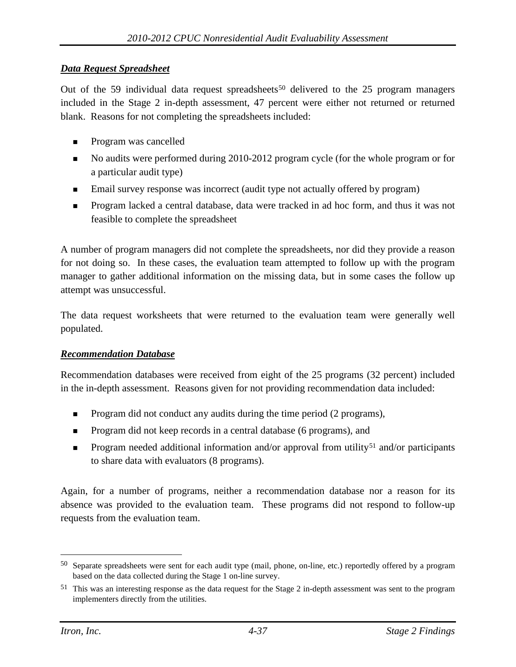#### *Data Request Spreadsheet*

Out of the 59 individual data request spreadsheets<sup>[50](#page-78-0)</sup> delivered to the 25 program managers included in the Stage 2 in-depth assessment, 47 percent were either not returned or returned blank. Reasons for not completing the spreadsheets included:

- **Program was cancelled**
- No audits were performed during 2010-2012 program cycle (for the whole program or for a particular audit type)
- Email survey response was incorrect (audit type not actually offered by program)
- **Program lacked a central database, data were tracked in ad hoc form, and thus it was not** feasible to complete the spreadsheet

A number of program managers did not complete the spreadsheets, nor did they provide a reason for not doing so. In these cases, the evaluation team attempted to follow up with the program manager to gather additional information on the missing data, but in some cases the follow up attempt was unsuccessful.

The data request worksheets that were returned to the evaluation team were generally well populated.

### *Recommendation Database*

Recommendation databases were received from eight of the 25 programs (32 percent) included in the in-depth assessment. Reasons given for not providing recommendation data included:

- **Program did not conduct any audits during the time period (2 programs),**
- Program did not keep records in a central database (6 programs), and
- **Program needed additional information and/or approval from utility**<sup>[51](#page-78-1)</sup> and/or participants to share data with evaluators (8 programs).

Again, for a number of programs, neither a recommendation database nor a reason for its absence was provided to the evaluation team. These programs did not respond to follow-up requests from the evaluation team.

<span id="page-78-0"></span> <sup>50</sup> Separate spreadsheets were sent for each audit type (mail, phone, on-line, etc.) reportedly offered by a program based on the data collected during the Stage 1 on-line survey.

<span id="page-78-1"></span><sup>51</sup> This was an interesting response as the data request for the Stage 2 in-depth assessment was sent to the program implementers directly from the utilities.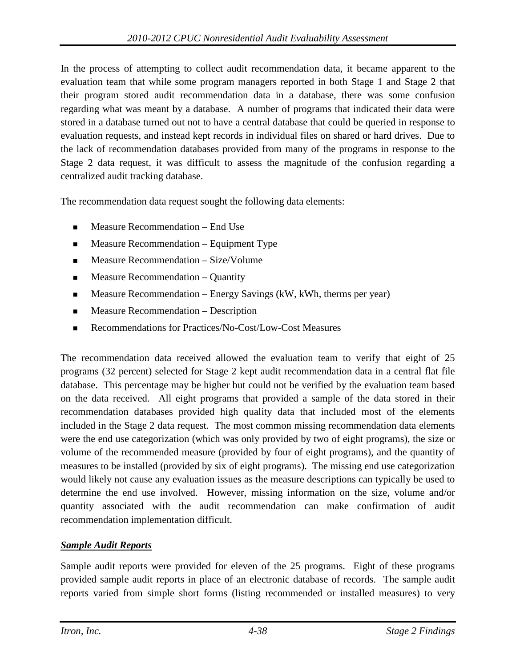In the process of attempting to collect audit recommendation data, it became apparent to the evaluation team that while some program managers reported in both Stage 1 and Stage 2 that their program stored audit recommendation data in a database, there was some confusion regarding what was meant by a database. A number of programs that indicated their data were stored in a database turned out not to have a central database that could be queried in response to evaluation requests, and instead kept records in individual files on shared or hard drives. Due to the lack of recommendation databases provided from many of the programs in response to the Stage 2 data request, it was difficult to assess the magnitude of the confusion regarding a centralized audit tracking database.

The recommendation data request sought the following data elements:

- Measure Recommendation End Use
- Measure Recommendation Equipment Type
- **Measure Recommendation Size/Volume**
- **Measure Recommendation Quantity**
- $\blacksquare$  Measure Recommendation Energy Savings (kW, kWh, therms per year)
- **Measure Recommendation Description**
- Recommendations for Practices/No-Cost/Low-Cost Measures

The recommendation data received allowed the evaluation team to verify that eight of 25 programs (32 percent) selected for Stage 2 kept audit recommendation data in a central flat file database. This percentage may be higher but could not be verified by the evaluation team based on the data received. All eight programs that provided a sample of the data stored in their recommendation databases provided high quality data that included most of the elements included in the Stage 2 data request. The most common missing recommendation data elements were the end use categorization (which was only provided by two of eight programs), the size or volume of the recommended measure (provided by four of eight programs), and the quantity of measures to be installed (provided by six of eight programs). The missing end use categorization would likely not cause any evaluation issues as the measure descriptions can typically be used to determine the end use involved. However, missing information on the size, volume and/or quantity associated with the audit recommendation can make confirmation of audit recommendation implementation difficult.

### *Sample Audit Reports*

Sample audit reports were provided for eleven of the 25 programs. Eight of these programs provided sample audit reports in place of an electronic database of records. The sample audit reports varied from simple short forms (listing recommended or installed measures) to very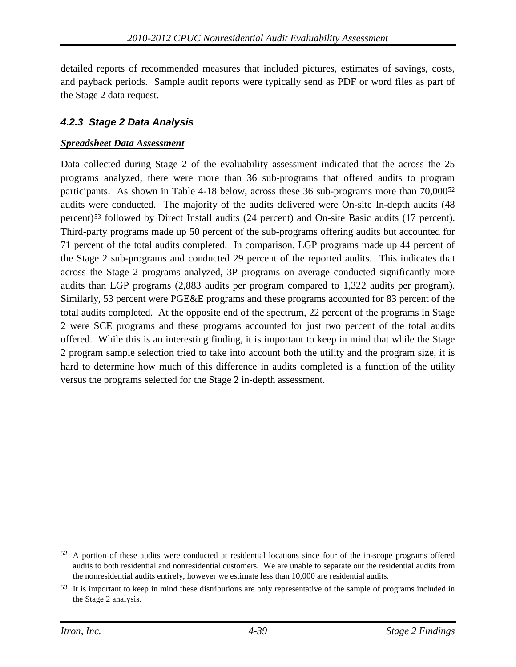detailed reports of recommended measures that included pictures, estimates of savings, costs, and payback periods. Sample audit reports were typically send as PDF or word files as part of the Stage 2 data request.

### *4.2.3 Stage 2 Data Analysis*

#### *Spreadsheet Data Assessment*

Data collected during Stage 2 of the evaluability assessment indicated that the across the 25 programs analyzed, there were more than 36 sub-programs that offered audits to program participants. As shown in [Table 4-18](#page-81-0) below, across these 36 sub-programs more than 70,000[52](#page-80-0) audits were conducted. The majority of the audits delivered were On-site In-depth audits (48 percent)[53](#page-80-1) followed by Direct Install audits (24 percent) and On-site Basic audits (17 percent). Third-party programs made up 50 percent of the sub-programs offering audits but accounted for 71 percent of the total audits completed. In comparison, LGP programs made up 44 percent of the Stage 2 sub-programs and conducted 29 percent of the reported audits. This indicates that across the Stage 2 programs analyzed, 3P programs on average conducted significantly more audits than LGP programs (2,883 audits per program compared to 1,322 audits per program). Similarly, 53 percent were PGE&E programs and these programs accounted for 83 percent of the total audits completed. At the opposite end of the spectrum, 22 percent of the programs in Stage 2 were SCE programs and these programs accounted for just two percent of the total audits offered. While this is an interesting finding, it is important to keep in mind that while the Stage 2 program sample selection tried to take into account both the utility and the program size, it is hard to determine how much of this difference in audits completed is a function of the utility versus the programs selected for the Stage 2 in-depth assessment.

<span id="page-80-0"></span><sup>&</sup>lt;sup>52</sup> A portion of these audits were conducted at residential locations since four of the in-scope programs offered audits to both residential and nonresidential customers. We are unable to separate out the residential audits from the nonresidential audits entirely, however we estimate less than 10,000 are residential audits.

<span id="page-80-1"></span><sup>53</sup> It is important to keep in mind these distributions are only representative of the sample of programs included in the Stage 2 analysis.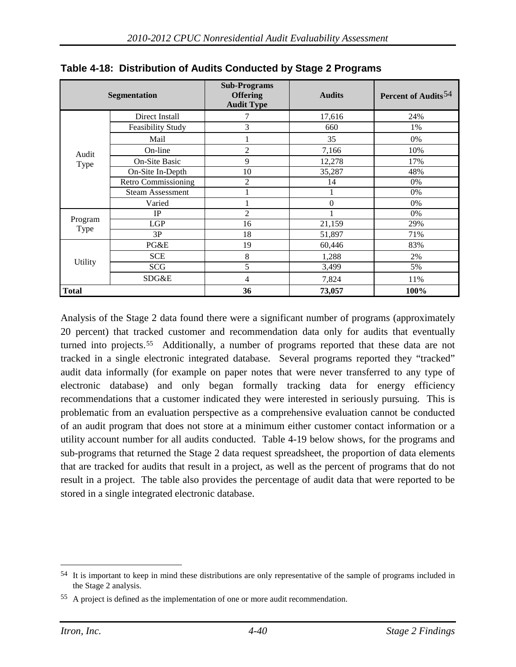|              | <b>Segmentation</b>        | <b>Sub-Programs</b><br><b>Offering</b><br><b>Audit Type</b> | <b>Audits</b> | Percent of Audits <sup>54</sup> |
|--------------|----------------------------|-------------------------------------------------------------|---------------|---------------------------------|
|              | Direct Install             | 7                                                           | 17,616        | 24%                             |
|              | <b>Feasibility Study</b>   | 3                                                           | 660           | 1%                              |
|              | Mail                       |                                                             | 35            | 0%                              |
| Audit        | On-line                    | 2                                                           | 7,166         | 10%                             |
| Type         | <b>On-Site Basic</b>       | 9                                                           | 12,278        | 17%                             |
|              | On-Site In-Depth           | 10                                                          | 35,287        | 48%                             |
|              | <b>Retro Commissioning</b> | $\overline{c}$                                              | 14            | 0%                              |
|              | <b>Steam Assessment</b>    |                                                             |               | $0\%$                           |
|              | Varied                     |                                                             | $\theta$      | 0%                              |
|              | <b>IP</b>                  | $\overline{2}$                                              |               | 0%                              |
| Program      | <b>LGP</b>                 | 16                                                          | 21,159        | 29%                             |
| Type         | 3P                         | 18                                                          | 51,897        | 71%                             |
|              | PG&E                       | 19                                                          | 60,446        | 83%                             |
|              | <b>SCE</b>                 | 8                                                           | 1,288         | 2%                              |
| Utility      | SCG                        | 5                                                           | 3,499         | 5%                              |
|              | SDG&E                      | 4                                                           | 7,824         | 11%                             |
| <b>Total</b> |                            | 36                                                          | 73,057        | 100%                            |

<span id="page-81-0"></span>**Table 4-18: Distribution of Audits Conducted by Stage 2 Programs**

Analysis of the Stage 2 data found there were a significant number of programs (approximately 20 percent) that tracked customer and recommendation data only for audits that eventually turned into projects.[55](#page-81-2) Additionally, a number of programs reported that these data are not tracked in a single electronic integrated database. Several programs reported they "tracked" audit data informally (for example on paper notes that were never transferred to any type of electronic database) and only began formally tracking data for energy efficiency recommendations that a customer indicated they were interested in seriously pursuing. This is problematic from an evaluation perspective as a comprehensive evaluation cannot be conducted of an audit program that does not store at a minimum either customer contact information or a utility account number for all audits conducted. [Table 4-19](#page-82-0) below shows, for the programs and sub-programs that returned the Stage 2 data request spreadsheet, the proportion of data elements that are tracked for audits that result in a project, as well as the percent of programs that do not result in a project. The table also provides the percentage of audit data that were reported to be stored in a single integrated electronic database.

<span id="page-81-1"></span> <sup>54</sup> It is important to keep in mind these distributions are only representative of the sample of programs included in the Stage 2 analysis.

<span id="page-81-2"></span><sup>55</sup> A project is defined as the implementation of one or more audit recommendation.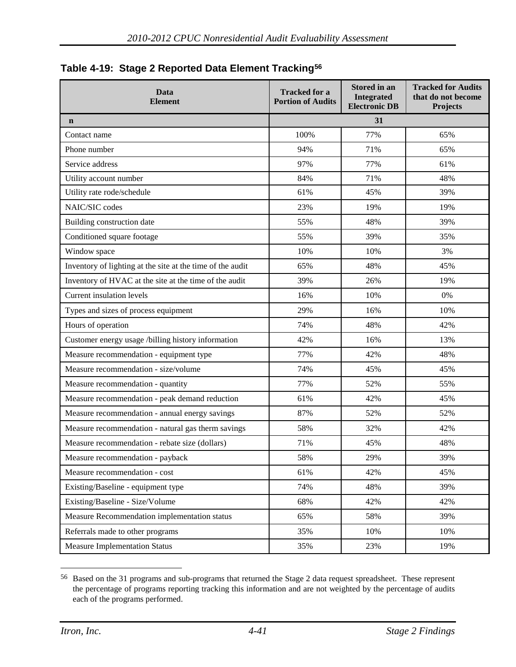| Data<br><b>Element</b>                                     | <b>Tracked for a</b><br><b>Portion of Audits</b> | Stored in an<br>Integrated<br><b>Electronic DB</b> | <b>Tracked for Audits</b><br>that do not become<br><b>Projects</b> |  |  |  |
|------------------------------------------------------------|--------------------------------------------------|----------------------------------------------------|--------------------------------------------------------------------|--|--|--|
| $\mathbf n$                                                | 31                                               |                                                    |                                                                    |  |  |  |
| Contact name                                               | 100%                                             | 77%                                                | 65%                                                                |  |  |  |
| Phone number                                               | 94%                                              | 71%                                                | 65%                                                                |  |  |  |
| Service address                                            | 97%                                              | 77%                                                | 61%                                                                |  |  |  |
| Utility account number                                     | 84%                                              | 71%                                                | 48%                                                                |  |  |  |
| Utility rate rode/schedule                                 | 61%                                              | 45%                                                | 39%                                                                |  |  |  |
| NAIC/SIC codes                                             | 23%                                              | 19%                                                | 19%                                                                |  |  |  |
| Building construction date                                 | 55%                                              | 48%                                                | 39%                                                                |  |  |  |
| Conditioned square footage                                 | 55%                                              | 39%                                                | 35%                                                                |  |  |  |
| Window space                                               | 10%                                              | 10%                                                | 3%                                                                 |  |  |  |
| Inventory of lighting at the site at the time of the audit | 65%                                              | 48%                                                | 45%                                                                |  |  |  |
| Inventory of HVAC at the site at the time of the audit     | 39%                                              | 26%                                                | 19%                                                                |  |  |  |
| <b>Current insulation levels</b>                           | 16%                                              | 10%                                                | 0%                                                                 |  |  |  |
| Types and sizes of process equipment                       | 29%                                              | 16%                                                | 10%                                                                |  |  |  |
| Hours of operation                                         | 74%                                              | 48%                                                | 42%                                                                |  |  |  |
| Customer energy usage /billing history information         | 42%                                              | 16%                                                | 13%                                                                |  |  |  |
| Measure recommendation - equipment type                    | 77%                                              | 42%                                                | 48%                                                                |  |  |  |
| Measure recommendation - size/volume                       | 74%                                              | 45%                                                | 45%                                                                |  |  |  |
| Measure recommendation - quantity                          | 77%                                              | 52%                                                | 55%                                                                |  |  |  |
| Measure recommendation - peak demand reduction             | 61%                                              | 42%                                                | 45%                                                                |  |  |  |
| Measure recommendation - annual energy savings             | 87%                                              | 52%                                                | 52%                                                                |  |  |  |
| Measure recommendation - natural gas therm savings         | 58%                                              | 32%                                                | 42%                                                                |  |  |  |
| Measure recommendation - rebate size (dollars)             | 71%                                              | 45%                                                | 48%                                                                |  |  |  |
| Measure recommendation - payback                           | 58%                                              | 29%                                                | 39%                                                                |  |  |  |
| Measure recommendation - cost                              | 61%                                              | 42%                                                | 45%                                                                |  |  |  |
| Existing/Baseline - equipment type                         | 74%                                              | 48%                                                | 39%                                                                |  |  |  |
| Existing/Baseline - Size/Volume                            | 68%                                              | 42%                                                | 42%                                                                |  |  |  |
| Measure Recommendation implementation status               | 65%                                              | 58%                                                | 39%                                                                |  |  |  |
| Referrals made to other programs                           | 35%                                              | 10%                                                | 10%                                                                |  |  |  |
| <b>Measure Implementation Status</b>                       | 35%                                              | 23%                                                | 19%                                                                |  |  |  |

<span id="page-82-0"></span>**Table 4-19: Stage 2 Reported Data Element Tracking[56](#page-82-1)**

<span id="page-82-1"></span> <sup>56</sup> Based on the 31 programs and sub-programs that returned the Stage 2 data request spreadsheet. These represent the percentage of programs reporting tracking this information and are not weighted by the percentage of audits each of the programs performed.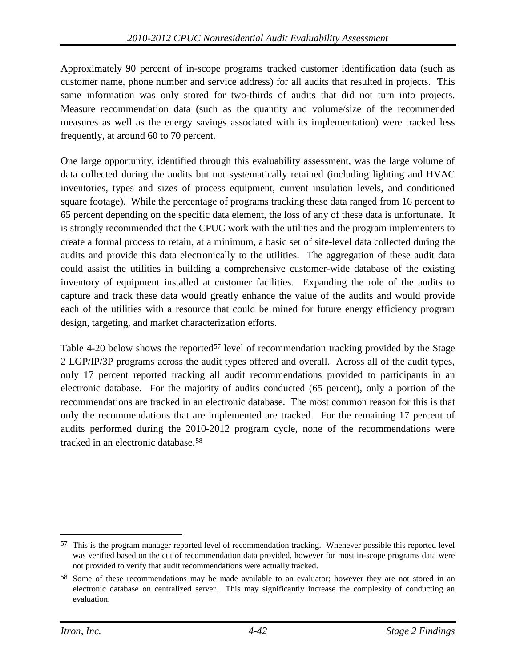Approximately 90 percent of in-scope programs tracked customer identification data (such as customer name, phone number and service address) for all audits that resulted in projects. This same information was only stored for two-thirds of audits that did not turn into projects. Measure recommendation data (such as the quantity and volume/size of the recommended measures as well as the energy savings associated with its implementation) were tracked less frequently, at around 60 to 70 percent.

One large opportunity, identified through this evaluability assessment, was the large volume of data collected during the audits but not systematically retained (including lighting and HVAC inventories, types and sizes of process equipment, current insulation levels, and conditioned square footage). While the percentage of programs tracking these data ranged from 16 percent to 65 percent depending on the specific data element, the loss of any of these data is unfortunate. It is strongly recommended that the CPUC work with the utilities and the program implementers to create a formal process to retain, at a minimum, a basic set of site-level data collected during the audits and provide this data electronically to the utilities. The aggregation of these audit data could assist the utilities in building a comprehensive customer-wide database of the existing inventory of equipment installed at customer facilities. Expanding the role of the audits to capture and track these data would greatly enhance the value of the audits and would provide each of the utilities with a resource that could be mined for future energy efficiency program design, targeting, and market characterization efforts.

[Table 4-20](#page-84-0) below shows the reported<sup>[57](#page-83-0)</sup> level of recommendation tracking provided by the Stage 2 LGP/IP/3P programs across the audit types offered and overall. Across all of the audit types, only 17 percent reported tracking all audit recommendations provided to participants in an electronic database. For the majority of audits conducted (65 percent), only a portion of the recommendations are tracked in an electronic database. The most common reason for this is that only the recommendations that are implemented are tracked. For the remaining 17 percent of audits performed during the 2010-2012 program cycle, none of the recommendations were tracked in an electronic database.[58](#page-83-1)

<span id="page-83-0"></span> <sup>57</sup> This is the program manager reported level of recommendation tracking. Whenever possible this reported level was verified based on the cut of recommendation data provided, however for most in-scope programs data were not provided to verify that audit recommendations were actually tracked.

<span id="page-83-1"></span><sup>58</sup> Some of these recommendations may be made available to an evaluator; however they are not stored in an electronic database on centralized server. This may significantly increase the complexity of conducting an evaluation.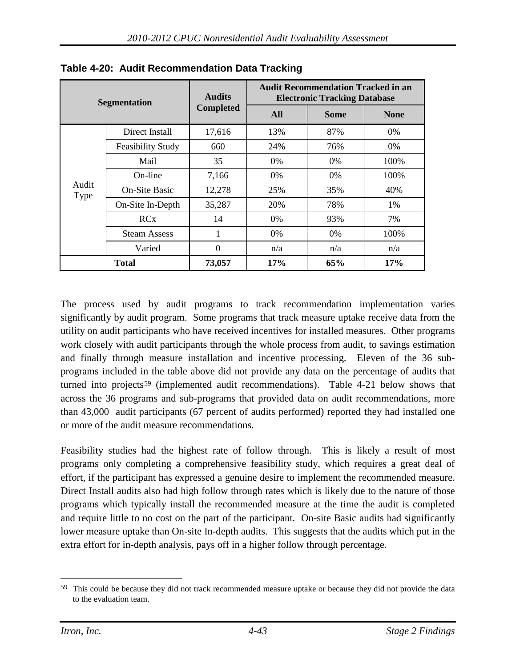| <b>Segmentation</b> |                          | <b>Audits</b>    | <b>Audit Recommendation Tracked in an</b><br><b>Electronic Tracking Database</b> |             |             |  |  |
|---------------------|--------------------------|------------------|----------------------------------------------------------------------------------|-------------|-------------|--|--|
|                     |                          | <b>Completed</b> | All                                                                              | <b>Some</b> | <b>None</b> |  |  |
|                     | Direct Install           | 17,616           | 13%                                                                              | 87%         | $0\%$       |  |  |
|                     | <b>Feasibility Study</b> | 660              | 24%                                                                              | 76%         | 0%          |  |  |
|                     | Mail                     | 35               | $0\%$                                                                            | $0\%$       | 100\%       |  |  |
|                     | On-line                  | 7,166            | $0\%$                                                                            | $0\%$       | 100%        |  |  |
| Audit<br>Type       | <b>On-Site Basic</b>     | 12,278           | 25%                                                                              | 35%         | 40%         |  |  |
|                     | On-Site In-Depth         | 35,287           | 20%                                                                              | 78%         | 1%          |  |  |
|                     | RCx                      | 14               | $0\%$                                                                            | 93%         | 7%          |  |  |
|                     | <b>Steam Assess</b>      | 1                | $0\%$                                                                            | $0\%$       | 100\%       |  |  |
|                     | Varied                   | $\theta$         | n/a                                                                              | n/a         | n/a         |  |  |
| <b>Total</b>        |                          | 73,057           | 17%                                                                              | 65%         | 17%         |  |  |

<span id="page-84-0"></span>**Table 4-20: Audit Recommendation Data Tracking**

The process used by audit programs to track recommendation implementation varies significantly by audit program. Some programs that track measure uptake receive data from the utility on audit participants who have received incentives for installed measures. Other programs work closely with audit participants through the whole process from audit, to savings estimation and finally through measure installation and incentive processing. Eleven of the 36 subprograms included in the table above did not provide any data on the percentage of audits that turned into projects<sup>[59](#page-84-1)</sup> (implemented audit recommendations). [Table 4-21](#page-85-0) below shows that across the 36 programs and sub-programs that provided data on audit recommendations, more than 43,000 audit participants (67 percent of audits performed) reported they had installed one or more of the audit measure recommendations.

Feasibility studies had the highest rate of follow through. This is likely a result of most programs only completing a comprehensive feasibility study, which requires a great deal of effort, if the participant has expressed a genuine desire to implement the recommended measure. Direct Install audits also had high follow through rates which is likely due to the nature of those programs which typically install the recommended measure at the time the audit is completed and require little to no cost on the part of the participant. On-site Basic audits had significantly lower measure uptake than On-site In-depth audits. This suggests that the audits which put in the extra effort for in-depth analysis, pays off in a higher follow through percentage.

<span id="page-84-1"></span><sup>&</sup>lt;sup>59</sup> This could be because they did not track recommended measure uptake or because they did not provide the data to the evaluation team.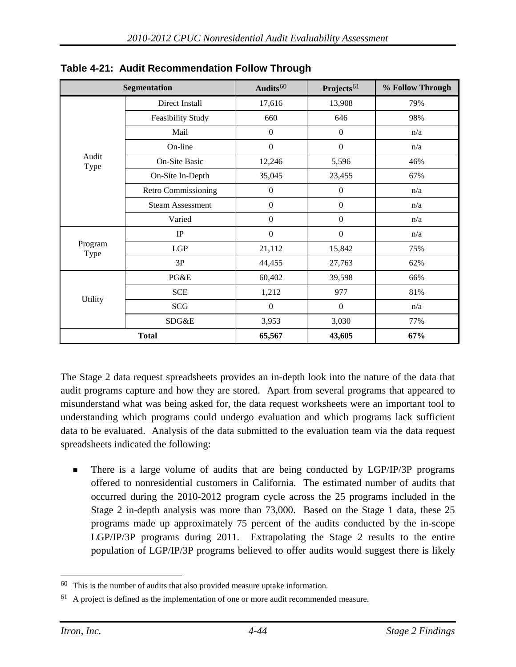|                 | <b>Segmentation</b>        | Audits $60$      | Projects <sup>61</sup> | % Follow Through |
|-----------------|----------------------------|------------------|------------------------|------------------|
|                 | Direct Install             | 17,616           | 13,908                 | 79%              |
|                 | Feasibility Study          | 660              | 646                    | 98%              |
|                 | Mail                       | $\boldsymbol{0}$ | $\boldsymbol{0}$       | n/a              |
|                 | On-line                    | $\boldsymbol{0}$ | $\boldsymbol{0}$       | n/a              |
| Audit<br>Type   | On-Site Basic              | 12,246           | 5,596                  | 46%              |
|                 | On-Site In-Depth           | 35,045           | 23,455                 | 67%              |
|                 | <b>Retro Commissioning</b> | $\boldsymbol{0}$ | $\boldsymbol{0}$       | n/a              |
|                 | <b>Steam Assessment</b>    | $\boldsymbol{0}$ | $\boldsymbol{0}$       | n/a              |
|                 | Varied                     | $\mathbf{0}$     | $\boldsymbol{0}$       | n/a              |
|                 | $\rm IP$                   | $\boldsymbol{0}$ | $\boldsymbol{0}$       | n/a              |
| Program<br>Type | LGP                        | 21,112           | 15,842                 | 75%              |
|                 | 3P                         | 44,455           | 27,763                 | 62%              |
|                 | PG&E                       | 60,402           | 39,598                 | 66%              |
|                 | <b>SCE</b>                 | 1,212            | 977                    | 81%              |
| Utility         | SCG                        | $\overline{0}$   | $\boldsymbol{0}$       | n/a              |
|                 | SDG&E                      | 3,953            | 3,030                  | 77%              |
|                 | <b>Total</b>               | 65,567           | 43,605                 | 67%              |

<span id="page-85-0"></span>**Table 4-21: Audit Recommendation Follow Through**

The Stage 2 data request spreadsheets provides an in-depth look into the nature of the data that audit programs capture and how they are stored. Apart from several programs that appeared to misunderstand what was being asked for, the data request worksheets were an important tool to understanding which programs could undergo evaluation and which programs lack sufficient data to be evaluated. Analysis of the data submitted to the evaluation team via the data request spreadsheets indicated the following:

**There is a large volume of audits that are being conducted by LGP/IP/3P programs** offered to nonresidential customers in California. The estimated number of audits that occurred during the 2010-2012 program cycle across the 25 programs included in the Stage 2 in-depth analysis was more than 73,000. Based on the Stage 1 data, these 25 programs made up approximately 75 percent of the audits conducted by the in-scope LGP/IP/3P programs during 2011. Extrapolating the Stage 2 results to the entire population of LGP/IP/3P programs believed to offer audits would suggest there is likely

<span id="page-85-1"></span> <sup>60</sup> This is the number of audits that also provided measure uptake information.

<span id="page-85-2"></span> $61$  A project is defined as the implementation of one or more audit recommended measure.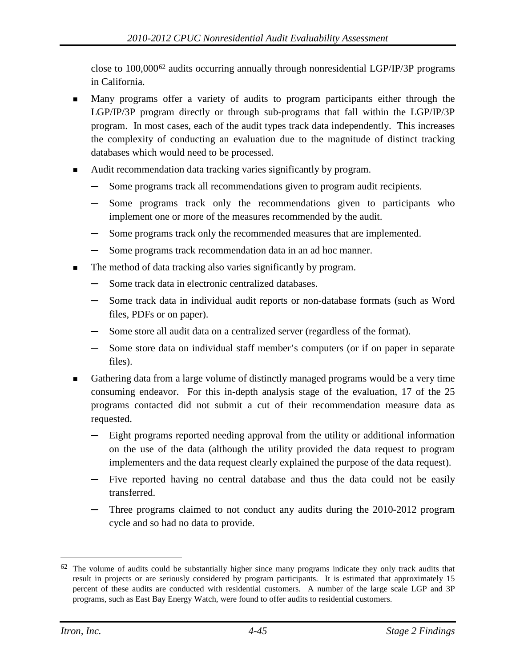close to 100,000[62](#page-86-0) audits occurring annually through nonresidential LGP/IP/3P programs in California.

- Many programs offer a variety of audits to program participants either through the LGP/IP/3P program directly or through sub-programs that fall within the LGP/IP/3P program. In most cases, each of the audit types track data independently. This increases the complexity of conducting an evaluation due to the magnitude of distinct tracking databases which would need to be processed.
- Audit recommendation data tracking varies significantly by program.
	- Some programs track all recommendations given to program audit recipients.
	- **─** Some programs track only the recommendations given to participants who implement one or more of the measures recommended by the audit.
	- **─** Some programs track only the recommended measures that are implemented.
	- **─** Some programs track recommendation data in an ad hoc manner.
- The method of data tracking also varies significantly by program.
	- **─** Some track data in electronic centralized databases.
	- **─** Some track data in individual audit reports or non-database formats (such as Word files, PDFs or on paper).
	- **─** Some store all audit data on a centralized server (regardless of the format).
	- **─** Some store data on individual staff member's computers (or if on paper in separate files).
- Gathering data from a large volume of distinctly managed programs would be a very time consuming endeavor. For this in-depth analysis stage of the evaluation, 17 of the 25 programs contacted did not submit a cut of their recommendation measure data as requested.
	- **─** Eight programs reported needing approval from the utility or additional information on the use of the data (although the utility provided the data request to program implementers and the data request clearly explained the purpose of the data request).
	- **─** Five reported having no central database and thus the data could not be easily transferred.
	- **─** Three programs claimed to not conduct any audits during the 2010-2012 program cycle and so had no data to provide.

<span id="page-86-0"></span><sup>&</sup>lt;sup>62</sup> The volume of audits could be substantially higher since many programs indicate they only track audits that result in projects or are seriously considered by program participants. It is estimated that approximately 15 percent of these audits are conducted with residential customers. A number of the large scale LGP and 3P programs, such as East Bay Energy Watch, were found to offer audits to residential customers.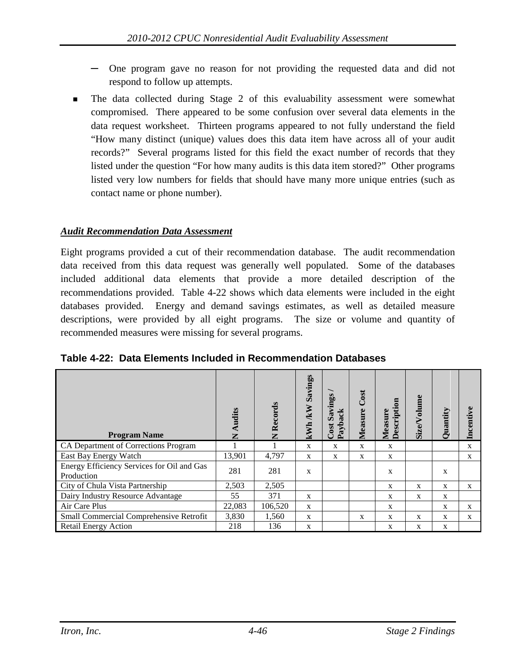- **─** One program gave no reason for not providing the requested data and did not respond to follow up attempts.
- The data collected during Stage 2 of this evaluability assessment were somewhat compromised. There appeared to be some confusion over several data elements in the data request worksheet. Thirteen programs appeared to not fully understand the field "How many distinct (unique) values does this data item have across all of your audit records?" Several programs listed for this field the exact number of records that they listed under the question "For how many audits is this data item stored?" Other programs listed very low numbers for fields that should have many more unique entries (such as contact name or phone number).

### *Audit Recommendation Data Assessment*

Eight programs provided a cut of their recommendation database. The audit recommendation data received from this data request was generally well populated. Some of the databases included additional data elements that provide a more detailed description of the recommendations provided. [Table 4-22](#page-87-0) shows which data elements were included in the eight databases provided. Energy and demand savings estimates, as well as detailed measure descriptions, were provided by all eight programs. The size or volume and quantity of recommended measures were missing for several programs.

| <b>Program Name</b>                                      | Audits<br>Z | Records<br>Z | Savings<br>kWh/kW | Savings<br>ack<br>$\mathbf{Payb:}$<br>Cost | Cost<br>Measure | tion<br>Measure<br>Descript | <b>Size/Volume</b> | Quantity     | Incentiv     |
|----------------------------------------------------------|-------------|--------------|-------------------|--------------------------------------------|-----------------|-----------------------------|--------------------|--------------|--------------|
| CA Department of Corrections Program                     |             |              | X                 | X                                          | $\mathbf{x}$    | $\mathbf{x}$                |                    |              | $\mathbf{x}$ |
| East Bay Energy Watch                                    | 13,901      | 4,797        | X                 | X                                          | X               | X                           |                    |              | X            |
| Energy Efficiency Services for Oil and Gas<br>Production | 281         | 281          | $\mathbf x$       |                                            |                 | X                           |                    | X            |              |
| City of Chula Vista Partnership                          | 2,503       | 2,505        |                   |                                            |                 | $\mathbf{x}$                | X                  | $\mathbf{x}$ | X            |
| Dairy Industry Resource Advantage                        | 55          | 371          | X                 |                                            |                 | $\mathbf{x}$                | X                  | X            |              |
| Air Care Plus                                            | 22,083      | 106,520      | X                 |                                            |                 | X                           |                    | X            | $\mathbf{x}$ |
| Small Commercial Comprehensive Retrofit                  | 3,830       | 1,560        | X                 |                                            | $\mathbf{x}$    | $\mathbf{x}$                | X                  | X            | X            |
| <b>Retail Energy Action</b>                              | 218         | 136          | X                 |                                            |                 | X                           | X                  | X            |              |

<span id="page-87-0"></span>**Table 4-22: Data Elements Included in Recommendation Databases**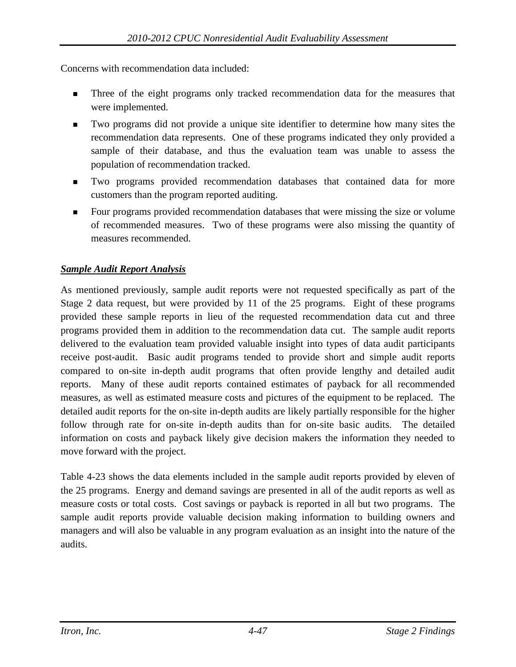Concerns with recommendation data included:

- Three of the eight programs only tracked recommendation data for the measures that were implemented.
- Two programs did not provide a unique site identifier to determine how many sites the recommendation data represents. One of these programs indicated they only provided a sample of their database, and thus the evaluation team was unable to assess the population of recommendation tracked.
- Two programs provided recommendation databases that contained data for more customers than the program reported auditing.
- Four programs provided recommendation databases that were missing the size or volume of recommended measures. Two of these programs were also missing the quantity of measures recommended.

### *Sample Audit Report Analysis*

As mentioned previously, sample audit reports were not requested specifically as part of the Stage 2 data request, but were provided by 11 of the 25 programs. Eight of these programs provided these sample reports in lieu of the requested recommendation data cut and three programs provided them in addition to the recommendation data cut. The sample audit reports delivered to the evaluation team provided valuable insight into types of data audit participants receive post-audit. Basic audit programs tended to provide short and simple audit reports compared to on-site in-depth audit programs that often provide lengthy and detailed audit reports. Many of these audit reports contained estimates of payback for all recommended measures, as well as estimated measure costs and pictures of the equipment to be replaced. The detailed audit reports for the on-site in-depth audits are likely partially responsible for the higher follow through rate for on-site in-depth audits than for on-site basic audits. The detailed information on costs and payback likely give decision makers the information they needed to move forward with the project.

<span id="page-88-0"></span>[Table 4-23](#page-88-0) shows the data elements included in the sample audit reports provided by eleven of the 25 programs. Energy and demand savings are presented in all of the audit reports as well as measure costs or total costs. Cost savings or payback is reported in all but two programs. The sample audit reports provide valuable decision making information to building owners and managers and will also be valuable in any program evaluation as an insight into the nature of the audits.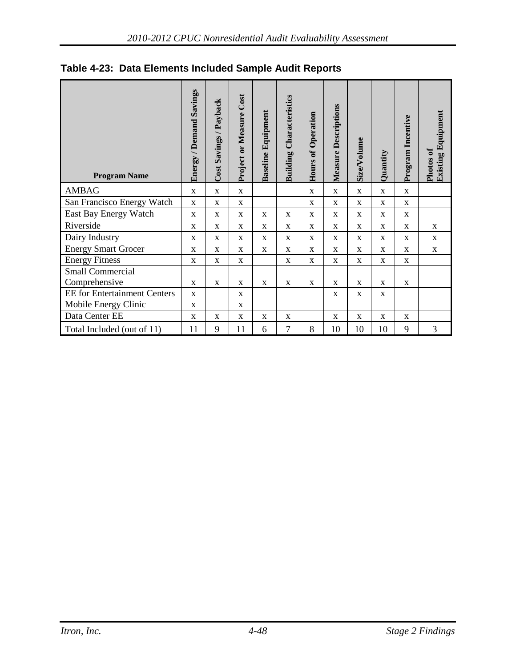| <b>Program Name</b>                 | <b>Energy / Demand Savings</b> | Cost Savings / Payback | Project or Measure Cost | <b>Baseline Equipment</b> | Characteristics<br>Building | Hours of Operation | Measure Descriptions | Size/Volume  | Quantity     | Program Incentive | <b>Existing Equipment</b><br>Photos of |
|-------------------------------------|--------------------------------|------------------------|-------------------------|---------------------------|-----------------------------|--------------------|----------------------|--------------|--------------|-------------------|----------------------------------------|
| <b>AMBAG</b>                        | $\mathbf X$                    | $\mathbf X$            | $\mathbf X$             |                           |                             | $\mathbf X$        | $\mathbf X$          | $\mathbf{X}$ | $\mathbf X$  | $\mathbf X$       |                                        |
| San Francisco Energy Watch          | $\mathbf X$                    | X                      | $\mathbf X$             |                           |                             | X                  | X                    | X            | X            | X                 |                                        |
| East Bay Energy Watch               | $\mathbf{X}$                   | $\mathbf X$            | $\mathbf X$             | X                         | $\mathbf X$                 | $\mathbf{X}$       | $\mathbf{X}$         | $\mathbf{X}$ | $\mathbf{X}$ | $\mathbf X$       |                                        |
| Riverside                           | X                              | X                      | $\mathbf X$             | X                         | X                           | X                  | X                    | X            | X            | X                 | $\mathbf X$                            |
| Dairy Industry                      | $\mathbf X$                    | $\mathbf X$            | $\mathbf X$             | $\mathbf{X}$              | X                           | $\mathbf{X}$       | $\mathbf{X}$         | $\mathbf{X}$ | $\mathbf X$  | X                 | $\mathbf{X}$                           |
| <b>Energy Smart Grocer</b>          | $\mathbf X$                    | $\mathbf X$            | $\mathbf X$             | $\mathbf{X}$              | $\mathbf X$                 | $\mathbf{X}$       | $\mathbf{X}$         | $\mathbf{X}$ | $\mathbf X$  | $\mathbf{X}$      | $\mathbf X$                            |
| <b>Energy Fitness</b>               | X                              | $\mathbf X$            | $\mathbf X$             |                           | $\mathbf X$                 | X                  | $\mathbf X$          | X            | $\mathbf X$  | X                 |                                        |
| <b>Small Commercial</b>             |                                |                        |                         |                           |                             |                    |                      |              |              |                   |                                        |
| Comprehensive                       | X                              | X                      | X                       | X                         | X                           | X                  | X                    | X            | X            | X                 |                                        |
| <b>EE</b> for Entertainment Centers | $\mathbf X$                    |                        | $\mathbf X$             |                           |                             |                    | $\mathbf X$          | X            | $\mathbf X$  |                   |                                        |
| Mobile Energy Clinic                | X                              |                        | $\mathbf X$             |                           |                             |                    |                      |              |              |                   |                                        |
| Data Center EE                      | X                              | X                      | X                       | X                         | X                           |                    | X                    | X            | X            | X                 |                                        |
| Total Included (out of 11)          | 11                             | 9                      | 11                      | 6                         | $\overline{7}$              | 8                  | 10                   | 10           | 10           | 9                 | $\mathfrak{Z}$                         |

### **Table 4-23: Data Elements Included Sample Audit Reports**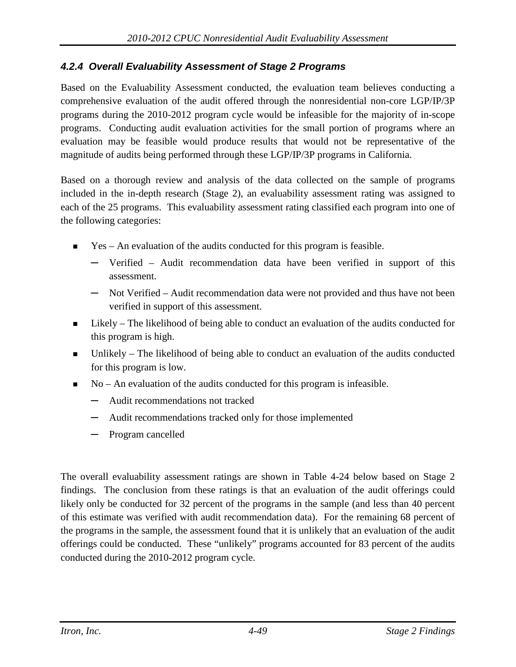### *4.2.4 Overall Evaluability Assessment of Stage 2 Programs*

Based on the Evaluability Assessment conducted, the evaluation team believes conducting a comprehensive evaluation of the audit offered through the nonresidential non-core LGP/IP/3P programs during the 2010-2012 program cycle would be infeasible for the majority of in-scope programs. Conducting audit evaluation activities for the small portion of programs where an evaluation may be feasible would produce results that would not be representative of the magnitude of audits being performed through these LGP/IP/3P programs in California.

Based on a thorough review and analysis of the data collected on the sample of programs included in the in-depth research (Stage 2), an evaluability assessment rating was assigned to each of the 25 programs. This evaluability assessment rating classified each program into one of the following categories:

- $\blacksquare$  Yes An evaluation of the audits conducted for this program is feasible.
	- **─** Verified Audit recommendation data have been verified in support of this assessment.
	- **─** Not Verified Audit recommendation data were not provided and thus have not been verified in support of this assessment.
- Likely The likelihood of being able to conduct an evaluation of the audits conducted for this program is high.
- Unlikely The likelihood of being able to conduct an evaluation of the audits conducted for this program is low.
- No An evaluation of the audits conducted for this program is infeasible.
	- **─** Audit recommendations not tracked
	- **─** Audit recommendations tracked only for those implemented
	- **─** Program cancelled

The overall evaluability assessment ratings are shown in [Table 4-24](#page-91-0) below based on Stage 2 findings. The conclusion from these ratings is that an evaluation of the audit offerings could likely only be conducted for 32 percent of the programs in the sample (and less than 40 percent of this estimate was verified with audit recommendation data). For the remaining 68 percent of the programs in the sample, the assessment found that it is unlikely that an evaluation of the audit offerings could be conducted. These "unlikely" programs accounted for 83 percent of the audits conducted during the 2010-2012 program cycle.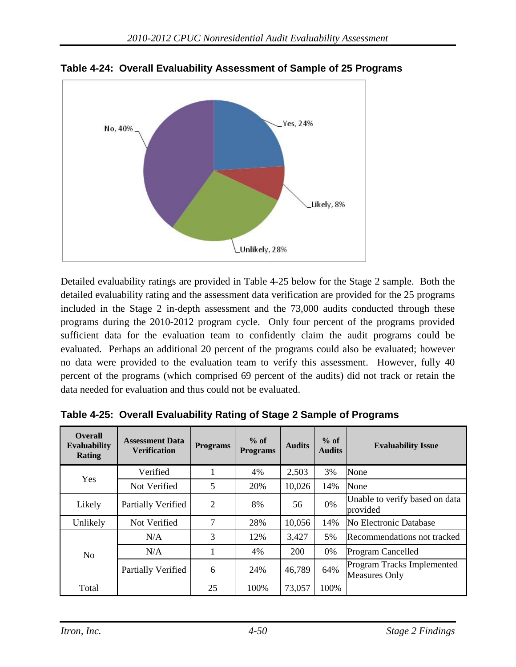

<span id="page-91-0"></span>**Table 4-24: Overall Evaluability Assessment of Sample of 25 Programs**

Detailed evaluability ratings are provided in [Table 4-25](#page-91-1) below for the Stage 2 sample. Both the detailed evaluability rating and the assessment data verification are provided for the 25 programs included in the Stage 2 in-depth assessment and the 73,000 audits conducted through these programs during the 2010-2012 program cycle. Only four percent of the programs provided sufficient data for the evaluation team to confidently claim the audit programs could be evaluated. Perhaps an additional 20 percent of the programs could also be evaluated; however no data were provided to the evaluation team to verify this assessment. However, fully 40 percent of the programs (which comprised 69 percent of the audits) did not track or retain the data needed for evaluation and thus could not be evaluated.

| <b>Overall</b><br><b>Evaluability</b><br>Rating | <b>Assessment Data</b><br><b>Verification</b> | <b>Programs</b> | $%$ of<br><b>Programs</b> | <b>Audits</b> | $%$ of<br><b>Audits</b> | <b>Evaluability Issue</b>                          |
|-------------------------------------------------|-----------------------------------------------|-----------------|---------------------------|---------------|-------------------------|----------------------------------------------------|
| Yes                                             | Verified                                      |                 | 4%                        | 2,503         | 3%                      | None                                               |
|                                                 | Not Verified                                  | 5               | 20%                       | 10,026        | 14%                     | None                                               |
| Likely                                          | Partially Verified                            | 2               | 8%                        | 56            | $0\%$                   | Unable to verify based on data<br>provided         |
| Unlikely                                        | Not Verified                                  | 7               | 28%                       | 10,056        | 14%                     | No Electronic Database                             |
|                                                 | N/A                                           | 3               | 12%                       | 3,427         | 5%                      | Recommendations not tracked                        |
| N <sub>o</sub>                                  | N/A                                           |                 | 4%                        | <b>200</b>    | $0\%$                   | Program Cancelled                                  |
|                                                 | Partially Verified                            | 6               | 24%                       | 46,789        | 64%                     | Program Tracks Implemented<br><b>Measures Only</b> |
| Total                                           |                                               | 25              | 100%                      | 73,057        | 100%                    |                                                    |

<span id="page-91-1"></span>**Table 4-25: Overall Evaluability Rating of Stage 2 Sample of Programs**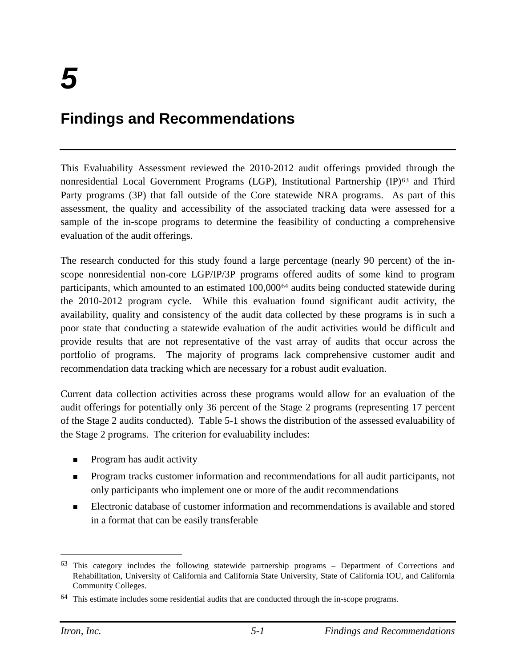# **Findings and Recommendations**

This Evaluability Assessment reviewed the 2010-2012 audit offerings provided through the nonresidential Local Government Programs (LGP), Institutional Partnership (IP)<sup>[63](#page-92-0)</sup> and Third Party programs (3P) that fall outside of the Core statewide NRA programs. As part of this assessment, the quality and accessibility of the associated tracking data were assessed for a sample of the in-scope programs to determine the feasibility of conducting a comprehensive evaluation of the audit offerings.

The research conducted for this study found a large percentage (nearly 90 percent) of the inscope nonresidential non-core LGP/IP/3P programs offered audits of some kind to program participants, which amounted to an estimated 100,000[64](#page-92-1) audits being conducted statewide during the 2010-2012 program cycle. While this evaluation found significant audit activity, the availability, quality and consistency of the audit data collected by these programs is in such a poor state that conducting a statewide evaluation of the audit activities would be difficult and provide results that are not representative of the vast array of audits that occur across the portfolio of programs. The majority of programs lack comprehensive customer audit and recommendation data tracking which are necessary for a robust audit evaluation.

Current data collection activities across these programs would allow for an evaluation of the audit offerings for potentially only 36 percent of the Stage 2 programs (representing 17 percent of the Stage 2 audits conducted). [Table 5-1](#page-93-0) shows the distribution of the assessed evaluability of the Stage 2 programs. The criterion for evaluability includes:

- $\blacksquare$  Program has audit activity
- **Program tracks customer information and recommendations for all audit participants, not** only participants who implement one or more of the audit recommendations
- Electronic database of customer information and recommendations is available and stored in a format that can be easily transferable

<span id="page-92-0"></span> <sup>63</sup> This category includes the following statewide partnership programs – Department of Corrections and Rehabilitation, University of California and California State University, State of California IOU, and California Community Colleges.

<span id="page-92-1"></span> $64$  This estimate includes some residential audits that are conducted through the in-scope programs.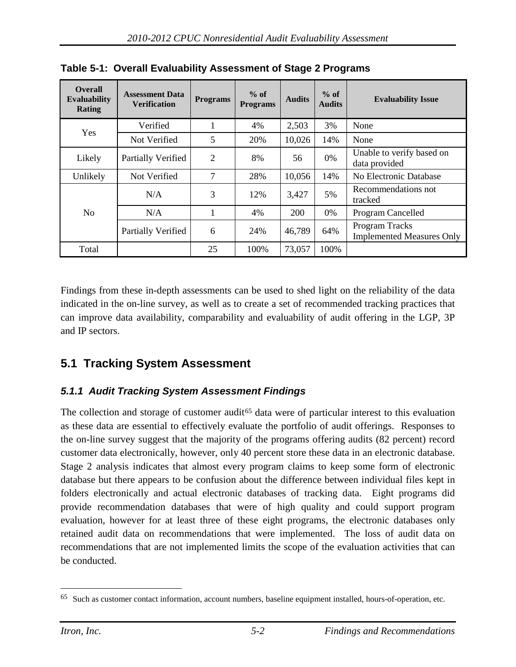| <b>Overall</b><br><b>Evaluability</b><br><b>Rating</b> | <b>Assessment Data</b><br><b>Verification</b> | <b>Programs</b> | $%$ of<br><b>Programs</b> | <b>Audits</b> | $%$ of<br><b>Audits</b> | <b>Evaluability Issue</b>                          |
|--------------------------------------------------------|-----------------------------------------------|-----------------|---------------------------|---------------|-------------------------|----------------------------------------------------|
| Yes                                                    | Verified                                      | 1               | 4%                        | 2,503         | 3%                      | None                                               |
|                                                        | Not Verified                                  | 5               | 20%                       | 10,026        | 14%                     | None                                               |
| Likely                                                 | Partially Verified                            | $\overline{2}$  | 8%                        | 56            | $0\%$                   | Unable to verify based on<br>data provided         |
| Unlikely                                               | Not Verified                                  | 7               | 28%                       | 10,056        | 14%                     | No Electronic Database                             |
|                                                        | N/A                                           | 3               | 12%                       | 3,427         | 5%                      | Recommendations not<br>tracked                     |
| N <sub>o</sub>                                         | N/A                                           | 1               | 4%                        | <b>200</b>    | $0\%$                   | Program Cancelled                                  |
|                                                        | Partially Verified                            | 6               | 24%                       | 46,789        | 64%                     | Program Tracks<br><b>Implemented Measures Only</b> |
| Total                                                  |                                               | 25              | 100%                      | 73,057        | 100%                    |                                                    |

<span id="page-93-0"></span>**Table 5-1: Overall Evaluability Assessment of Stage 2 Programs**

Findings from these in-depth assessments can be used to shed light on the reliability of the data indicated in the on-line survey, as well as to create a set of recommended tracking practices that can improve data availability, comparability and evaluability of audit offering in the LGP, 3P and IP sectors.

# **5.1 Tracking System Assessment**

# *5.1.1 Audit Tracking System Assessment Findings*

The collection and storage of customer audit<sup>[65](#page-93-1)</sup> data were of particular interest to this evaluation as these data are essential to effectively evaluate the portfolio of audit offerings. Responses to the on-line survey suggest that the majority of the programs offering audits (82 percent) record customer data electronically, however, only 40 percent store these data in an electronic database. Stage 2 analysis indicates that almost every program claims to keep some form of electronic database but there appears to be confusion about the difference between individual files kept in folders electronically and actual electronic databases of tracking data. Eight programs did provide recommendation databases that were of high quality and could support program evaluation, however for at least three of these eight programs, the electronic databases only retained audit data on recommendations that were implemented. The loss of audit data on recommendations that are not implemented limits the scope of the evaluation activities that can be conducted.

<span id="page-93-1"></span> <sup>65</sup> Such as customer contact information, account numbers, baseline equipment installed, hours-of-operation, etc.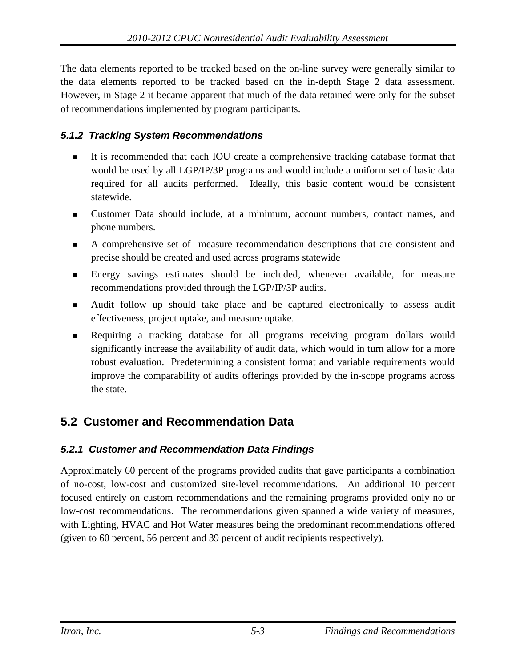The data elements reported to be tracked based on the on-line survey were generally similar to the data elements reported to be tracked based on the in-depth Stage 2 data assessment. However, in Stage 2 it became apparent that much of the data retained were only for the subset of recommendations implemented by program participants.

### *5.1.2 Tracking System Recommendations*

- It is recommended that each IOU create a comprehensive tracking database format that would be used by all LGP/IP/3P programs and would include a uniform set of basic data required for all audits performed. Ideally, this basic content would be consistent statewide.
- Customer Data should include, at a minimum, account numbers, contact names, and phone numbers.
- A comprehensive set of measure recommendation descriptions that are consistent and precise should be created and used across programs statewide
- Energy savings estimates should be included, whenever available, for measure recommendations provided through the LGP/IP/3P audits.
- Audit follow up should take place and be captured electronically to assess audit effectiveness, project uptake, and measure uptake.
- Requiring a tracking database for all programs receiving program dollars would significantly increase the availability of audit data, which would in turn allow for a more robust evaluation. Predetermining a consistent format and variable requirements would improve the comparability of audits offerings provided by the in-scope programs across the state.

# **5.2 Customer and Recommendation Data**

### *5.2.1 Customer and Recommendation Data Findings*

Approximately 60 percent of the programs provided audits that gave participants a combination of no-cost, low-cost and customized site-level recommendations. An additional 10 percent focused entirely on custom recommendations and the remaining programs provided only no or low-cost recommendations. The recommendations given spanned a wide variety of measures, with Lighting, HVAC and Hot Water measures being the predominant recommendations offered (given to 60 percent, 56 percent and 39 percent of audit recipients respectively).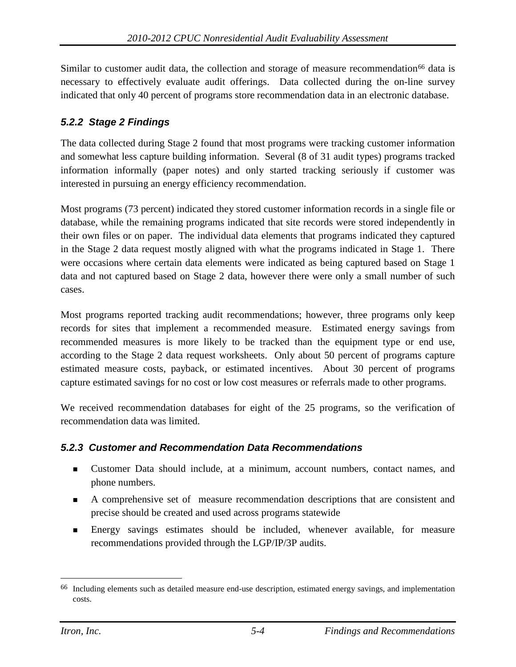Similar to customer audit data, the collection and storage of measure recommendation<sup>[66](#page-95-0)</sup> data is necessary to effectively evaluate audit offerings. Data collected during the on-line survey indicated that only 40 percent of programs store recommendation data in an electronic database.

### *5.2.2 Stage 2 Findings*

The data collected during Stage 2 found that most programs were tracking customer information and somewhat less capture building information. Several (8 of 31 audit types) programs tracked information informally (paper notes) and only started tracking seriously if customer was interested in pursuing an energy efficiency recommendation.

Most programs (73 percent) indicated they stored customer information records in a single file or database, while the remaining programs indicated that site records were stored independently in their own files or on paper. The individual data elements that programs indicated they captured in the Stage 2 data request mostly aligned with what the programs indicated in Stage 1. There were occasions where certain data elements were indicated as being captured based on Stage 1 data and not captured based on Stage 2 data, however there were only a small number of such cases.

Most programs reported tracking audit recommendations; however, three programs only keep records for sites that implement a recommended measure. Estimated energy savings from recommended measures is more likely to be tracked than the equipment type or end use, according to the Stage 2 data request worksheets. Only about 50 percent of programs capture estimated measure costs, payback, or estimated incentives. About 30 percent of programs capture estimated savings for no cost or low cost measures or referrals made to other programs.

We received recommendation databases for eight of the 25 programs, so the verification of recommendation data was limited.

### *5.2.3 Customer and Recommendation Data Recommendations*

- Customer Data should include, at a minimum, account numbers, contact names, and phone numbers.
- A comprehensive set of measure recommendation descriptions that are consistent and precise should be created and used across programs statewide
- Energy savings estimates should be included, whenever available, for measure recommendations provided through the LGP/IP/3P audits.

<span id="page-95-0"></span> <sup>66</sup> Including elements such as detailed measure end-use description, estimated energy savings, and implementation costs.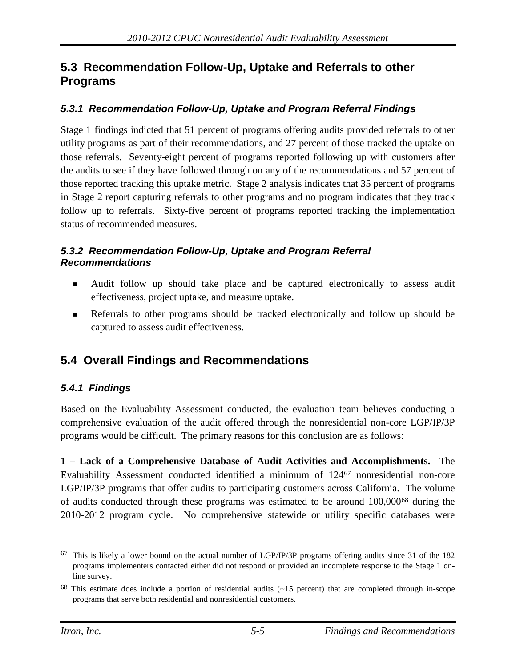## **5.3 Recommendation Follow-Up, Uptake and Referrals to other Programs**

### *5.3.1 Recommendation Follow-Up, Uptake and Program Referral Findings*

Stage 1 findings indicted that 51 percent of programs offering audits provided referrals to other utility programs as part of their recommendations, and 27 percent of those tracked the uptake on those referrals. Seventy-eight percent of programs reported following up with customers after the audits to see if they have followed through on any of the recommendations and 57 percent of those reported tracking this uptake metric. Stage 2 analysis indicates that 35 percent of programs in Stage 2 report capturing referrals to other programs and no program indicates that they track follow up to referrals. Sixty-five percent of programs reported tracking the implementation status of recommended measures.

#### *5.3.2 Recommendation Follow-Up, Uptake and Program Referral Recommendations*

- Audit follow up should take place and be captured electronically to assess audit effectiveness, project uptake, and measure uptake.
- Referrals to other programs should be tracked electronically and follow up should be captured to assess audit effectiveness.

# **5.4 Overall Findings and Recommendations**

### *5.4.1 Findings*

Based on the Evaluability Assessment conducted, the evaluation team believes conducting a comprehensive evaluation of the audit offered through the nonresidential non-core LGP/IP/3P programs would be difficult. The primary reasons for this conclusion are as follows:

**1 – Lack of a Comprehensive Database of Audit Activities and Accomplishments.** The Evaluability Assessment conducted identified a minimum of 124[67](#page-96-0) nonresidential non-core LGP/IP/3P programs that offer audits to participating customers across California. The volume of audits conducted through these programs was estimated to be around 100,000[68](#page-96-1) during the 2010-2012 program cycle. No comprehensive statewide or utility specific databases were

<span id="page-96-0"></span> <sup>67</sup> This is likely a lower bound on the actual number of LGP/IP/3P programs offering audits since 31 of the 182 programs implementers contacted either did not respond or provided an incomplete response to the Stage 1 online survey.

<span id="page-96-1"></span><sup>68</sup> This estimate does include a portion of residential audits (~15 percent) that are completed through in-scope programs that serve both residential and nonresidential customers.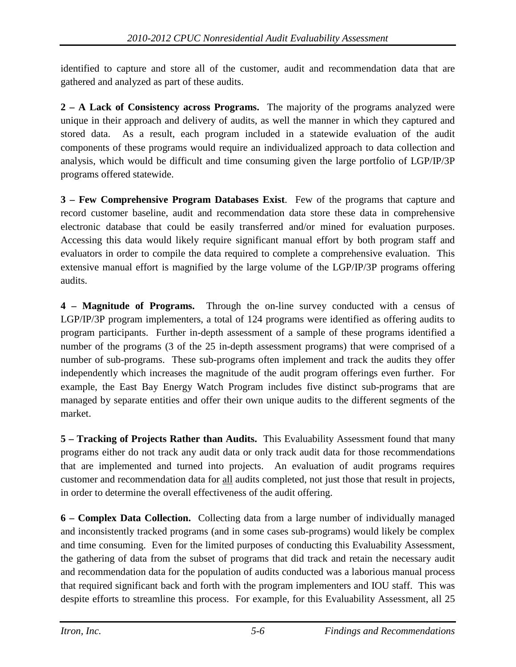identified to capture and store all of the customer, audit and recommendation data that are gathered and analyzed as part of these audits.

**2 – A Lack of Consistency across Programs.** The majority of the programs analyzed were unique in their approach and delivery of audits, as well the manner in which they captured and stored data. As a result, each program included in a statewide evaluation of the audit components of these programs would require an individualized approach to data collection and analysis, which would be difficult and time consuming given the large portfolio of LGP/IP/3P programs offered statewide.

**3 – Few Comprehensive Program Databases Exist**. Few of the programs that capture and record customer baseline, audit and recommendation data store these data in comprehensive electronic database that could be easily transferred and/or mined for evaluation purposes. Accessing this data would likely require significant manual effort by both program staff and evaluators in order to compile the data required to complete a comprehensive evaluation. This extensive manual effort is magnified by the large volume of the LGP/IP/3P programs offering audits.

**4 – Magnitude of Programs.** Through the on-line survey conducted with a census of LGP/IP/3P program implementers, a total of 124 programs were identified as offering audits to program participants. Further in-depth assessment of a sample of these programs identified a number of the programs (3 of the 25 in-depth assessment programs) that were comprised of a number of sub-programs. These sub-programs often implement and track the audits they offer independently which increases the magnitude of the audit program offerings even further. For example, the East Bay Energy Watch Program includes five distinct sub-programs that are managed by separate entities and offer their own unique audits to the different segments of the market.

**5 – Tracking of Projects Rather than Audits.** This Evaluability Assessment found that many programs either do not track any audit data or only track audit data for those recommendations that are implemented and turned into projects. An evaluation of audit programs requires customer and recommendation data for all audits completed, not just those that result in projects, in order to determine the overall effectiveness of the audit offering.

**6 – Complex Data Collection.** Collecting data from a large number of individually managed and inconsistently tracked programs (and in some cases sub-programs) would likely be complex and time consuming. Even for the limited purposes of conducting this Evaluability Assessment, the gathering of data from the subset of programs that did track and retain the necessary audit and recommendation data for the population of audits conducted was a laborious manual process that required significant back and forth with the program implementers and IOU staff. This was despite efforts to streamline this process. For example, for this Evaluability Assessment, all 25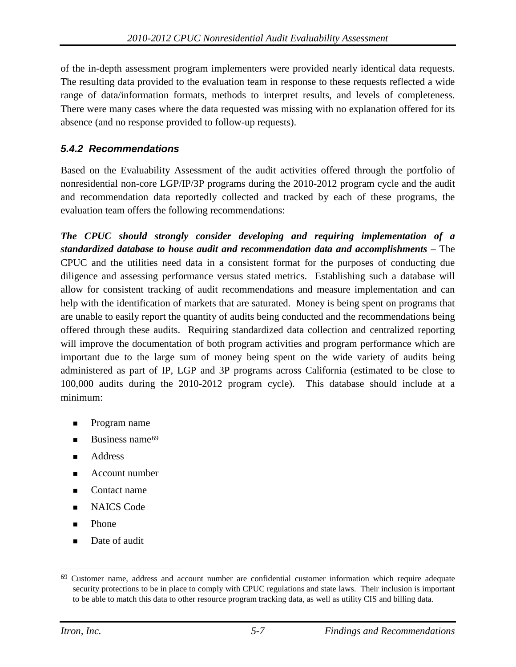of the in-depth assessment program implementers were provided nearly identical data requests. The resulting data provided to the evaluation team in response to these requests reflected a wide range of data/information formats, methods to interpret results, and levels of completeness. There were many cases where the data requested was missing with no explanation offered for its absence (and no response provided to follow-up requests).

### *5.4.2 Recommendations*

Based on the Evaluability Assessment of the audit activities offered through the portfolio of nonresidential non-core LGP/IP/3P programs during the 2010-2012 program cycle and the audit and recommendation data reportedly collected and tracked by each of these programs, the evaluation team offers the following recommendations:

*The CPUC should strongly consider developing and requiring implementation of a standardized database to house audit and recommendation data and accomplishments* – The CPUC and the utilities need data in a consistent format for the purposes of conducting due diligence and assessing performance versus stated metrics. Establishing such a database will allow for consistent tracking of audit recommendations and measure implementation and can help with the identification of markets that are saturated. Money is being spent on programs that are unable to easily report the quantity of audits being conducted and the recommendations being offered through these audits. Requiring standardized data collection and centralized reporting will improve the documentation of both program activities and program performance which are important due to the large sum of money being spent on the wide variety of audits being administered as part of IP, LGP and 3P programs across California (estimated to be close to 100,000 audits during the 2010-2012 program cycle). This database should include at a minimum:

- Program name
- Business name<sup>[69](#page-98-0)</sup>
- Address
- Account number
- Contact name
- NAICS Code
- Phone
- Date of audit

<span id="page-98-0"></span> <sup>69</sup> Customer name, address and account number are confidential customer information which require adequate security protections to be in place to comply with CPUC regulations and state laws. Their inclusion is important to be able to match this data to other resource program tracking data, as well as utility CIS and billing data.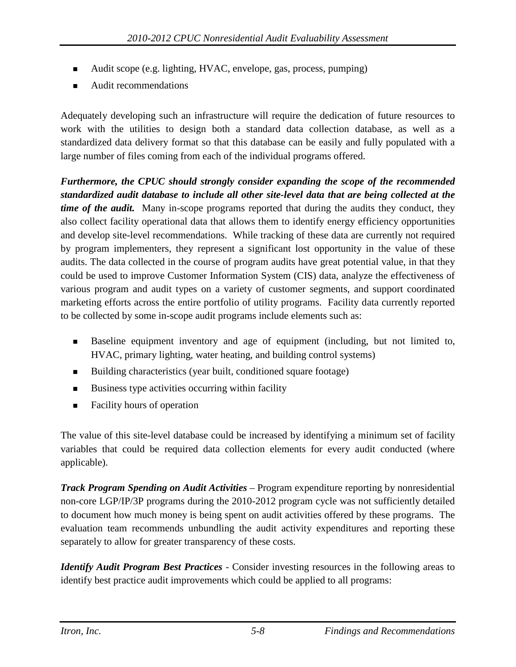- Audit scope (e.g. lighting, HVAC, envelope, gas, process, pumping)
- Audit recommendations

Adequately developing such an infrastructure will require the dedication of future resources to work with the utilities to design both a standard data collection database, as well as a standardized data delivery format so that this database can be easily and fully populated with a large number of files coming from each of the individual programs offered.

*Furthermore, the CPUC should strongly consider expanding the scope of the recommended standardized audit database to include all other site-level data that are being collected at the time of the audit.* Many in-scope programs reported that during the audits they conduct, they also collect facility operational data that allows them to identify energy efficiency opportunities and develop site-level recommendations. While tracking of these data are currently not required by program implementers, they represent a significant lost opportunity in the value of these audits. The data collected in the course of program audits have great potential value, in that they could be used to improve Customer Information System (CIS) data, analyze the effectiveness of various program and audit types on a variety of customer segments, and support coordinated marketing efforts across the entire portfolio of utility programs. Facility data currently reported to be collected by some in-scope audit programs include elements such as:

- Baseline equipment inventory and age of equipment (including, but not limited to, HVAC, primary lighting, water heating, and building control systems)
- Building characteristics (year built, conditioned square footage)
- Business type activities occurring within facility
- Facility hours of operation

The value of this site-level database could be increased by identifying a minimum set of facility variables that could be required data collection elements for every audit conducted (where applicable).

*Track Program Spending on Audit Activities* – Program expenditure reporting by nonresidential non-core LGP/IP/3P programs during the 2010-2012 program cycle was not sufficiently detailed to document how much money is being spent on audit activities offered by these programs. The evaluation team recommends unbundling the audit activity expenditures and reporting these separately to allow for greater transparency of these costs.

*Identify Audit Program Best Practices* - Consider investing resources in the following areas to identify best practice audit improvements which could be applied to all programs: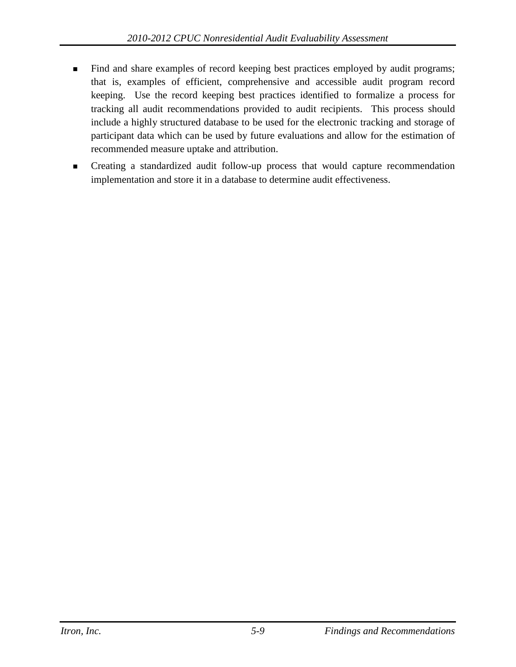- Find and share examples of record keeping best practices employed by audit programs; that is, examples of efficient, comprehensive and accessible audit program record keeping. Use the record keeping best practices identified to formalize a process for tracking all audit recommendations provided to audit recipients. This process should include a highly structured database to be used for the electronic tracking and storage of participant data which can be used by future evaluations and allow for the estimation of recommended measure uptake and attribution.
- Creating a standardized audit follow-up process that would capture recommendation implementation and store it in a database to determine audit effectiveness.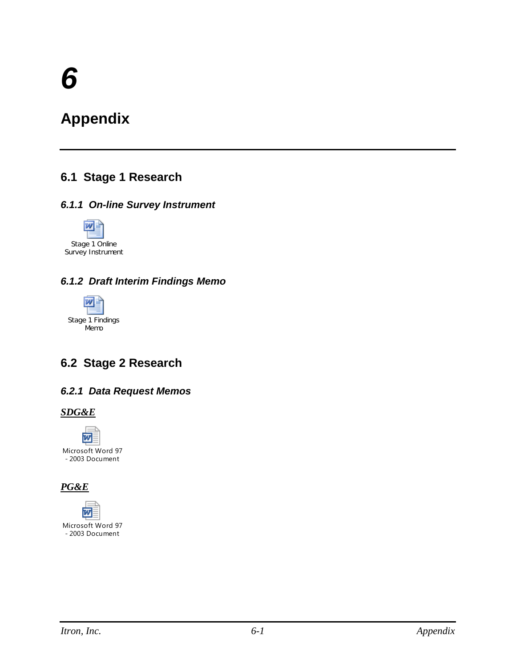# **Appendix**

# **6.1 Stage 1 Research**

### *6.1.1 On-line Survey Instrument*



### *6.1.2 Draft Interim Findings Memo*



# **6.2 Stage 2 Research**

### *6.2.1 Data Request Memos*